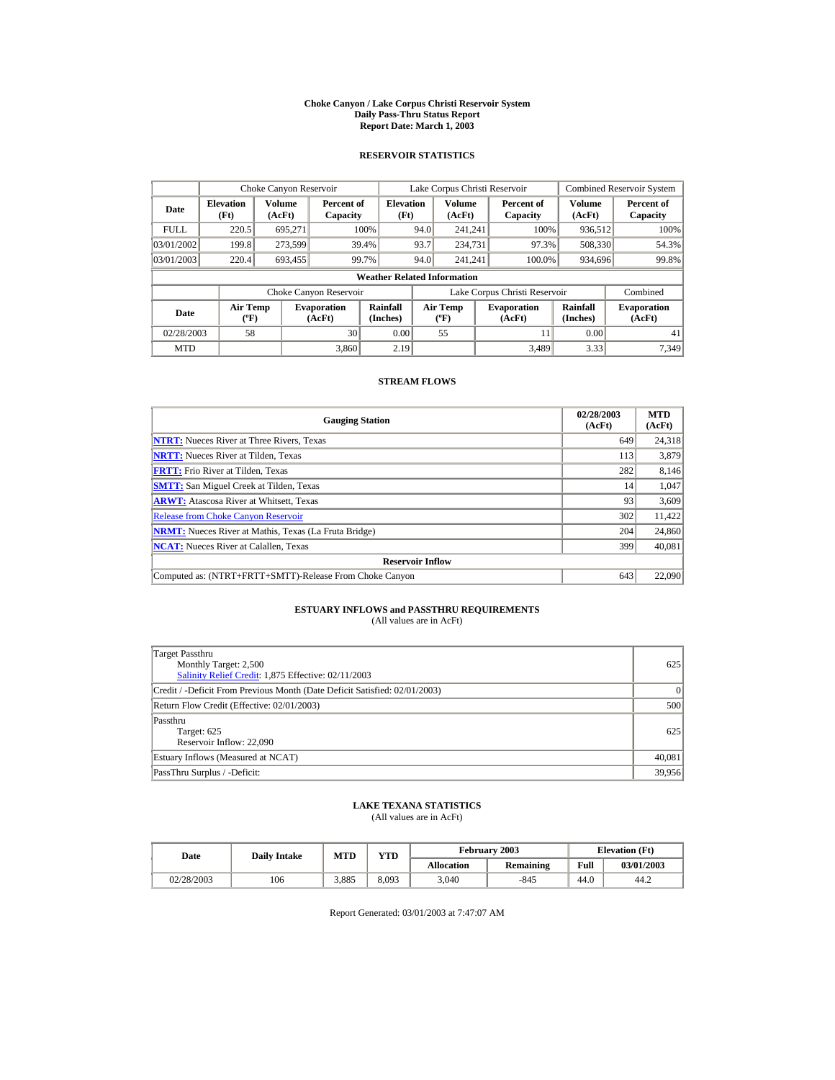#### **Choke Canyon / Lake Corpus Christi Reservoir System Daily Pass-Thru Status Report Report Date: March 1, 2003**

## **RESERVOIR STATISTICS**

|                                                     | Choke Canyon Reservoir                              |         |                              |                                    |      | Lake Corpus Christi Reservoir            |                               |                      | <b>Combined Reservoir System</b> |
|-----------------------------------------------------|-----------------------------------------------------|---------|------------------------------|------------------------------------|------|------------------------------------------|-------------------------------|----------------------|----------------------------------|
| Date                                                | <b>Volume</b><br><b>Elevation</b><br>(Ft)<br>(AcFt) |         | Percent of<br>Capacity       | <b>Elevation</b><br>(Ft)           |      | <b>Volume</b><br>(AcFt)                  | Percent of<br>Capacity        | Volume<br>(AcFt)     | Percent of<br>Capacity           |
| <b>FULL</b>                                         | 220.5                                               | 695.271 |                              | 100%                               | 94.0 | 241.241                                  | 100%                          | 936,512              | 100%                             |
| 03/01/2002                                          | 199.8                                               | 273,599 |                              | 39.4%                              | 93.7 | 234,731                                  | 97.3%                         | 508,330              | 54.3%                            |
| 03/01/2003                                          | 220.4                                               | 693,455 |                              | 99.7%                              | 94.0 | 241.241                                  | 100.0%                        | 934,696              | 99.8%                            |
|                                                     |                                                     |         |                              | <b>Weather Related Information</b> |      |                                          |                               |                      |                                  |
|                                                     |                                                     |         | Choke Canyon Reservoir       |                                    |      |                                          | Lake Corpus Christi Reservoir |                      | Combined                         |
| <b>Air Temp</b><br>Date<br>$({}^{\circ}\mathrm{F})$ |                                                     |         | <b>Evaporation</b><br>(AcFt) | Rainfall<br>(Inches)               |      | <b>Air Temp</b><br>$({}^{\circ}{\rm F})$ | <b>Evaporation</b><br>(AcFt)  | Rainfall<br>(Inches) | <b>Evaporation</b><br>(AcFt)     |
| 02/28/2003                                          | 58                                                  |         | 30                           | 0.00                               |      | 55                                       | 11                            | 0.00                 | 41                               |
| <b>MTD</b>                                          |                                                     |         | 3.860                        | 2.19                               |      |                                          | 3.489                         | 3.33                 | 7.349                            |

## **STREAM FLOWS**

| <b>Gauging Station</b>                                       | 02/28/2003<br>(AcFt) | <b>MTD</b><br>(AcFt) |
|--------------------------------------------------------------|----------------------|----------------------|
| <b>NTRT:</b> Nueces River at Three Rivers, Texas             | 649                  | 24,318               |
| <b>NRTT:</b> Nueces River at Tilden, Texas                   | 113                  | 3,879                |
| <b>FRTT:</b> Frio River at Tilden, Texas                     | 282                  | 8,146                |
| <b>SMTT:</b> San Miguel Creek at Tilden, Texas               | 14                   | 1,047                |
| <b>ARWT:</b> Atascosa River at Whitsett, Texas               | 93                   | 3,609                |
| <b>Release from Choke Canyon Reservoir</b>                   | 302                  | 11,422               |
| <b>NRMT:</b> Nueces River at Mathis, Texas (La Fruta Bridge) | 204                  | 24,860               |
| <b>NCAT:</b> Nueces River at Calallen, Texas                 | 399                  | 40,081               |
| <b>Reservoir Inflow</b>                                      |                      |                      |
| Computed as: (NTRT+FRTT+SMTT)-Release From Choke Canyon      | 643                  | 22,090               |

# **ESTUARY INFLOWS and PASSTHRU REQUIREMENTS**<br>(All values are in AcFt)

| Target Passthru<br>Monthly Target: 2,500<br>Salinity Relief Credit: 1,875 Effective: 02/11/2003 | 625      |
|-------------------------------------------------------------------------------------------------|----------|
| Credit / -Deficit From Previous Month (Date Deficit Satisfied: 02/01/2003)                      | $\Omega$ |
| Return Flow Credit (Effective: 02/01/2003)                                                      | 500      |
| Passthru<br>Target: 625<br>Reservoir Inflow: 22,090                                             | 625      |
| Estuary Inflows (Measured at NCAT)                                                              | 40,081   |
| PassThru Surplus / -Deficit:                                                                    | 39,956   |

## **LAKE TEXANA STATISTICS**

(All values are in AcFt)

| Date       |     | <b>MTD</b><br><b>Daily Intake</b> |       |                   | February 2003 | <b>Elevation</b> (Ft) |            |
|------------|-----|-----------------------------------|-------|-------------------|---------------|-----------------------|------------|
|            |     |                                   | YTD   | <b>Allocation</b> | Remaining     | Full                  | 03/01/2003 |
| 02/28/2003 | 106 | 3.885                             | 8.093 | 3.040             | $-845$        | 44.0                  | 44.2       |

Report Generated: 03/01/2003 at 7:47:07 AM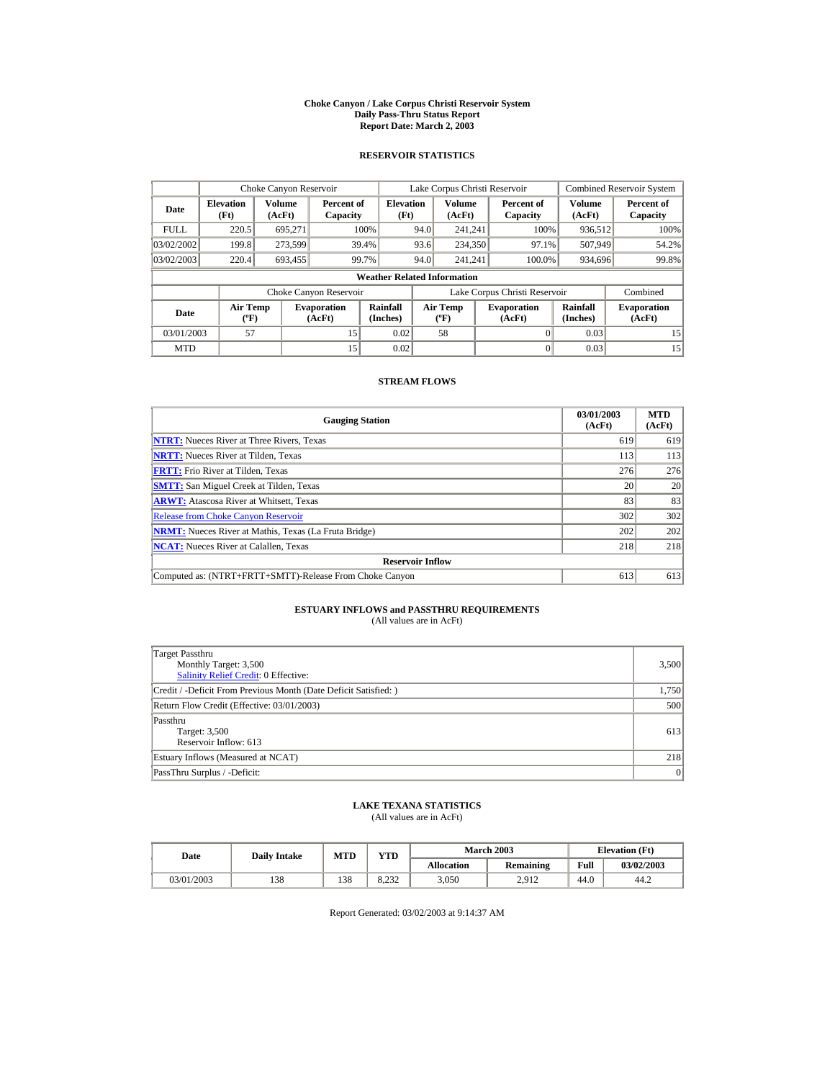#### **Choke Canyon / Lake Corpus Christi Reservoir System Daily Pass-Thru Status Report Report Date: March 2, 2003**

## **RESERVOIR STATISTICS**

|                                                     | Choke Canyon Reservoir   |                         |                              |                                    |      | Lake Corpus Christi Reservoir             |                               |                      | <b>Combined Reservoir System</b> |
|-----------------------------------------------------|--------------------------|-------------------------|------------------------------|------------------------------------|------|-------------------------------------------|-------------------------------|----------------------|----------------------------------|
| Date                                                | <b>Elevation</b><br>(Ft) | <b>Volume</b><br>(AcFt) | Percent of<br>Capacity       | <b>Elevation</b><br>(Ft)           |      | Volume<br>(AcFt)                          | Percent of<br>Capacity        | Volume<br>(AcFt)     | Percent of<br>Capacity           |
| <b>FULL</b>                                         | 220.5                    | 695.271                 |                              | 100%                               | 94.0 | 241.241                                   | 100%                          | 936,512              | 100%                             |
| 03/02/2002                                          | 199.8                    | 273,599                 | 39.4%                        |                                    | 93.6 | 234,350                                   | 97.1%                         | 507,949              | 54.2%                            |
| 03/02/2003                                          | 220.4                    | 693.455                 | 99.7%                        |                                    | 94.0 | 241.241                                   | 100.0%                        | 934,696              | 99.8%                            |
|                                                     |                          |                         |                              | <b>Weather Related Information</b> |      |                                           |                               |                      |                                  |
|                                                     |                          |                         | Choke Canyon Reservoir       |                                    |      |                                           | Lake Corpus Christi Reservoir |                      | Combined                         |
| <b>Air Temp</b><br>Date<br>$({}^{\circ}\mathrm{F})$ |                          |                         | <b>Evaporation</b><br>(AcFt) | Rainfall<br>(Inches)               |      | <b>Air Temp</b><br>$({}^{\circ}\text{F})$ | <b>Evaporation</b><br>(AcFt)  | Rainfall<br>(Inches) | <b>Evaporation</b><br>(AcFt)     |
| 03/01/2003                                          | 57                       |                         | 15                           | 0.02                               |      | 58                                        |                               | 0.03                 | 15                               |
| <b>MTD</b>                                          |                          |                         | 15                           | 0.02                               |      |                                           | 0                             | 0.03                 | 15                               |

## **STREAM FLOWS**

| <b>Gauging Station</b>                                       | 03/01/2003<br>(AcFt) | <b>MTD</b><br>(AcFt) |
|--------------------------------------------------------------|----------------------|----------------------|
| <b>NTRT:</b> Nueces River at Three Rivers, Texas             | 619                  | 619                  |
| <b>NRTT:</b> Nueces River at Tilden, Texas                   | 113                  | 113                  |
| <b>FRTT:</b> Frio River at Tilden, Texas                     | 276                  | 276                  |
| <b>SMTT:</b> San Miguel Creek at Tilden, Texas               | 20                   | 20                   |
| <b>ARWT:</b> Atascosa River at Whitsett, Texas               | 83                   | 83                   |
| <b>Release from Choke Canyon Reservoir</b>                   | 302                  | 302                  |
| <b>NRMT:</b> Nueces River at Mathis, Texas (La Fruta Bridge) | 202                  | 202                  |
| <b>NCAT:</b> Nueces River at Calallen, Texas                 | 218                  | 218                  |
| <b>Reservoir Inflow</b>                                      |                      |                      |
| Computed as: (NTRT+FRTT+SMTT)-Release From Choke Canyon      | 613                  | 613                  |

# **ESTUARY INFLOWS and PASSTHRU REQUIREMENTS**<br>(All values are in AcFt)

| Target Passthru<br>Monthly Target: 3,500<br><b>Salinity Relief Credit: 0 Effective:</b> | 3,500 |
|-----------------------------------------------------------------------------------------|-------|
| Credit / -Deficit From Previous Month (Date Deficit Satisfied: )                        | 1,750 |
| Return Flow Credit (Effective: 03/01/2003)                                              | 500   |
| Passthru<br>Target: 3,500<br>Reservoir Inflow: 613                                      | 613   |
| Estuary Inflows (Measured at NCAT)                                                      | 218   |
| PassThru Surplus / -Deficit:                                                            | 0     |

## **LAKE TEXANA STATISTICS**

(All values are in AcFt)

| Date       | <b>Daily Intake</b> | <b>MTD</b> | $\mathbf{v}\mathbf{T}\mathbf{D}$ |                   | <b>March 2003</b> |      | <b>Elevation</b> (Ft) |
|------------|---------------------|------------|----------------------------------|-------------------|-------------------|------|-----------------------|
|            |                     |            |                                  | <b>Allocation</b> | Remaining         | Full | 03/02/2003            |
| 03/01/2003 | 138                 | 138        | 8.232                            | 3,050             | 2.912             | 44.0 | 44.2                  |

Report Generated: 03/02/2003 at 9:14:37 AM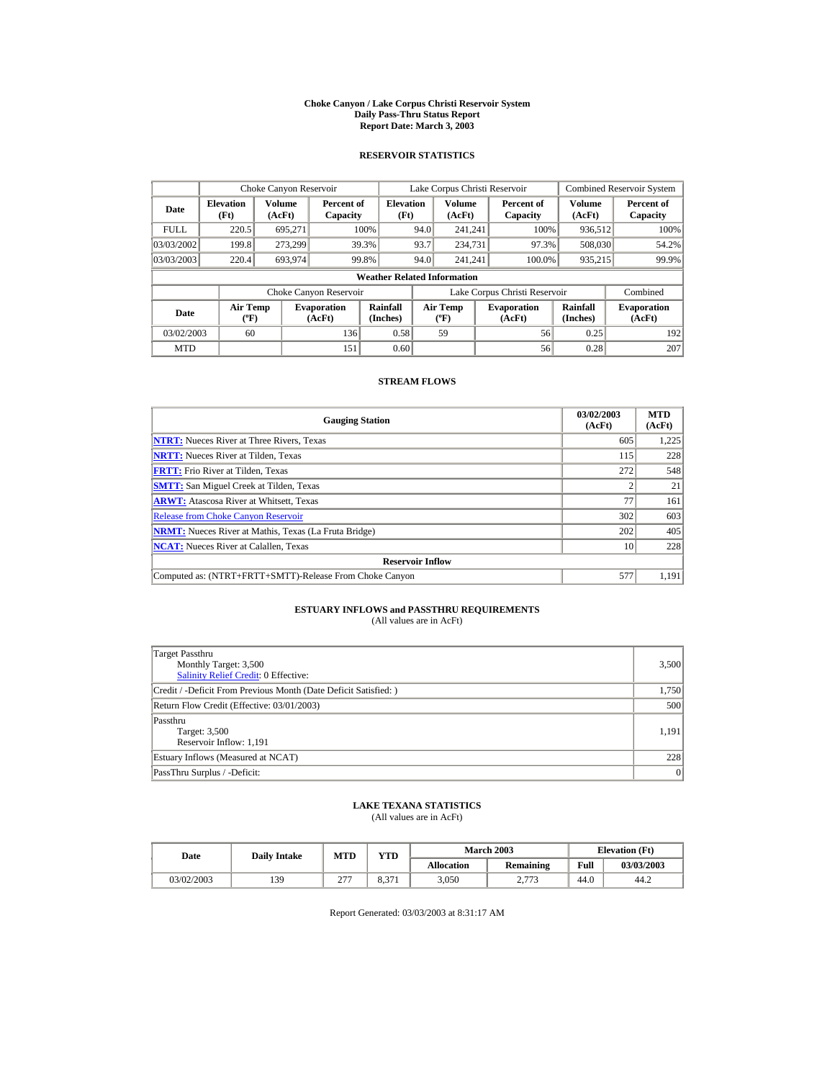#### **Choke Canyon / Lake Corpus Christi Reservoir System Daily Pass-Thru Status Report Report Date: March 3, 2003**

## **RESERVOIR STATISTICS**

|                                                     | Choke Canyon Reservoir |                         |                                            |                                    |      | Lake Corpus Christi Reservoir            |                               |                      | <b>Combined Reservoir System</b> |
|-----------------------------------------------------|------------------------|-------------------------|--------------------------------------------|------------------------------------|------|------------------------------------------|-------------------------------|----------------------|----------------------------------|
| <b>Elevation</b><br>Date<br>(Ft)                    |                        | <b>Volume</b><br>(AcFt) | <b>Elevation</b><br>Percent of<br>Capacity |                                    | (Ft) | Volume<br>(AcFt)                         | Percent of<br>Capacity        | Volume<br>(AcFt)     | Percent of<br>Capacity           |
| <b>FULL</b>                                         | 220.5                  | 695.271                 |                                            | 100%                               | 94.0 | 241.241                                  | 100%                          | 936.512              | 100%                             |
| 03/03/2002                                          | 199.8                  | 273.299                 |                                            | 39.3%                              | 93.7 | 234,731                                  | 97.3%                         | 508,030              | 54.2%                            |
| 03/03/2003                                          | 220.4                  | 693.974                 |                                            | 99.8%                              | 94.0 | 241.241                                  | 100.0%                        | 935,215              | 99.9%                            |
|                                                     |                        |                         |                                            | <b>Weather Related Information</b> |      |                                          |                               |                      |                                  |
|                                                     |                        |                         | Choke Canyon Reservoir                     |                                    |      |                                          | Lake Corpus Christi Reservoir |                      | Combined                         |
| <b>Air Temp</b><br>Date<br>$({}^{\circ}\mathrm{F})$ |                        |                         | <b>Evaporation</b><br>(AcFt)               | Rainfall<br>(Inches)               |      | <b>Air Temp</b><br>$({}^{\circ}{\rm F})$ | <b>Evaporation</b><br>(AcFt)  | Rainfall<br>(Inches) | <b>Evaporation</b><br>(AcFt)     |
| 03/02/2003                                          | 60                     |                         | 136                                        | 0.58                               |      | 59                                       | 56                            | 0.25                 | 192                              |
| <b>MTD</b>                                          |                        |                         | 151                                        | 0.60                               |      |                                          | 56                            | 0.28                 | 207                              |

## **STREAM FLOWS**

| <b>Gauging Station</b>                                       | 03/02/2003<br>(AcFt) | <b>MTD</b><br>(AcFt) |
|--------------------------------------------------------------|----------------------|----------------------|
| <b>NTRT:</b> Nueces River at Three Rivers, Texas             | 605                  | 1,225                |
| <b>NRTT:</b> Nueces River at Tilden. Texas                   | 115                  | 228                  |
| <b>FRTT:</b> Frio River at Tilden, Texas                     | 272                  | 548                  |
| <b>SMTT:</b> San Miguel Creek at Tilden, Texas               |                      | 21                   |
| <b>ARWT:</b> Atascosa River at Whitsett, Texas               | 77                   | 161                  |
| <b>Release from Choke Canyon Reservoir</b>                   | 302                  | 603                  |
| <b>NRMT:</b> Nueces River at Mathis, Texas (La Fruta Bridge) | 202                  | 405                  |
| <b>NCAT:</b> Nueces River at Calallen, Texas                 | 10                   | 228                  |
| <b>Reservoir Inflow</b>                                      |                      |                      |
| Computed as: (NTRT+FRTT+SMTT)-Release From Choke Canyon      | 577                  | 1,191                |

# **ESTUARY INFLOWS and PASSTHRU REQUIREMENTS**<br>(All values are in AcFt)

| Target Passthru<br>Monthly Target: 3,500<br>Salinity Relief Credit: 0 Effective: | 3,500 |
|----------------------------------------------------------------------------------|-------|
| Credit / -Deficit From Previous Month (Date Deficit Satisfied:)                  | 1,750 |
| Return Flow Credit (Effective: 03/01/2003)                                       | 500   |
| Passthru<br>Target: 3,500<br>Reservoir Inflow: 1,191                             | 1.191 |
| Estuary Inflows (Measured at NCAT)                                               | 228   |
| PassThru Surplus / -Deficit:                                                     | 0     |

## **LAKE TEXANA STATISTICS**

(All values are in AcFt)

| Date       | <b>Daily Intake</b> | <b>MTD</b>    | VTD-         |                   | <b>March 2003</b>  | <b>Elevation</b> (Ft) |            |
|------------|---------------------|---------------|--------------|-------------------|--------------------|-----------------------|------------|
|            |                     |               |              | <b>Allocation</b> | Remaining          | Full                  | 03/03/2003 |
| 03/02/2003 | 139                 | $\sim$<br>ر گ | 271<br>0.371 | 3,050             | 2772<br>ر. ، ، ، ، | 44.0                  | 44.2       |

Report Generated: 03/03/2003 at 8:31:17 AM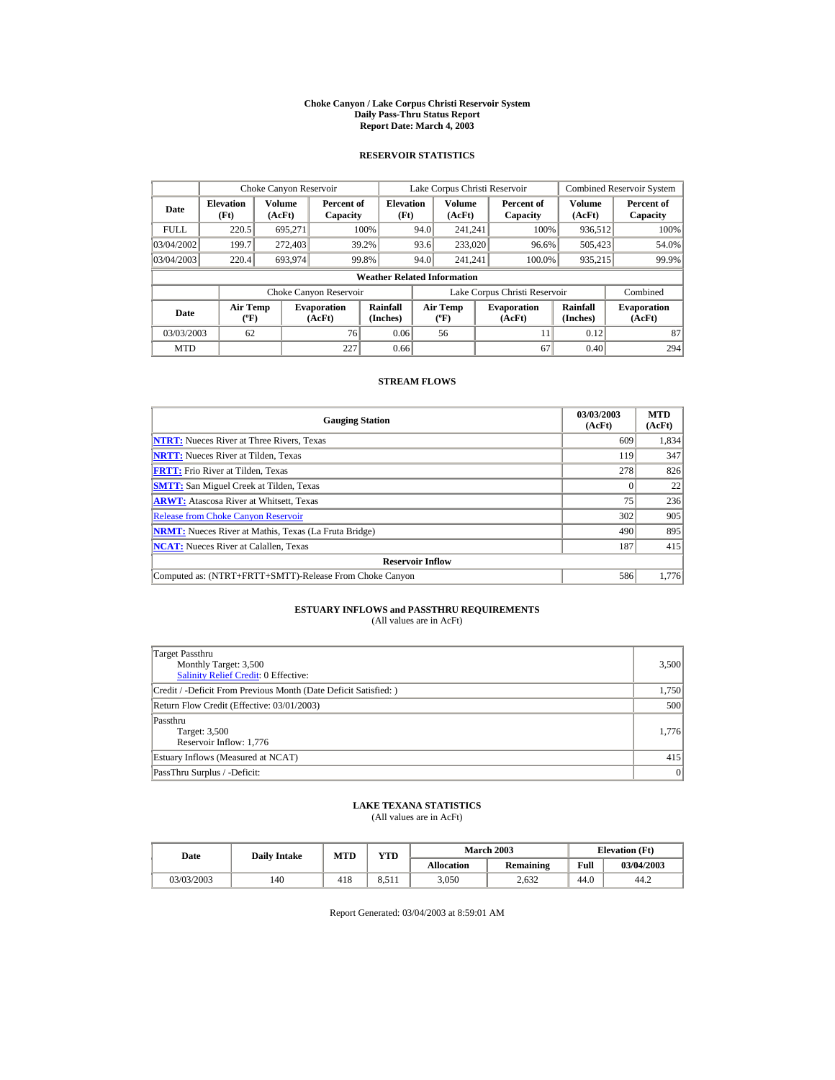#### **Choke Canyon / Lake Corpus Christi Reservoir System Daily Pass-Thru Status Report Report Date: March 4, 2003**

## **RESERVOIR STATISTICS**

|             | Choke Canyon Reservoir                      |                         |                              |                          | Lake Corpus Christi Reservoir |                                           |  |                               |                      | <b>Combined Reservoir System</b> |  |  |
|-------------|---------------------------------------------|-------------------------|------------------------------|--------------------------|-------------------------------|-------------------------------------------|--|-------------------------------|----------------------|----------------------------------|--|--|
| Date        | <b>Elevation</b><br>(Ft)                    | <b>Volume</b><br>(AcFt) | Percent of<br>Capacity       | <b>Elevation</b><br>(Ft) |                               | Volume<br>(AcFt)                          |  | Percent of<br>Capacity        | Volume<br>(AcFt)     | Percent of<br>Capacity           |  |  |
| <b>FULL</b> | 220.5                                       | 695.271                 |                              | 100%                     | 94.0                          | 241.241                                   |  | 100%                          | 936,512              | 100%                             |  |  |
| 03/04/2002  | 199.7                                       | 272,403                 |                              | 39.2%                    | 93.6                          | 233,020                                   |  | 96.6%                         | 505,423              | 54.0%                            |  |  |
| 03/04/2003  | 220.4                                       | 693.974                 |                              | 99.8%                    | 94.0                          | 241.241                                   |  | 100.0%                        | 935,215              | 99.9%                            |  |  |
|             | <b>Weather Related Information</b>          |                         |                              |                          |                               |                                           |  |                               |                      |                                  |  |  |
|             |                                             |                         | Choke Canyon Reservoir       |                          |                               |                                           |  | Lake Corpus Christi Reservoir |                      | Combined                         |  |  |
| Date        | <b>Air Temp</b><br>$({}^{\circ}\mathrm{F})$ |                         | <b>Evaporation</b><br>(AcFt) | Rainfall<br>(Inches)     |                               | <b>Air Temp</b><br>$({}^{\circ}\text{F})$ |  | <b>Evaporation</b><br>(AcFt)  | Rainfall<br>(Inches) | <b>Evaporation</b><br>(AcFt)     |  |  |
| 03/03/2003  | 62                                          |                         | 76                           | 0.06                     |                               | 56                                        |  | 11                            | 0.12                 | 87                               |  |  |
| <b>MTD</b>  |                                             |                         | 227                          | 0.66                     |                               |                                           |  | 67                            | 0.40                 | 294                              |  |  |

## **STREAM FLOWS**

| <b>Gauging Station</b>                                       | 03/03/2003<br>(AcFt) | <b>MTD</b><br>(AcFt) |
|--------------------------------------------------------------|----------------------|----------------------|
| <b>NTRT:</b> Nueces River at Three Rivers, Texas             | 609                  | 1,834                |
| <b>NRTT:</b> Nueces River at Tilden, Texas                   | 119                  | 347                  |
| <b>FRTT:</b> Frio River at Tilden. Texas                     | 278                  | 826                  |
| <b>SMTT:</b> San Miguel Creek at Tilden, Texas               |                      | 22                   |
| <b>ARWT:</b> Atascosa River at Whitsett, Texas               | 75                   | 236                  |
| <b>Release from Choke Canyon Reservoir</b>                   | 302                  | 905                  |
| <b>NRMT:</b> Nueces River at Mathis, Texas (La Fruta Bridge) | 490                  | 895                  |
| <b>NCAT:</b> Nueces River at Calallen, Texas                 | 187                  | 415                  |
| <b>Reservoir Inflow</b>                                      |                      |                      |
| Computed as: (NTRT+FRTT+SMTT)-Release From Choke Canyon      | 586                  | 1,776                |

# **ESTUARY INFLOWS and PASSTHRU REQUIREMENTS**<br>(All values are in AcFt)

| Target Passthru<br>Monthly Target: 3,500<br><b>Salinity Relief Credit: 0 Effective:</b> | 3,500 |
|-----------------------------------------------------------------------------------------|-------|
| Credit / -Deficit From Previous Month (Date Deficit Satisfied: )                        | 1,750 |
| Return Flow Credit (Effective: 03/01/2003)                                              | 500   |
| Passthru<br>Target: 3,500<br>Reservoir Inflow: 1,776                                    | 1.776 |
| Estuary Inflows (Measured at NCAT)                                                      | 415   |
| PassThru Surplus / -Deficit:                                                            | 0     |

## **LAKE TEXANA STATISTICS**

(All values are in AcFt)

| Date       | <b>Daily Intake</b> | <b>MTD</b> | $\mathbf{v}\mathbf{T}\mathbf{D}$ |                   | <b>March 2003</b> | <b>Elevation</b> (Ft) |            |
|------------|---------------------|------------|----------------------------------|-------------------|-------------------|-----------------------|------------|
|            |                     |            |                                  | <b>Allocation</b> | Remaining         | Full                  | 03/04/2003 |
| 03/03/2003 | 140                 | 418        | 8.511                            | 3,050             | 2.632             | 44.0                  | 44.2       |

Report Generated: 03/04/2003 at 8:59:01 AM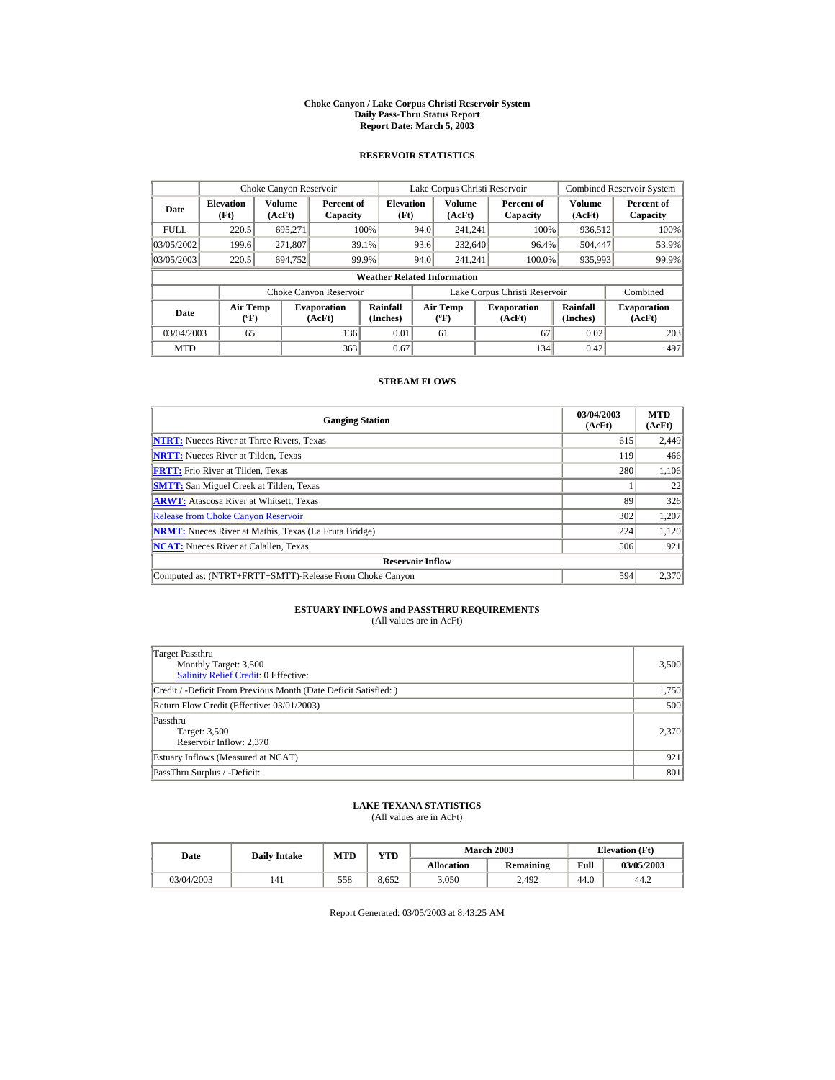#### **Choke Canyon / Lake Corpus Christi Reservoir System Daily Pass-Thru Status Report Report Date: March 5, 2003**

## **RESERVOIR STATISTICS**

|             | Choke Canyon Reservoir             |                  |                              |                          | Lake Corpus Christi Reservoir |                                          |  |                               |                         | <b>Combined Reservoir System</b> |  |  |  |
|-------------|------------------------------------|------------------|------------------------------|--------------------------|-------------------------------|------------------------------------------|--|-------------------------------|-------------------------|----------------------------------|--|--|--|
| Date        | <b>Elevation</b><br>(Ft)           | Volume<br>(AcFt) | Percent of<br>Capacity       | <b>Elevation</b><br>(Ft) |                               | Volume<br>(AcFt)                         |  | Percent of<br>Capacity        | <b>Volume</b><br>(AcFt) | Percent of<br>Capacity           |  |  |  |
| <b>FULL</b> | 220.5                              | 695.271          |                              | 100%                     | 94.0                          | 241.241                                  |  | 100%                          | 936,512                 | 100%                             |  |  |  |
| 03/05/2002  | 199.6                              | 271.807          |                              | 39.1%                    | 93.6                          | 232,640                                  |  | 96.4%                         | 504,447                 | 53.9%                            |  |  |  |
| 03/05/2003  | 220.5                              | 694.752          |                              | 99.9%                    | 94.0                          | 241.241                                  |  | 100.0%                        | 935,993                 | 99.9%                            |  |  |  |
|             | <b>Weather Related Information</b> |                  |                              |                          |                               |                                          |  |                               |                         |                                  |  |  |  |
|             |                                    |                  | Choke Canyon Reservoir       |                          |                               |                                          |  | Lake Corpus Christi Reservoir |                         | Combined                         |  |  |  |
| Date        | Air Temp<br>$({}^o\mathrm{F})$     |                  | <b>Evaporation</b><br>(AcFt) | Rainfall<br>(Inches)     |                               | <b>Air Temp</b><br>$({}^{\circ}{\rm F})$ |  | <b>Evaporation</b><br>(AcFt)  | Rainfall<br>(Inches)    | <b>Evaporation</b><br>(AcFt)     |  |  |  |
| 03/04/2003  | 65                                 |                  | 136                          | 0.01                     |                               | 61                                       |  | 67                            | 0.02                    | 203                              |  |  |  |
| <b>MTD</b>  |                                    |                  | 363                          | 0.67                     |                               |                                          |  | 134                           | 0.42                    | 497                              |  |  |  |

## **STREAM FLOWS**

| <b>Gauging Station</b>                                       | 03/04/2003<br>(AcFt) | <b>MTD</b><br>(AcFt) |
|--------------------------------------------------------------|----------------------|----------------------|
| <b>NTRT:</b> Nueces River at Three Rivers, Texas             | 615                  | 2,449                |
| <b>NRTT:</b> Nueces River at Tilden, Texas                   | 119                  | 466                  |
| <b>FRTT:</b> Frio River at Tilden, Texas                     | 280                  | 1,106                |
| <b>SMTT:</b> San Miguel Creek at Tilden, Texas               |                      | 22                   |
| <b>ARWT:</b> Atascosa River at Whitsett, Texas               | 89                   | 326                  |
| <b>Release from Choke Canyon Reservoir</b>                   | 302                  | 1,207                |
| <b>NRMT:</b> Nueces River at Mathis, Texas (La Fruta Bridge) | 224                  | 1,120                |
| <b>NCAT:</b> Nueces River at Calallen, Texas                 | 506                  | 921                  |
| <b>Reservoir Inflow</b>                                      |                      |                      |
| Computed as: (NTRT+FRTT+SMTT)-Release From Choke Canyon      | 594                  | 2,370                |

# **ESTUARY INFLOWS and PASSTHRU REQUIREMENTS**<br>(All values are in AcFt)

| Target Passthru<br>Monthly Target: 3,500<br><b>Salinity Relief Credit: 0 Effective:</b> | 3,500 |
|-----------------------------------------------------------------------------------------|-------|
| Credit / -Deficit From Previous Month (Date Deficit Satisfied:)                         | 1,750 |
| Return Flow Credit (Effective: 03/01/2003)                                              | 500   |
| Passthru<br>Target: 3,500<br>Reservoir Inflow: 2,370                                    | 2,370 |
| Estuary Inflows (Measured at NCAT)                                                      | 921   |
| PassThru Surplus / -Deficit:                                                            | 801   |

## **LAKE TEXANA STATISTICS**

(All values are in AcFt)

| Date       | <b>Daily Intake</b> | <b>MTD</b> | $\mathbf{v}\mathbf{T}\mathbf{D}$ |                   | <b>March 2003</b> |      | <b>Elevation</b> (Ft) |
|------------|---------------------|------------|----------------------------------|-------------------|-------------------|------|-----------------------|
|            |                     |            |                                  | <b>Allocation</b> | Remaining         | Full | 03/05/2003            |
| 03/04/2003 | 141                 | 558        | 8.652                            | 3,050             | 2.492             | 44.0 | 44.2                  |

Report Generated: 03/05/2003 at 8:43:25 AM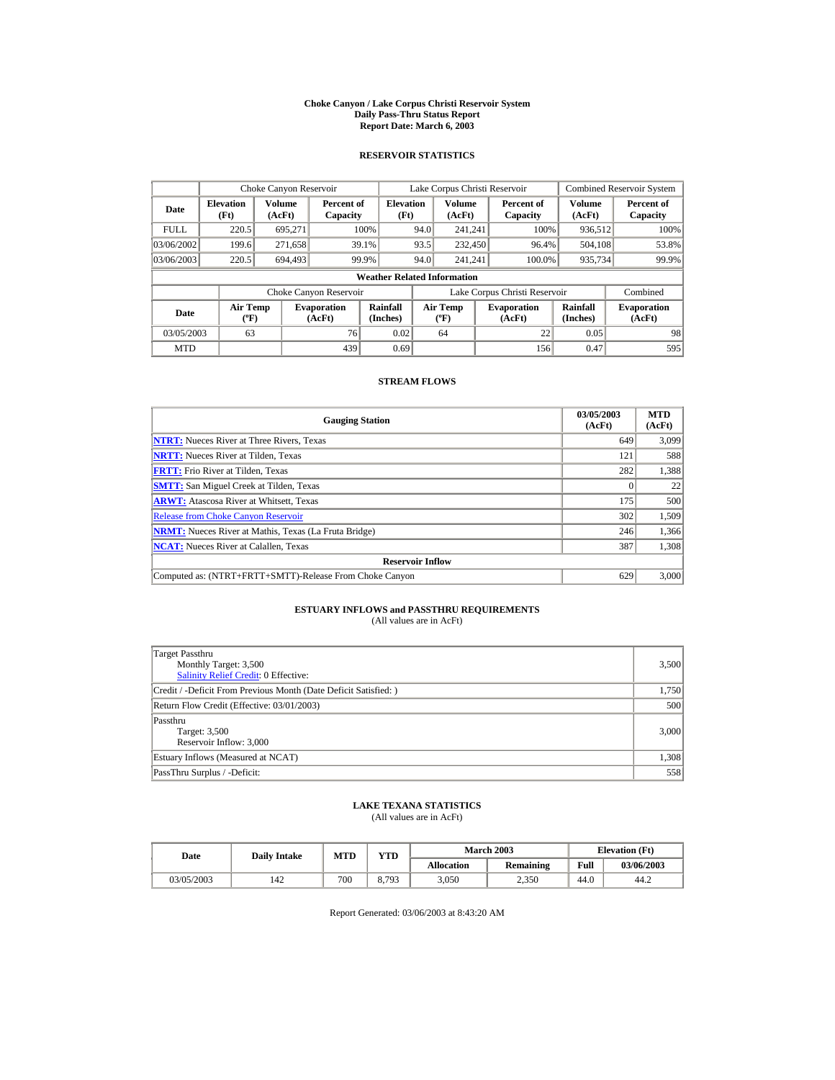#### **Choke Canyon / Lake Corpus Christi Reservoir System Daily Pass-Thru Status Report Report Date: March 6, 2003**

## **RESERVOIR STATISTICS**

|             | Choke Canyon Reservoir                |                         |                              |                          | Lake Corpus Christi Reservoir |                                          |  |                               |                         | <b>Combined Reservoir System</b> |  |  |  |
|-------------|---------------------------------------|-------------------------|------------------------------|--------------------------|-------------------------------|------------------------------------------|--|-------------------------------|-------------------------|----------------------------------|--|--|--|
| Date        | <b>Elevation</b><br>(Ft)              | <b>Volume</b><br>(AcFt) | Percent of<br>Capacity       | <b>Elevation</b><br>(Ft) |                               | <b>Volume</b><br>(AcFt)                  |  | Percent of<br>Capacity        | <b>Volume</b><br>(AcFt) | Percent of<br>Capacity           |  |  |  |
| <b>FULL</b> | 220.5                                 | 695.271                 |                              | 100%                     | 94.0                          | 241.241                                  |  | 100%                          | 936,512                 | 100%                             |  |  |  |
| 03/06/2002  | 199.6                                 | 271,658                 |                              | 39.1%                    | 93.5                          | 232,450                                  |  | 96.4%                         | 504.108                 | 53.8%                            |  |  |  |
| 03/06/2003  | 220.5                                 | 694.493                 |                              | 99.9%                    | 94.0                          | 241.241                                  |  | 100.0%                        | 935,734                 | 99.9%                            |  |  |  |
|             | <b>Weather Related Information</b>    |                         |                              |                          |                               |                                          |  |                               |                         |                                  |  |  |  |
|             |                                       |                         | Choke Canyon Reservoir       |                          |                               |                                          |  | Lake Corpus Christi Reservoir |                         | Combined                         |  |  |  |
| Date        | <b>Air Temp</b><br>$({}^o\mathrm{F})$ |                         | <b>Evaporation</b><br>(AcFt) | Rainfall<br>(Inches)     |                               | <b>Air Temp</b><br>$({}^{\circ}{\rm F})$ |  | <b>Evaporation</b><br>(AcFt)  | Rainfall<br>(Inches)    | <b>Evaporation</b><br>(AcFt)     |  |  |  |
| 03/05/2003  | 63                                    |                         | 76                           | 0.02                     |                               | 64                                       |  | 22                            | 0.05                    | 98                               |  |  |  |
| <b>MTD</b>  |                                       |                         | 439                          | 0.69                     |                               |                                          |  | 156                           | 0.47                    | 595                              |  |  |  |

## **STREAM FLOWS**

| <b>Gauging Station</b>                                       | 03/05/2003<br>(AcFt) | <b>MTD</b><br>(AcFt) |
|--------------------------------------------------------------|----------------------|----------------------|
| <b>NTRT:</b> Nueces River at Three Rivers, Texas             | 649                  | 3.099                |
| <b>NRTT:</b> Nueces River at Tilden, Texas                   | 121                  | 588                  |
| <b>FRTT:</b> Frio River at Tilden, Texas                     | 282                  | 1,388                |
| <b>SMTT:</b> San Miguel Creek at Tilden, Texas               |                      | 22                   |
| <b>ARWT:</b> Atascosa River at Whitsett, Texas               | 175                  | 500                  |
| <b>Release from Choke Canyon Reservoir</b>                   | 302                  | 1,509                |
| <b>NRMT:</b> Nueces River at Mathis, Texas (La Fruta Bridge) | 246                  | 1,366                |
| <b>NCAT:</b> Nueces River at Calallen, Texas                 | 387                  | 1,308                |
| <b>Reservoir Inflow</b>                                      |                      |                      |
| Computed as: (NTRT+FRTT+SMTT)-Release From Choke Canyon      | 629                  | 3,000                |

# **ESTUARY INFLOWS and PASSTHRU REQUIREMENTS**<br>(All values are in AcFt)

| Target Passthru<br>Monthly Target: 3,500<br><b>Salinity Relief Credit: 0 Effective:</b> | 3,500 |
|-----------------------------------------------------------------------------------------|-------|
| Credit / -Deficit From Previous Month (Date Deficit Satisfied:)                         | 1,750 |
| Return Flow Credit (Effective: 03/01/2003)                                              | 500   |
| Passthru<br>Target: 3,500<br>Reservoir Inflow: 3,000                                    | 3,000 |
| Estuary Inflows (Measured at NCAT)                                                      | 1,308 |
| PassThru Surplus / -Deficit:                                                            | 558   |

## **LAKE TEXANA STATISTICS**

(All values are in AcFt)

| Date       | <b>Daily Intake</b> | <b>MTD</b> | $\mathbf{v}\mathbf{T}\mathbf{D}$ |                   | <b>March 2003</b> | <b>Elevation</b> (Ft) |            |
|------------|---------------------|------------|----------------------------------|-------------------|-------------------|-----------------------|------------|
|            |                     |            |                                  | <b>Allocation</b> | Remaining         | Full                  | 03/06/2003 |
| 03/05/2003 | 142                 | 700        | 8.793                            | 3,050             | 2.350             | 44.0                  | 44.2       |

Report Generated: 03/06/2003 at 8:43:20 AM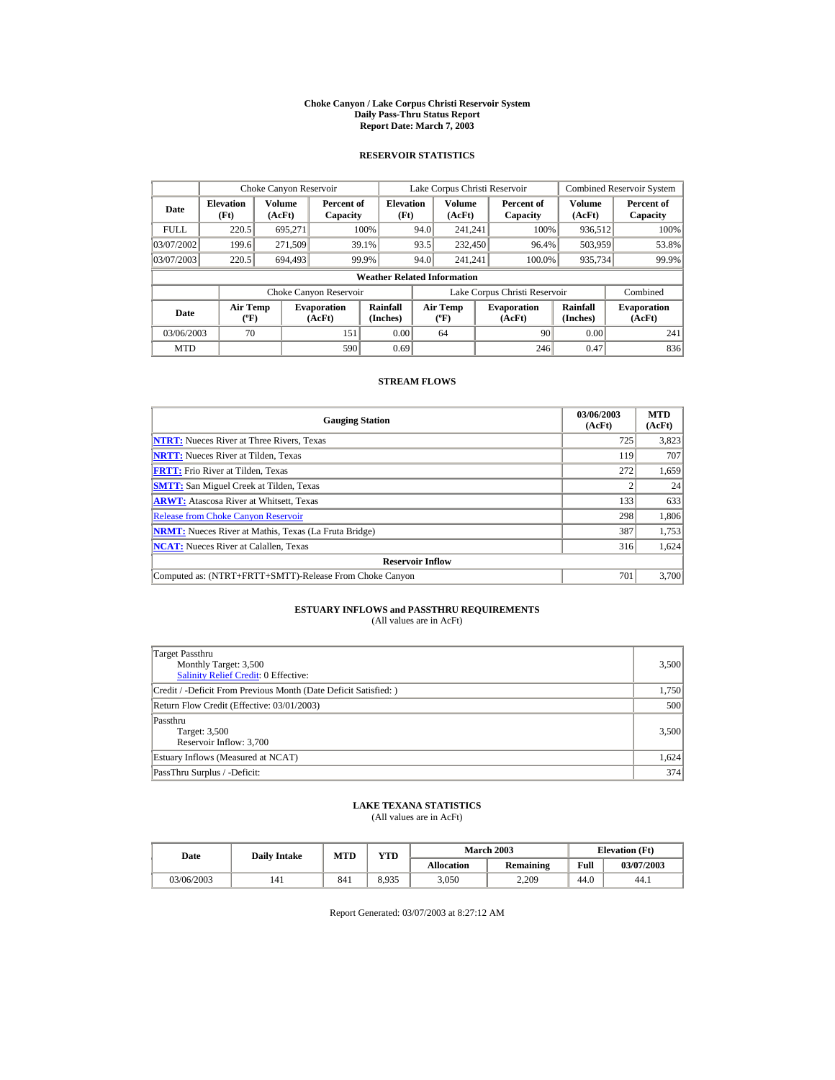#### **Choke Canyon / Lake Corpus Christi Reservoir System Daily Pass-Thru Status Report Report Date: March 7, 2003**

## **RESERVOIR STATISTICS**

|             | Choke Canyon Reservoir                      |                         |                              |                                    |      | Lake Corpus Christi Reservoir            |                               |                      | <b>Combined Reservoir System</b> |
|-------------|---------------------------------------------|-------------------------|------------------------------|------------------------------------|------|------------------------------------------|-------------------------------|----------------------|----------------------------------|
| Date        | <b>Elevation</b><br>(Ft)                    | <b>Volume</b><br>(AcFt) | Percent of<br>Capacity       | <b>Elevation</b><br>(Ft)           |      | Volume<br>(AcFt)                         | Percent of<br>Capacity        | Volume<br>(AcFt)     | Percent of<br>Capacity           |
| <b>FULL</b> | 220.5                                       | 695.271                 |                              | 100%                               | 94.0 | 241.241                                  | 100%                          | 936.512              | 100%                             |
| 03/07/2002  | 199.6                                       | 271,509                 |                              | 39.1%                              | 93.5 | 232,450                                  | 96.4%                         | 503,959              | 53.8%                            |
| 03/07/2003  | 220.5                                       | 694.493                 | 99.9%                        |                                    | 94.0 | 241.241                                  | 100.0%                        | 935,734              | 99.9%                            |
|             |                                             |                         |                              | <b>Weather Related Information</b> |      |                                          |                               |                      |                                  |
|             |                                             |                         | Choke Canyon Reservoir       |                                    |      |                                          | Lake Corpus Christi Reservoir |                      | Combined                         |
| Date        | <b>Air Temp</b><br>$({}^{\circ}\mathrm{F})$ |                         | <b>Evaporation</b><br>(AcFt) | Rainfall<br>(Inches)               |      | <b>Air Temp</b><br>$({}^{\circ}{\rm F})$ | <b>Evaporation</b><br>(AcFt)  | Rainfall<br>(Inches) | <b>Evaporation</b><br>(AcFt)     |
| 03/06/2003  | 70                                          |                         | 151                          | 0.00                               |      | 64                                       | 90                            | 0.00                 | 241                              |
| <b>MTD</b>  |                                             |                         | 590                          | 0.69                               |      |                                          | 246                           | 0.47                 | 836                              |

## **STREAM FLOWS**

| <b>Gauging Station</b>                                       | 03/06/2003<br>(AcFt) | <b>MTD</b><br>(AcFt) |
|--------------------------------------------------------------|----------------------|----------------------|
| <b>NTRT:</b> Nueces River at Three Rivers, Texas             | 725                  | 3,823                |
| <b>NRTT:</b> Nueces River at Tilden, Texas                   | 119                  | 707                  |
| <b>FRTT:</b> Frio River at Tilden, Texas                     | 272                  | 1,659                |
| <b>SMTT:</b> San Miguel Creek at Tilden, Texas               |                      | 24                   |
| <b>ARWT:</b> Atascosa River at Whitsett, Texas               | 133                  | 633                  |
| <b>Release from Choke Canyon Reservoir</b>                   | 298                  | 1,806                |
| <b>NRMT:</b> Nueces River at Mathis, Texas (La Fruta Bridge) | 387                  | 1,753                |
| <b>NCAT:</b> Nueces River at Calallen, Texas                 | 316                  | 1,624                |
| <b>Reservoir Inflow</b>                                      |                      |                      |
| Computed as: (NTRT+FRTT+SMTT)-Release From Choke Canyon      | 701                  | 3,700                |

# **ESTUARY INFLOWS and PASSTHRU REQUIREMENTS**<br>(All values are in AcFt)

| Target Passthru<br>Monthly Target: 3,500<br><b>Salinity Relief Credit: 0 Effective:</b> | 3,500 |
|-----------------------------------------------------------------------------------------|-------|
| Credit / -Deficit From Previous Month (Date Deficit Satisfied:)                         | 1,750 |
| Return Flow Credit (Effective: 03/01/2003)                                              | 500   |
| Passthru<br>Target: 3,500<br>Reservoir Inflow: 3,700                                    | 3,500 |
| Estuary Inflows (Measured at NCAT)                                                      | 1,624 |
| PassThru Surplus / -Deficit:                                                            | 374   |

## **LAKE TEXANA STATISTICS**

(All values are in AcFt)

| Date       | <b>Daily Intake</b> | <b>MTD</b> | VTD-  |                   | <b>March 2003</b> | <b>Elevation</b> (Ft) |            |
|------------|---------------------|------------|-------|-------------------|-------------------|-----------------------|------------|
|            |                     |            |       | <b>Allocation</b> | Remaining         | Full                  | 03/07/2003 |
| 03/06/2003 | 141                 | 841        | 8.935 | 3,050             | 2,209             | 44.0                  | 44.1       |

Report Generated: 03/07/2003 at 8:27:12 AM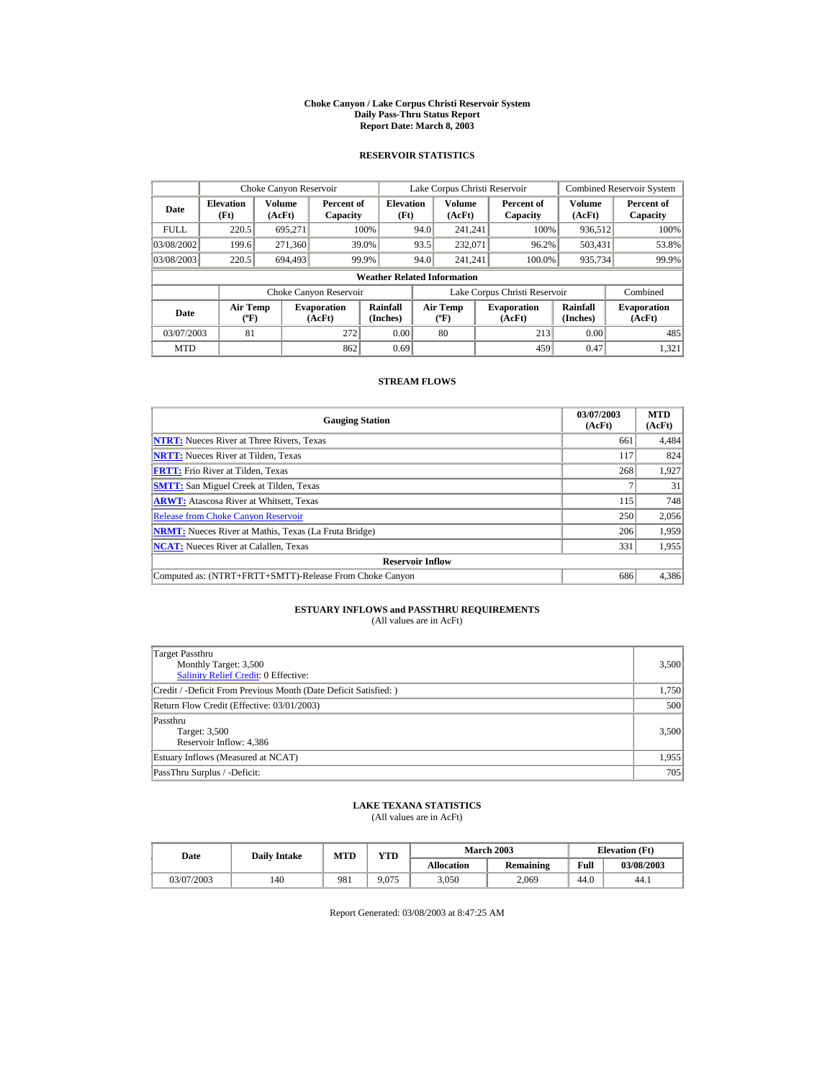#### **Choke Canyon / Lake Corpus Christi Reservoir System Daily Pass-Thru Status Report Report Date: March 8, 2003**

## **RESERVOIR STATISTICS**

|             | Choke Canyon Reservoir                                                                                                                                                                     |                  |                              |                                    |      | Lake Corpus Christi Reservoir |                               |                         | <b>Combined Reservoir System</b> |
|-------------|--------------------------------------------------------------------------------------------------------------------------------------------------------------------------------------------|------------------|------------------------------|------------------------------------|------|-------------------------------|-------------------------------|-------------------------|----------------------------------|
| Date        | <b>Elevation</b><br>(Ft)                                                                                                                                                                   | Volume<br>(AcFt) | Percent of<br>Capacity       | <b>Elevation</b><br>(Ft)           |      | Volume<br>(AcFt)              | Percent of<br>Capacity        | <b>Volume</b><br>(AcFt) | Percent of<br>Capacity           |
| <b>FULL</b> | 220.5                                                                                                                                                                                      | 695.271          |                              | 100%                               | 94.0 | 241.241                       | 100%                          | 936,512                 | 100%                             |
| 03/08/2002  | 199.6                                                                                                                                                                                      | 271,360          |                              | 39.0%                              | 93.5 | 232,071                       | 96.2%                         | 503.431                 | 53.8%                            |
| 03/08/2003  | 220.5                                                                                                                                                                                      | 694.493          |                              | 99.9%                              | 94.0 | 241.241                       | 100.0%                        | 935,734                 | 99.9%                            |
|             |                                                                                                                                                                                            |                  |                              | <b>Weather Related Information</b> |      |                               |                               |                         |                                  |
|             |                                                                                                                                                                                            |                  | Choke Canyon Reservoir       |                                    |      |                               | Lake Corpus Christi Reservoir |                         | Combined                         |
| Date        | Rainfall<br>Rainfall<br><b>Air Temp</b><br>Air Temp<br><b>Evaporation</b><br><b>Evaporation</b><br>(Inches)<br>(Inches)<br>$({}^o\mathrm{F})$<br>(AcFt)<br>(AcFt)<br>$({}^{\circ}{\rm F})$ |                  | <b>Evaporation</b><br>(AcFt) |                                    |      |                               |                               |                         |                                  |
| 03/07/2003  | 81                                                                                                                                                                                         |                  | 272                          | 0.00                               |      | 80                            | 213                           | 0.00                    | 485                              |
| <b>MTD</b>  |                                                                                                                                                                                            |                  | 862                          | 0.69                               |      |                               | 459                           | 0.47                    | 1.321                            |

## **STREAM FLOWS**

| <b>Gauging Station</b>                                       | 03/07/2003<br>(AcFt) | <b>MTD</b><br>(AcFt) |
|--------------------------------------------------------------|----------------------|----------------------|
| <b>NTRT:</b> Nueces River at Three Rivers. Texas             | 661                  | 4,484                |
| <b>NRTT:</b> Nueces River at Tilden, Texas                   | 117                  | 824                  |
| <b>FRTT:</b> Frio River at Tilden, Texas                     | 268                  | 1,927                |
| <b>SMTT:</b> San Miguel Creek at Tilden, Texas               |                      | 31                   |
| <b>ARWT:</b> Atascosa River at Whitsett, Texas               | 115                  | 748                  |
| <b>Release from Choke Canyon Reservoir</b>                   | 250                  | 2,056                |
| <b>NRMT:</b> Nueces River at Mathis, Texas (La Fruta Bridge) | 206                  | 1,959                |
| <b>NCAT:</b> Nueces River at Calallen, Texas                 | 331                  | 1,955                |
| <b>Reservoir Inflow</b>                                      |                      |                      |
| Computed as: (NTRT+FRTT+SMTT)-Release From Choke Canyon      | 686                  | 4,386                |

# **ESTUARY INFLOWS and PASSTHRU REQUIREMENTS**<br>(All values are in AcFt)

| Target Passthru<br>Monthly Target: 3,500<br><b>Salinity Relief Credit: 0 Effective:</b> | 3,500 |
|-----------------------------------------------------------------------------------------|-------|
| Credit / -Deficit From Previous Month (Date Deficit Satisfied:)                         | 1,750 |
| Return Flow Credit (Effective: 03/01/2003)                                              | 500   |
| Passthru<br>Target: 3,500<br>Reservoir Inflow: 4,386                                    | 3,500 |
| Estuary Inflows (Measured at NCAT)                                                      | 1,955 |
| PassThru Surplus / -Deficit:                                                            | 705   |

## **LAKE TEXANA STATISTICS**

(All values are in AcFt)

| Date       | <b>Daily Intake</b> | <b>MTD</b> |       | <b>March 2003</b><br>VTD- |           |      | <b>Elevation</b> (Ft) |
|------------|---------------------|------------|-------|---------------------------|-----------|------|-----------------------|
|            |                     |            |       | <b>Allocation</b>         | Remaining | Full | 03/08/2003            |
| 03/07/2003 | 140                 | 981        | 9.075 | 3,050                     | 2.069     | 44.0 | 44.1                  |

Report Generated: 03/08/2003 at 8:47:25 AM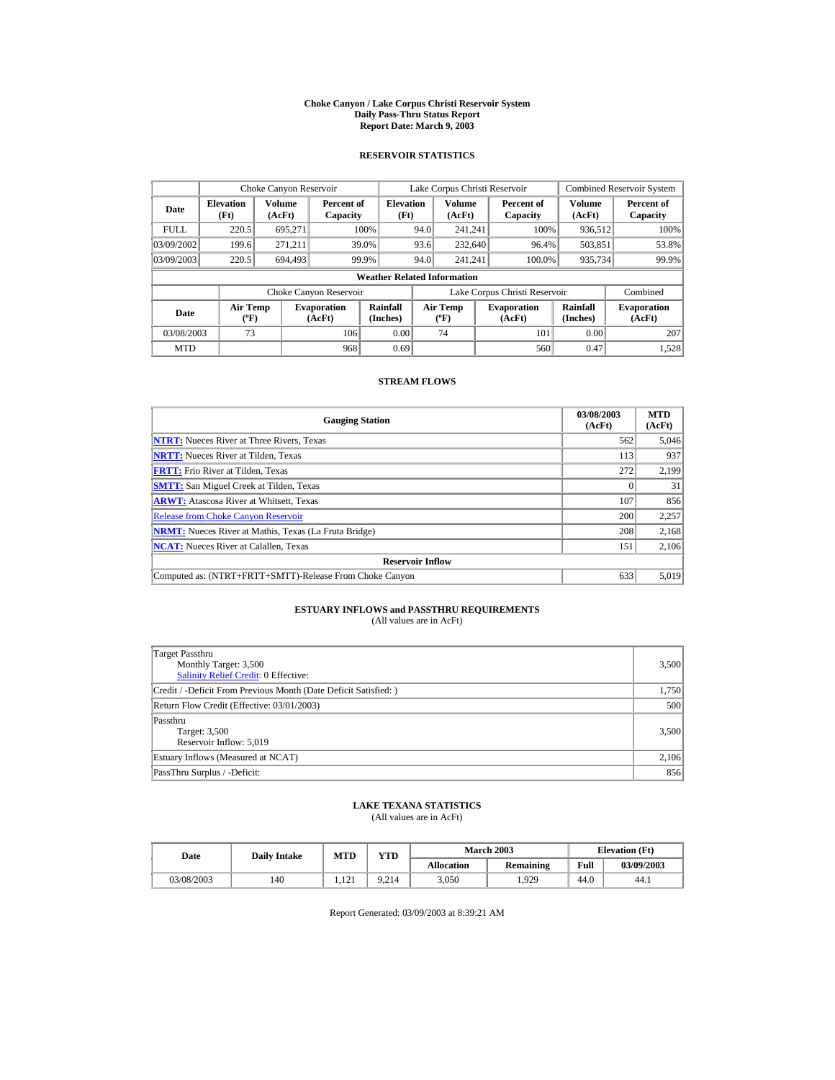#### **Choke Canyon / Lake Corpus Christi Reservoir System Daily Pass-Thru Status Report Report Date: March 9, 2003**

## **RESERVOIR STATISTICS**

|             | Choke Canyon Reservoir                      |                         |                              |                                    |      | Lake Corpus Christi Reservoir            |                               |                      | <b>Combined Reservoir System</b> |
|-------------|---------------------------------------------|-------------------------|------------------------------|------------------------------------|------|------------------------------------------|-------------------------------|----------------------|----------------------------------|
| Date        | <b>Elevation</b><br>(Ft)                    | <b>Volume</b><br>(AcFt) | Percent of<br>Capacity       | <b>Elevation</b><br>(Ft)           |      | Volume<br>(AcFt)                         | Percent of<br>Capacity        | Volume<br>(AcFt)     | Percent of<br>Capacity           |
| <b>FULL</b> | 220.5                                       | 695.271                 |                              | 100%                               | 94.0 | 241.241                                  | 100%                          | 936,512              | 100%                             |
| 03/09/2002  | 199.6                                       | 271.211                 |                              | 39.0%                              | 93.6 | 232,640                                  | 96.4%                         | 503,851              | 53.8%                            |
| 03/09/2003  | 220.5                                       | 694.493                 |                              | 99.9%                              | 94.0 | 241.241                                  | 100.0%                        | 935,734              | 99.9%                            |
|             |                                             |                         |                              | <b>Weather Related Information</b> |      |                                          |                               |                      |                                  |
|             |                                             |                         | Choke Canyon Reservoir       |                                    |      |                                          | Lake Corpus Christi Reservoir |                      | Combined                         |
| Date        | <b>Air Temp</b><br>$({}^{\circ}\mathrm{F})$ |                         | <b>Evaporation</b><br>(AcFt) | Rainfall<br>(Inches)               |      | <b>Air Temp</b><br>$({}^{\circ}{\rm F})$ | <b>Evaporation</b><br>(AcFt)  | Rainfall<br>(Inches) | <b>Evaporation</b><br>(AcFt)     |
| 03/08/2003  | 73                                          |                         | 106                          | 0.00                               |      | 74                                       | 101                           | 0.00                 | 207                              |
| <b>MTD</b>  |                                             |                         | 968                          | 0.69                               |      |                                          | 560                           | 0.47                 | 1.528                            |

## **STREAM FLOWS**

| <b>Gauging Station</b>                                       | 03/08/2003<br>(AcFt) | <b>MTD</b><br>(AcFt) |
|--------------------------------------------------------------|----------------------|----------------------|
| <b>NTRT:</b> Nueces River at Three Rivers, Texas             | 562                  | 5,046                |
| <b>NRTT:</b> Nueces River at Tilden. Texas                   | 113                  | 937                  |
| <b>FRTT:</b> Frio River at Tilden, Texas                     | 272                  | 2,199                |
| <b>SMTT:</b> San Miguel Creek at Tilden, Texas               |                      | 31                   |
| <b>ARWT:</b> Atascosa River at Whitsett, Texas               | 107                  | 856                  |
| <b>Release from Choke Canyon Reservoir</b>                   | 200                  | 2,257                |
| <b>NRMT:</b> Nueces River at Mathis, Texas (La Fruta Bridge) | 208                  | 2,168                |
| <b>NCAT:</b> Nueces River at Calallen, Texas                 | 151                  | 2.106                |
| <b>Reservoir Inflow</b>                                      |                      |                      |
| Computed as: (NTRT+FRTT+SMTT)-Release From Choke Canyon      | 633                  | 5,019                |

# **ESTUARY INFLOWS and PASSTHRU REQUIREMENTS**<br>(All values are in AcFt)

| Target Passthru<br>Monthly Target: 3,500<br><b>Salinity Relief Credit: 0 Effective:</b> | 3,500 |
|-----------------------------------------------------------------------------------------|-------|
| Credit / -Deficit From Previous Month (Date Deficit Satisfied:)                         | 1,750 |
| Return Flow Credit (Effective: 03/01/2003)                                              | 500   |
| Passthru<br>Target: 3,500<br>Reservoir Inflow: 5,019                                    | 3,500 |
| Estuary Inflows (Measured at NCAT)                                                      | 2,106 |
| PassThru Surplus / -Deficit:                                                            | 856   |

## **LAKE TEXANA STATISTICS**

(All values are in AcFt)

| Date |            | <b>Daily Intake</b> | <b>MTD</b>   | YTD   |                   | <b>March 2003</b> | <b>Elevation</b> (Ft) |            |
|------|------------|---------------------|--------------|-------|-------------------|-------------------|-----------------------|------------|
|      |            |                     |              |       | <b>Allocation</b> | Remaining         | Full                  | 03/09/2003 |
|      | 03/08/2003 | 140                 | 121<br>1.121 | 9.214 | 3,050             | .929              | 44.0                  | 44.1       |

Report Generated: 03/09/2003 at 8:39:21 AM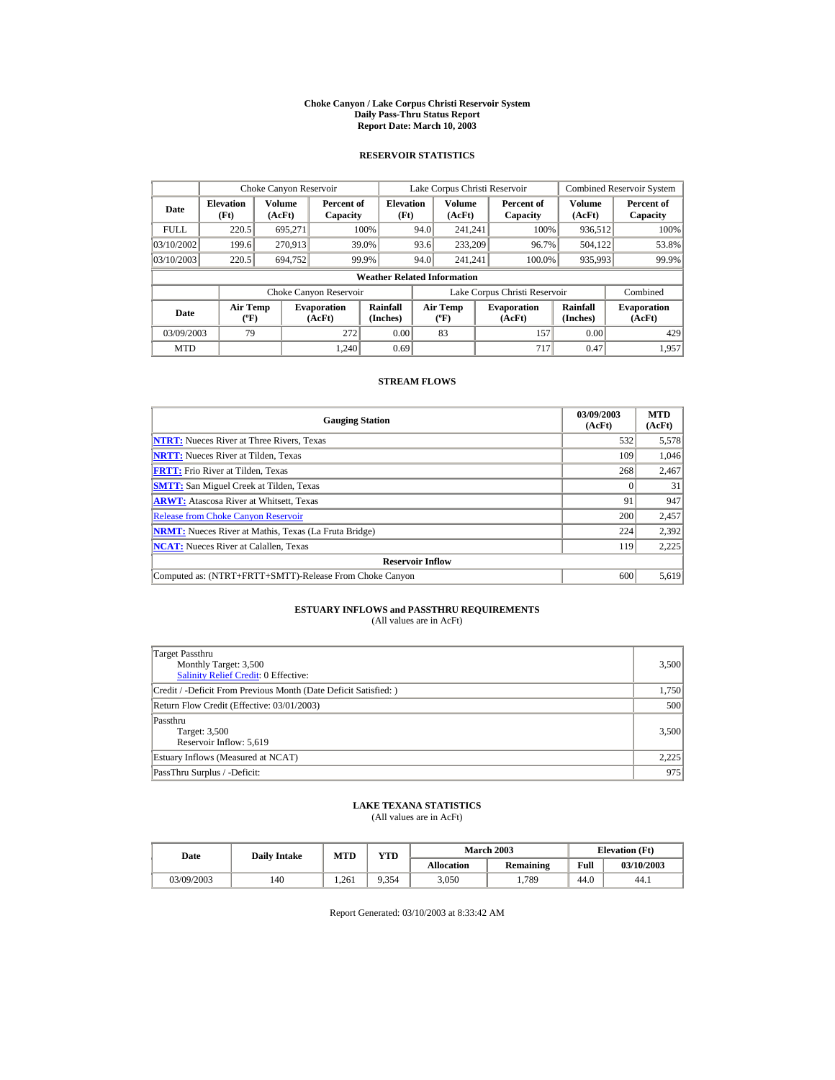#### **Choke Canyon / Lake Corpus Christi Reservoir System Daily Pass-Thru Status Report Report Date: March 10, 2003**

## **RESERVOIR STATISTICS**

|             | Choke Canyon Reservoir             |                  |                              |                          |      | Lake Corpus Christi Reservoir     |  |                               |                         | <b>Combined Reservoir System</b> |  |  |
|-------------|------------------------------------|------------------|------------------------------|--------------------------|------|-----------------------------------|--|-------------------------------|-------------------------|----------------------------------|--|--|
| Date        | <b>Elevation</b><br>(Ft)           | Volume<br>(AcFt) | Percent of<br>Capacity       | <b>Elevation</b><br>(Ft) |      | Volume<br>(AcFt)                  |  | Percent of<br>Capacity        | <b>Volume</b><br>(AcFt) | Percent of<br>Capacity           |  |  |
| <b>FULL</b> | 220.5                              | 695.271          |                              | 100%                     | 94.0 | 241.241                           |  | 100%                          | 936,512                 | 100%                             |  |  |
| 03/10/2002  | 199.6                              | 270.913          |                              | 39.0%                    | 93.6 | 233,209                           |  | 96.7%                         | 504.122                 | 53.8%                            |  |  |
| 03/10/2003  | 220.5                              | 694.752          |                              | 99.9%                    | 94.0 | 241.241                           |  | 100.0%                        | 935,993                 | 99.9%                            |  |  |
|             | <b>Weather Related Information</b> |                  |                              |                          |      |                                   |  |                               |                         |                                  |  |  |
|             |                                    |                  | Choke Canyon Reservoir       |                          |      |                                   |  | Lake Corpus Christi Reservoir |                         | Combined                         |  |  |
| Date        | Air Temp<br>$({}^o\mathrm{F})$     |                  | <b>Evaporation</b><br>(AcFt) | Rainfall<br>(Inches)     |      | Air Temp<br>$({}^{\circ}{\rm F})$ |  | <b>Evaporation</b><br>(AcFt)  | Rainfall<br>(Inches)    | <b>Evaporation</b><br>(AcFt)     |  |  |
| 03/09/2003  | 79                                 |                  | 272                          | 0.00                     |      | 83                                |  | 157                           | 0.00                    | 429                              |  |  |
| <b>MTD</b>  |                                    |                  | 1.240                        | 0.69                     |      |                                   |  | 717                           | 0.47                    | 1.957                            |  |  |

## **STREAM FLOWS**

| <b>Gauging Station</b>                                       | 03/09/2003<br>(AcFt) | <b>MTD</b><br>(AcFt) |
|--------------------------------------------------------------|----------------------|----------------------|
| <b>NTRT:</b> Nueces River at Three Rivers, Texas             | 532                  | 5,578                |
| <b>NRTT:</b> Nueces River at Tilden, Texas                   | 109                  | 1,046                |
| <b>FRTT:</b> Frio River at Tilden. Texas                     | 268                  | 2,467                |
| <b>SMTT:</b> San Miguel Creek at Tilden, Texas               |                      | 31                   |
| <b>ARWT:</b> Atascosa River at Whitsett, Texas               | 91                   | 947                  |
| <b>Release from Choke Canyon Reservoir</b>                   | 200                  | 2,457                |
| <b>NRMT:</b> Nueces River at Mathis, Texas (La Fruta Bridge) | 224                  | 2,392                |
| <b>NCAT:</b> Nueces River at Calallen, Texas                 | 119                  | 2,225                |
| <b>Reservoir Inflow</b>                                      |                      |                      |
| Computed as: (NTRT+FRTT+SMTT)-Release From Choke Canyon      | 600                  | 5,619                |

# **ESTUARY INFLOWS and PASSTHRU REQUIREMENTS**<br>(All values are in AcFt)

| Target Passthru<br>Monthly Target: 3,500<br>Salinity Relief Credit: 0 Effective: | 3,500 |
|----------------------------------------------------------------------------------|-------|
| Credit / -Deficit From Previous Month (Date Deficit Satisfied:)                  | 1,750 |
| Return Flow Credit (Effective: 03/01/2003)                                       | 500   |
| Passthru<br>Target: 3,500<br>Reservoir Inflow: 5,619                             | 3,500 |
| Estuary Inflows (Measured at NCAT)                                               | 2,225 |
| PassThru Surplus / -Deficit:                                                     | 975   |

## **LAKE TEXANA STATISTICS**

(All values are in AcFt)

| Date       | <b>Daily Intake</b> | <b>MTD</b> | $\mathbf{v}\mathbf{T}\mathbf{D}$ |                   | <b>March 2003</b> | <b>Elevation</b> (Ft) |            |
|------------|---------------------|------------|----------------------------------|-------------------|-------------------|-----------------------|------------|
|            |                     |            |                                  | <b>Allocation</b> | Remaining         | Full                  | 03/10/2003 |
| 03/09/2003 | 140                 | .261       | 9.354                            | 3,050             | .,789             | 44.0                  | 44.1       |

Report Generated: 03/10/2003 at 8:33:42 AM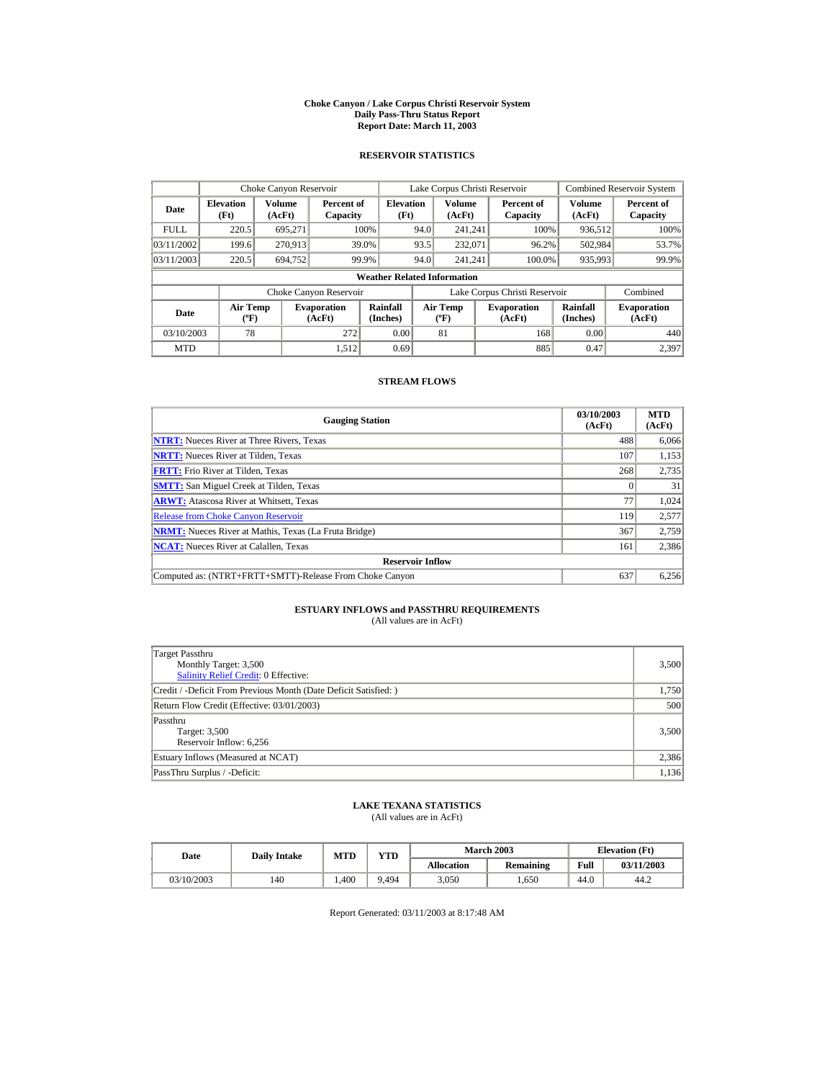#### **Choke Canyon / Lake Corpus Christi Reservoir System Daily Pass-Thru Status Report Report Date: March 11, 2003**

## **RESERVOIR STATISTICS**

|             | Choke Canyon Reservoir                      |                         |                              |                          |      | Lake Corpus Christi Reservoir           |  |                               |                      | <b>Combined Reservoir System</b> |  |  |
|-------------|---------------------------------------------|-------------------------|------------------------------|--------------------------|------|-----------------------------------------|--|-------------------------------|----------------------|----------------------------------|--|--|
| Date        | <b>Elevation</b><br>(Ft)                    | <b>Volume</b><br>(AcFt) | Percent of<br>Capacity       | <b>Elevation</b><br>(Ft) |      | <b>Volume</b><br>(AcFt)                 |  | Percent of<br>Capacity        | Volume<br>(AcFt)     | Percent of<br>Capacity           |  |  |
| <b>FULL</b> | 220.5                                       | 695.271                 |                              | 100%                     | 94.0 | 241.241                                 |  | 100%                          | 936,512              | 100%                             |  |  |
| 03/11/2002  | 199.6                                       | 270,913                 |                              | 39.0%                    | 93.5 | 232,071                                 |  | 96.2%                         | 502,984              | 53.7%                            |  |  |
| 03/11/2003  | 220.5                                       | 694,752                 | 99.9%                        |                          | 94.0 | 241.241                                 |  | 100.0%                        | 935,993              | 99.9%                            |  |  |
|             | <b>Weather Related Information</b>          |                         |                              |                          |      |                                         |  |                               |                      |                                  |  |  |
|             |                                             |                         | Choke Canyon Reservoir       |                          |      |                                         |  | Lake Corpus Christi Reservoir |                      | Combined                         |  |  |
| <b>Date</b> | <b>Air Temp</b><br>$({}^{\circ}\mathrm{F})$ |                         | <b>Evaporation</b><br>(AcFt) | Rainfall<br>(Inches)     |      | <b>Air Temp</b><br>$(^{\circ}\text{F})$ |  | <b>Evaporation</b><br>(AcFt)  | Rainfall<br>(Inches) | <b>Evaporation</b><br>(AcFt)     |  |  |
| 03/10/2003  | 78                                          |                         | 272                          | 0.00                     |      | 81                                      |  | 168                           | 0.00                 | 440                              |  |  |
| <b>MTD</b>  |                                             |                         | 1.512                        | 0.69                     |      |                                         |  | 885                           | 0.47                 | 2.397                            |  |  |

## **STREAM FLOWS**

| <b>Gauging Station</b>                                       | 03/10/2003<br>(AcFt) | <b>MTD</b><br>(AcFt) |
|--------------------------------------------------------------|----------------------|----------------------|
| <b>NTRT:</b> Nueces River at Three Rivers, Texas             | 488                  | 6,066                |
| <b>NRTT:</b> Nueces River at Tilden, Texas                   | 107                  | 1,153                |
| <b>FRTT:</b> Frio River at Tilden. Texas                     | 268                  | 2.735                |
| <b>SMTT:</b> San Miguel Creek at Tilden, Texas               |                      | 31                   |
| <b>ARWT:</b> Atascosa River at Whitsett, Texas               | 77                   | 1,024                |
| <b>Release from Choke Canyon Reservoir</b>                   | 119                  | 2,577                |
| <b>NRMT:</b> Nueces River at Mathis, Texas (La Fruta Bridge) | 367                  | 2,759                |
| <b>NCAT:</b> Nueces River at Calallen, Texas                 | 161                  | 2,386                |
| <b>Reservoir Inflow</b>                                      |                      |                      |
| Computed as: (NTRT+FRTT+SMTT)-Release From Choke Canyon      | 637                  | 6,256                |

# **ESTUARY INFLOWS and PASSTHRU REQUIREMENTS**<br>(All values are in AcFt)

| Target Passthru<br>Monthly Target: 3,500<br>Salinity Relief Credit: 0 Effective: | 3,500 |
|----------------------------------------------------------------------------------|-------|
| Credit / -Deficit From Previous Month (Date Deficit Satisfied:)                  | 1,750 |
| Return Flow Credit (Effective: 03/01/2003)                                       | 500   |
| Passthru<br>Target: 3,500<br>Reservoir Inflow: 6,256                             | 3,500 |
| Estuary Inflows (Measured at NCAT)                                               | 2,386 |
| PassThru Surplus / -Deficit:                                                     | 1,136 |

## **LAKE TEXANA STATISTICS**

(All values are in AcFt)

| Date       | <b>Daily Intake</b> | YTD<br><b>MTD</b> |       |                   | <b>March 2003</b> | <b>Elevation</b> (Ft) |            |
|------------|---------------------|-------------------|-------|-------------------|-------------------|-----------------------|------------|
|            |                     |                   |       | <b>Allocation</b> | Remaining         | Full                  | 03/11/2003 |
| 03/10/2003 | 140                 | .400              | 9.494 | 3.050             | .650              | 44.0                  | 44.2       |

Report Generated: 03/11/2003 at 8:17:48 AM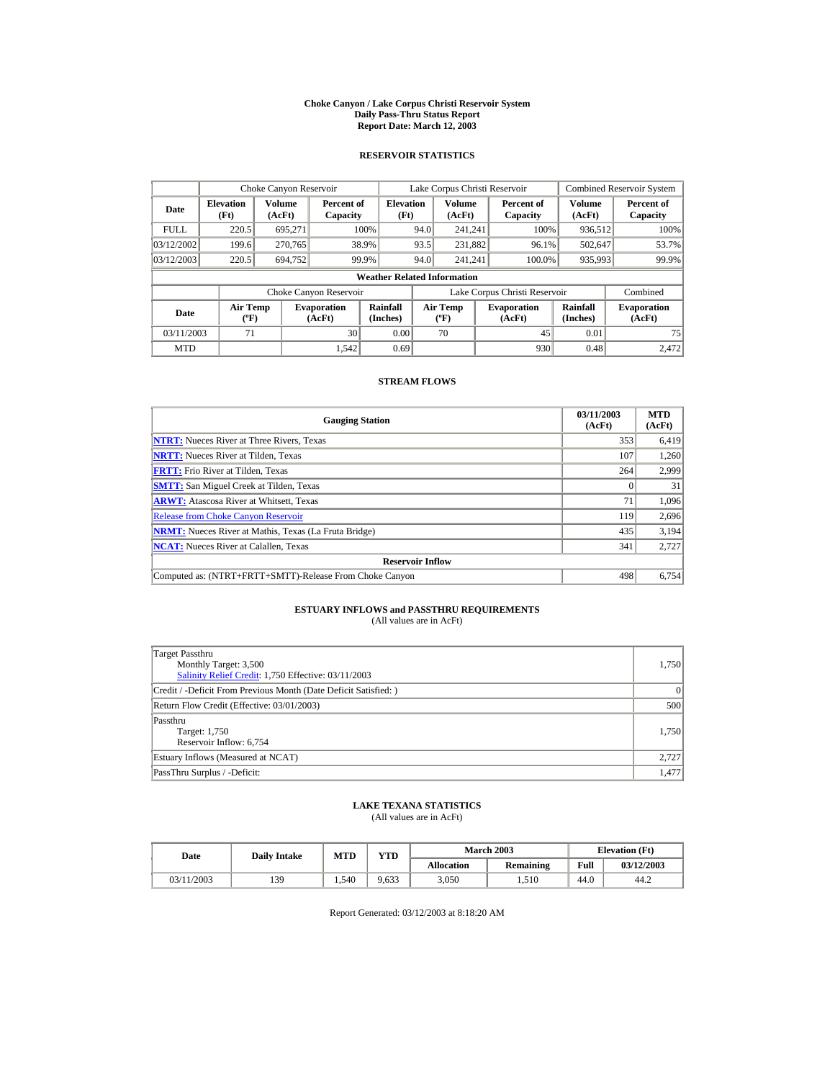#### **Choke Canyon / Lake Corpus Christi Reservoir System Daily Pass-Thru Status Report Report Date: March 12, 2003**

## **RESERVOIR STATISTICS**

|             | Choke Canyon Reservoir                      |                  |                              |                          |      | Lake Corpus Christi Reservoir             |  |                               |                      | <b>Combined Reservoir System</b> |  |  |
|-------------|---------------------------------------------|------------------|------------------------------|--------------------------|------|-------------------------------------------|--|-------------------------------|----------------------|----------------------------------|--|--|
| Date        | <b>Elevation</b><br>(Ft)                    | Volume<br>(AcFt) | Percent of<br>Capacity       | <b>Elevation</b><br>(Ft) |      | Volume<br>(AcFt)                          |  | Percent of<br>Capacity        | Volume<br>(AcFt)     | Percent of<br>Capacity           |  |  |
| <b>FULL</b> | 220.5                                       | 695,271          |                              | 100%                     | 94.0 | 241.241                                   |  | 100%                          | 936,512              | 100%                             |  |  |
| 03/12/2002  | 199.6                                       | 270.765          |                              | 38.9%                    | 93.5 | 231,882                                   |  | 96.1%                         | 502,647              | 53.7%                            |  |  |
| 03/12/2003  | 220.5                                       | 694.752          |                              | 99.9%                    | 94.0 | 241.241                                   |  | 100.0%                        | 935,993              | 99.9%                            |  |  |
|             | <b>Weather Related Information</b>          |                  |                              |                          |      |                                           |  |                               |                      |                                  |  |  |
|             |                                             |                  | Choke Canyon Reservoir       |                          |      |                                           |  | Lake Corpus Christi Reservoir |                      | Combined                         |  |  |
| Date        | <b>Air Temp</b><br>$({}^{\circ}\mathrm{F})$ |                  | <b>Evaporation</b><br>(AcFt) | Rainfall<br>(Inches)     |      | <b>Air Temp</b><br>$({}^{\circ}\text{F})$ |  | <b>Evaporation</b><br>(AcFt)  | Rainfall<br>(Inches) | <b>Evaporation</b><br>(AcFt)     |  |  |
| 03/11/2003  | 71                                          |                  | 30                           | 0.00                     |      | 70                                        |  | 45                            | 0.01                 | 75                               |  |  |
| <b>MTD</b>  |                                             |                  | 1.542                        | 0.69                     |      |                                           |  | 930                           | 0.48                 | 2.472                            |  |  |

## **STREAM FLOWS**

| <b>Gauging Station</b>                                       | 03/11/2003<br>(AcFt) | <b>MTD</b><br>(AcFt) |
|--------------------------------------------------------------|----------------------|----------------------|
| <b>NTRT:</b> Nueces River at Three Rivers, Texas             | 353                  | 6,419                |
| <b>NRTT:</b> Nueces River at Tilden, Texas                   | 107                  | 1,260                |
| <b>FRTT:</b> Frio River at Tilden, Texas                     | 264                  | 2,999                |
| <b>SMTT:</b> San Miguel Creek at Tilden, Texas               |                      | 31                   |
| <b>ARWT:</b> Atascosa River at Whitsett, Texas               | 71                   | 1,096                |
| <b>Release from Choke Canyon Reservoir</b>                   | 119                  | 2,696                |
| <b>NRMT:</b> Nueces River at Mathis, Texas (La Fruta Bridge) | 435                  | 3.194                |
| <b>NCAT:</b> Nueces River at Calallen, Texas                 | 341                  | 2,727                |
| <b>Reservoir Inflow</b>                                      |                      |                      |
| Computed as: (NTRT+FRTT+SMTT)-Release From Choke Canyon      | 498                  | 6,754                |

# **ESTUARY INFLOWS and PASSTHRU REQUIREMENTS**<br>(All values are in AcFt)

| Target Passthru<br>Monthly Target: 3,500<br>Salinity Relief Credit: 1,750 Effective: 03/11/2003 | 1,750 |
|-------------------------------------------------------------------------------------------------|-------|
| Credit / -Deficit From Previous Month (Date Deficit Satisfied:)                                 | 0     |
| Return Flow Credit (Effective: 03/01/2003)                                                      | 500   |
| Passthru<br>Target: 1,750<br>Reservoir Inflow: 6,754                                            | 1.750 |
| Estuary Inflows (Measured at NCAT)                                                              | 2,727 |
| PassThru Surplus / -Deficit:                                                                    | 1.477 |

## **LAKE TEXANA STATISTICS**

(All values are in AcFt)

| Date       | <b>Daily Intake</b> | <b>MTD</b> | <b>VTD</b> |                   | <b>March 2003</b> | <b>Elevation</b> (Ft) |            |
|------------|---------------------|------------|------------|-------------------|-------------------|-----------------------|------------|
|            |                     |            |            | <b>Allocation</b> | Remaining         | Full                  | 03/12/2003 |
| 03/11/2003 | 139                 | . .540     | 9,633      | 3,050             | 1,510             | 44.0                  | 44.2       |

Report Generated: 03/12/2003 at 8:18:20 AM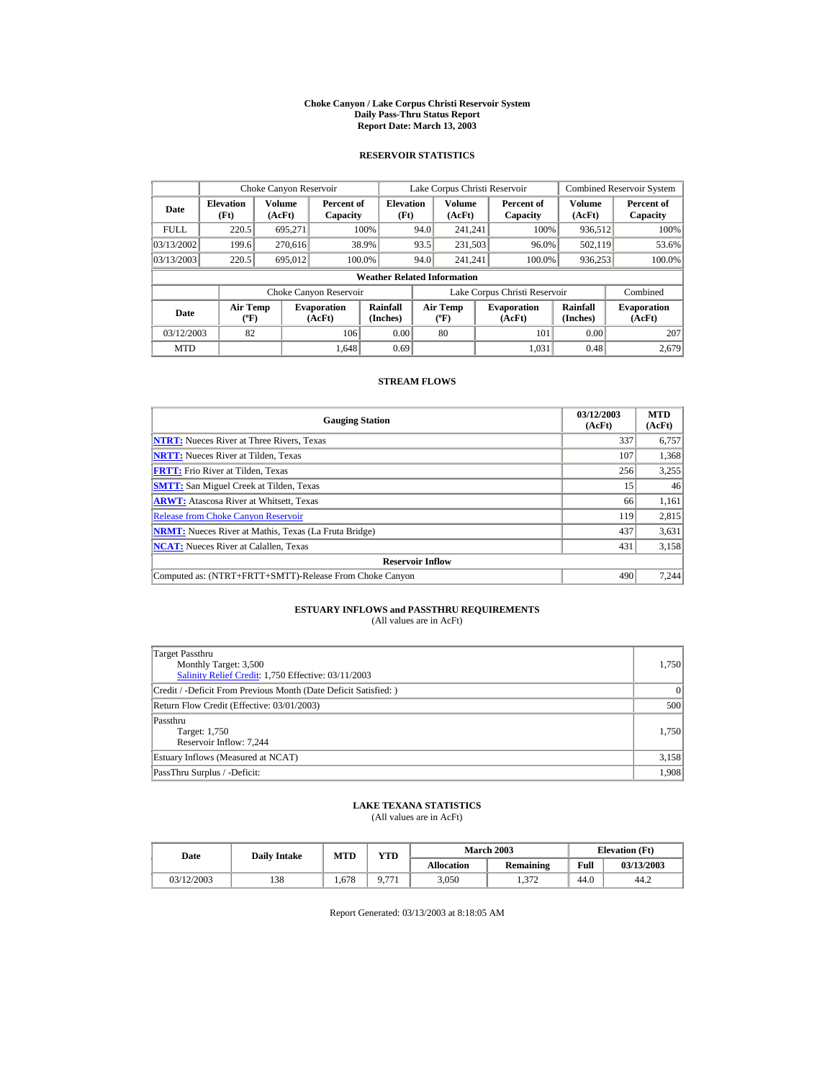#### **Choke Canyon / Lake Corpus Christi Reservoir System Daily Pass-Thru Status Report Report Date: March 13, 2003**

## **RESERVOIR STATISTICS**

|             | Choke Canyon Reservoir                      |                         |                              |                          | Lake Corpus Christi Reservoir |                                                  |  |                               |                         | <b>Combined Reservoir System</b> |  |  |
|-------------|---------------------------------------------|-------------------------|------------------------------|--------------------------|-------------------------------|--------------------------------------------------|--|-------------------------------|-------------------------|----------------------------------|--|--|
| Date        | <b>Elevation</b><br>(Ft)                    | <b>Volume</b><br>(AcFt) | Percent of<br>Capacity       | <b>Elevation</b><br>(Ft) |                               | <b>Volume</b><br>(AcFt)                          |  | Percent of<br>Capacity        | <b>Volume</b><br>(AcFt) | Percent of<br>Capacity           |  |  |
| <b>FULL</b> | 220.5                                       | 695.271                 |                              | 100%                     | 94.0                          | 241.241                                          |  | 100%                          | 936,512                 | 100%                             |  |  |
| 03/13/2002  | 199.6                                       | 270.616                 |                              | 38.9%                    | 93.5                          | 231,503                                          |  | 96.0%                         | 502,119                 | 53.6%                            |  |  |
| 03/13/2003  | 220.5                                       | 695,012                 |                              | 100.0%                   | 94.0                          | 241.241                                          |  | 100.0%                        | 936,253                 | 100.0%                           |  |  |
|             | <b>Weather Related Information</b>          |                         |                              |                          |                               |                                                  |  |                               |                         |                                  |  |  |
|             |                                             |                         | Choke Canyon Reservoir       |                          |                               |                                                  |  | Lake Corpus Christi Reservoir |                         | Combined                         |  |  |
| Date        | <b>Air Temp</b><br>$({}^{\circ}\mathrm{F})$ |                         | <b>Evaporation</b><br>(AcFt) | Rainfall<br>(Inches)     |                               | <b>Air Temp</b><br>$({}^{\mathrm{o}}\mathrm{F})$ |  | <b>Evaporation</b><br>(AcFt)  | Rainfall<br>(Inches)    | <b>Evaporation</b><br>(AcFt)     |  |  |
| 03/12/2003  | 82                                          |                         | 106                          | 0.00                     |                               | 80                                               |  | 101                           | 0.00                    | 207                              |  |  |
| <b>MTD</b>  |                                             |                         | 1.648                        | 0.69                     |                               |                                                  |  | 1.031                         | 0.48                    | 2.679                            |  |  |

## **STREAM FLOWS**

| <b>Gauging Station</b>                                       | 03/12/2003<br>(AcFt) | <b>MTD</b><br>(AcFt) |
|--------------------------------------------------------------|----------------------|----------------------|
| <b>NTRT:</b> Nueces River at Three Rivers, Texas             | 337                  | 6,757                |
| <b>NRTT:</b> Nueces River at Tilden, Texas                   | 107                  | 1,368                |
| <b>FRTT:</b> Frio River at Tilden. Texas                     | 256                  | 3,255                |
| <b>SMTT:</b> San Miguel Creek at Tilden, Texas               | 15                   | 46                   |
| <b>ARWT:</b> Atascosa River at Whitsett, Texas               | 66                   | 1,161                |
| <b>Release from Choke Canyon Reservoir</b>                   | 119                  | 2,815                |
| <b>NRMT:</b> Nueces River at Mathis, Texas (La Fruta Bridge) | 437                  | 3,631                |
| <b>NCAT:</b> Nueces River at Calallen, Texas                 | 431                  | 3,158                |
| <b>Reservoir Inflow</b>                                      |                      |                      |
| Computed as: (NTRT+FRTT+SMTT)-Release From Choke Canyon      | 490                  | 7.244                |

# **ESTUARY INFLOWS and PASSTHRU REQUIREMENTS**<br>(All values are in AcFt)

| Target Passthru<br>Monthly Target: 3,500<br>Salinity Relief Credit: 1,750 Effective: 03/11/2003 | 1,750 |
|-------------------------------------------------------------------------------------------------|-------|
| Credit / -Deficit From Previous Month (Date Deficit Satisfied:)                                 | 0     |
| Return Flow Credit (Effective: 03/01/2003)                                                      | 500   |
| Passthru<br>Target: 1,750<br>Reservoir Inflow: 7,244                                            | 1.750 |
| Estuary Inflows (Measured at NCAT)                                                              | 3,158 |
| PassThru Surplus / -Deficit:                                                                    | 1,908 |

## **LAKE TEXANA STATISTICS**

(All values are in AcFt)

| Date       | <b>Daily Intake</b> | MTD  | VTD  |                   | <b>March 2003</b> | <b>Elevation</b> (Ft) |            |
|------------|---------------------|------|------|-------------------|-------------------|-----------------------|------------|
|            |                     |      |      | <b>Allocation</b> | Remaining         | Full                  | 03/13/2003 |
| 03/12/2003 | 138                 | .678 | 0.77 | 3,050             | 1.372             | 44.0                  | 44.2       |

Report Generated: 03/13/2003 at 8:18:05 AM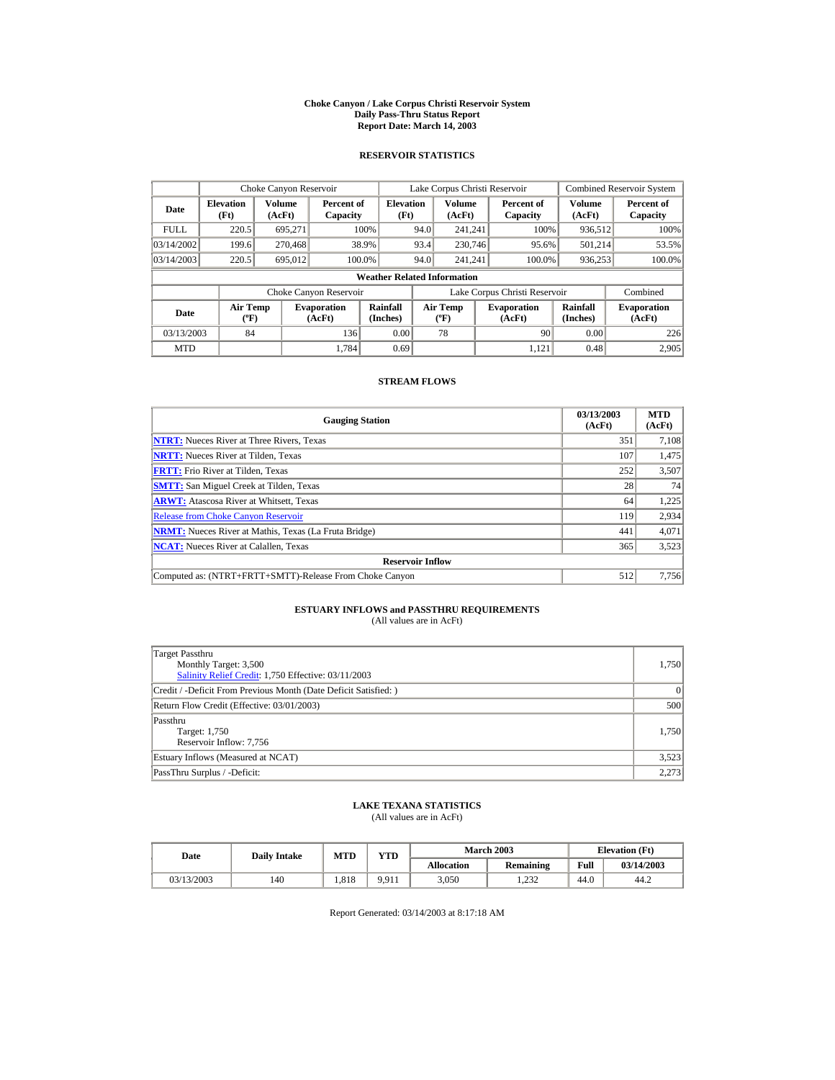#### **Choke Canyon / Lake Corpus Christi Reservoir System Daily Pass-Thru Status Report Report Date: March 14, 2003**

## **RESERVOIR STATISTICS**

|             | Choke Canyon Reservoir                      |                  |                              |                          |      | Lake Corpus Christi Reservoir             |  |                               |                      | <b>Combined Reservoir System</b> |  |  |
|-------------|---------------------------------------------|------------------|------------------------------|--------------------------|------|-------------------------------------------|--|-------------------------------|----------------------|----------------------------------|--|--|
| Date        | <b>Elevation</b><br>(Ft)                    | Volume<br>(AcFt) | Percent of<br>Capacity       | <b>Elevation</b><br>(Ft) |      | Volume<br>(AcFt)                          |  | Percent of<br>Capacity        | Volume<br>(AcFt)     | Percent of<br>Capacity           |  |  |
| <b>FULL</b> | 220.5                                       | 695,271          |                              | 100%                     | 94.0 | 241.241                                   |  | 100%                          | 936,512              | 100%                             |  |  |
| 03/14/2002  | 199.6                                       | 270,468          |                              | 38.9%                    | 93.4 | 230,746                                   |  | 95.6%                         | 501,214              | 53.5%                            |  |  |
| 03/14/2003  | 220.5                                       | 695.012          |                              | 100.0%                   | 94.0 | 241.241                                   |  | 100.0%                        | 936,253              | 100.0%                           |  |  |
|             | <b>Weather Related Information</b>          |                  |                              |                          |      |                                           |  |                               |                      |                                  |  |  |
|             |                                             |                  | Choke Canyon Reservoir       |                          |      |                                           |  | Lake Corpus Christi Reservoir |                      | Combined                         |  |  |
| Date        | <b>Air Temp</b><br>$({}^{\circ}\mathrm{F})$ |                  | <b>Evaporation</b><br>(AcFt) | Rainfall<br>(Inches)     |      | <b>Air Temp</b><br>$({}^{\circ}\text{F})$ |  | <b>Evaporation</b><br>(AcFt)  | Rainfall<br>(Inches) | <b>Evaporation</b><br>(AcFt)     |  |  |
| 03/13/2003  | 84                                          |                  | 136                          | 0.00                     |      | 78                                        |  | 90                            | 0.00                 | 226                              |  |  |
| <b>MTD</b>  |                                             |                  | 1.784                        | 0.69                     |      |                                           |  | 1.121                         | 0.48                 | 2,905                            |  |  |

## **STREAM FLOWS**

| <b>Gauging Station</b>                                       | 03/13/2003<br>(AcFt) | <b>MTD</b><br>(AcFt) |
|--------------------------------------------------------------|----------------------|----------------------|
| <b>NTRT:</b> Nueces River at Three Rivers, Texas             | 351                  | 7,108                |
| <b>NRTT:</b> Nueces River at Tilden, Texas                   | 107                  | 1,475                |
| <b>FRTT:</b> Frio River at Tilden, Texas                     | 252                  | 3,507                |
| <b>SMTT:</b> San Miguel Creek at Tilden, Texas               | 28                   | 74                   |
| <b>ARWT:</b> Atascosa River at Whitsett, Texas               | 64                   | 1,225                |
| <b>Release from Choke Canyon Reservoir</b>                   | 119                  | 2,934                |
| <b>NRMT:</b> Nueces River at Mathis, Texas (La Fruta Bridge) | 441                  | 4,071                |
| <b>NCAT:</b> Nueces River at Calallen, Texas                 | 365                  | 3,523                |
| <b>Reservoir Inflow</b>                                      |                      |                      |
| Computed as: (NTRT+FRTT+SMTT)-Release From Choke Canyon      | 512                  | 7,756                |

# **ESTUARY INFLOWS and PASSTHRU REQUIREMENTS**<br>(All values are in AcFt)

| Target Passthru<br>Monthly Target: 3,500<br>Salinity Relief Credit: 1,750 Effective: 03/11/2003 | 1,750 |
|-------------------------------------------------------------------------------------------------|-------|
| Credit / -Deficit From Previous Month (Date Deficit Satisfied:)                                 | 0     |
| Return Flow Credit (Effective: 03/01/2003)                                                      | 500   |
| Passthru<br>Target: 1,750<br>Reservoir Inflow: 7,756                                            | 1.750 |
| Estuary Inflows (Measured at NCAT)                                                              | 3,523 |
| PassThru Surplus / -Deficit:                                                                    | 2.273 |

## **LAKE TEXANA STATISTICS**

(All values are in AcFt)

| Date       | <b>Daily Intake</b> | <b>MTD</b> | $\mathbf{v}\mathbf{T}\mathbf{D}$ |                   | <b>March 2003</b> |      | <b>Elevation</b> (Ft) |
|------------|---------------------|------------|----------------------------------|-------------------|-------------------|------|-----------------------|
|            |                     |            |                                  | <b>Allocation</b> | Remaining         | Full | 03/14/2003            |
| 03/13/2003 | 140                 | .818       | 9.911                            | 3,050             | 1.232             | 44.0 | 44.2                  |

Report Generated: 03/14/2003 at 8:17:18 AM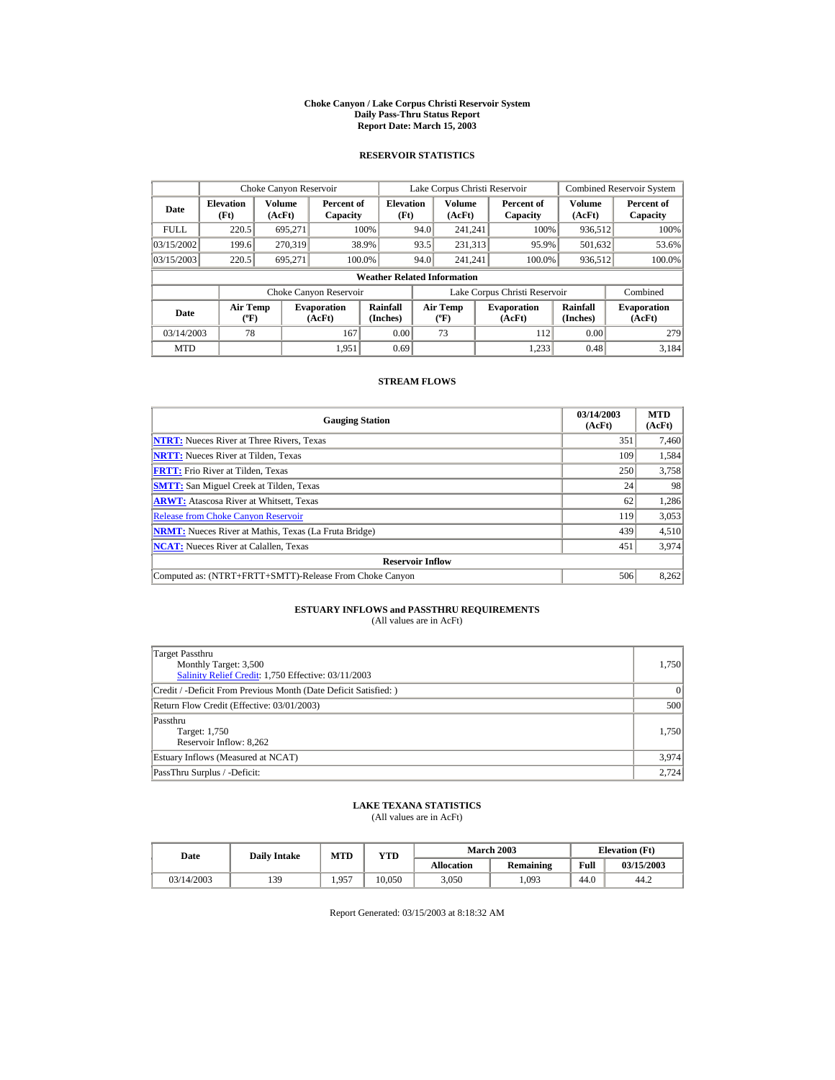#### **Choke Canyon / Lake Corpus Christi Reservoir System Daily Pass-Thru Status Report Report Date: March 15, 2003**

## **RESERVOIR STATISTICS**

|             | Choke Canyon Reservoir                      |                  |                              |                          | Lake Corpus Christi Reservoir |                                           |  |                               |                      | <b>Combined Reservoir System</b> |  |  |
|-------------|---------------------------------------------|------------------|------------------------------|--------------------------|-------------------------------|-------------------------------------------|--|-------------------------------|----------------------|----------------------------------|--|--|
| Date        | <b>Elevation</b><br>(Ft)                    | Volume<br>(AcFt) | Percent of<br>Capacity       | <b>Elevation</b><br>(Ft) |                               | Volume<br>(AcFt)                          |  | Percent of<br>Capacity        | Volume<br>(AcFt)     | Percent of<br>Capacity           |  |  |
| <b>FULL</b> | 220.5                                       | 695.271          |                              | 100%                     | 94.0                          | 241.241                                   |  | 100%                          | 936,512              | 100%                             |  |  |
| 03/15/2002  | 199.6                                       | 270.319          |                              | 38.9%                    | 93.5                          | 231,313                                   |  | 95.9%                         | 501,632              | 53.6%                            |  |  |
| 03/15/2003  | 220.5                                       | 695.271          |                              | 100.0%                   | 94.0                          | 241.241                                   |  | 100.0%                        | 936,512              | 100.0%                           |  |  |
|             | <b>Weather Related Information</b>          |                  |                              |                          |                               |                                           |  |                               |                      |                                  |  |  |
|             |                                             |                  | Choke Canyon Reservoir       |                          |                               |                                           |  | Lake Corpus Christi Reservoir |                      | Combined                         |  |  |
| Date        | <b>Air Temp</b><br>$({}^{\circ}\mathrm{F})$ |                  | <b>Evaporation</b><br>(AcFt) | Rainfall<br>(Inches)     |                               | <b>Air Temp</b><br>$({}^{\circ}\text{F})$ |  | <b>Evaporation</b><br>(AcFt)  | Rainfall<br>(Inches) | <b>Evaporation</b><br>(AcFt)     |  |  |
| 03/14/2003  | 78                                          |                  | 167                          | 0.00                     |                               | 73                                        |  | 112                           | 0.00                 | 279                              |  |  |
| <b>MTD</b>  |                                             |                  | 1.951                        | 0.69                     |                               |                                           |  | 1.233                         | 0.48                 | 3.184                            |  |  |

## **STREAM FLOWS**

| <b>Gauging Station</b>                                       | 03/14/2003<br>(AcFt) | <b>MTD</b><br>(AcFt) |
|--------------------------------------------------------------|----------------------|----------------------|
| <b>NTRT:</b> Nueces River at Three Rivers, Texas             | 351                  | 7,460                |
| <b>NRTT:</b> Nueces River at Tilden, Texas                   | 109                  | 1,584                |
| <b>FRTT:</b> Frio River at Tilden. Texas                     | 250                  | 3.758                |
| <b>SMTT:</b> San Miguel Creek at Tilden, Texas               | 24                   | 98                   |
| <b>ARWT:</b> Atascosa River at Whitsett, Texas               | 62                   | 1,286                |
| <b>Release from Choke Canyon Reservoir</b>                   | 119                  | 3,053                |
| <b>NRMT:</b> Nueces River at Mathis, Texas (La Fruta Bridge) | 439                  | 4,510                |
| <b>NCAT:</b> Nueces River at Calallen, Texas                 | 451                  | 3,974                |
| <b>Reservoir Inflow</b>                                      |                      |                      |
| Computed as: (NTRT+FRTT+SMTT)-Release From Choke Canyon      | 506                  | 8,262                |

# **ESTUARY INFLOWS and PASSTHRU REQUIREMENTS**<br>(All values are in AcFt)

| Target Passthru<br>Monthly Target: 3,500<br>Salinity Relief Credit: 1,750 Effective: 03/11/2003 | 1,750 |
|-------------------------------------------------------------------------------------------------|-------|
| Credit / -Deficit From Previous Month (Date Deficit Satisfied:)                                 | 0     |
| Return Flow Credit (Effective: 03/01/2003)                                                      | 500   |
| Passthru<br>Target: 1,750<br>Reservoir Inflow: 8,262                                            | 1.750 |
| Estuary Inflows (Measured at NCAT)                                                              | 3,974 |
| PassThru Surplus / -Deficit:                                                                    | 2,724 |

## **LAKE TEXANA STATISTICS**

(All values are in AcFt)

| Date       | <b>Daily Intake</b> | MTD   | VTD    |            | <b>March 2003</b> |      | <b>Elevation</b> (Ft) |
|------------|---------------------|-------|--------|------------|-------------------|------|-----------------------|
|            |                     |       |        | Allocation | Remaining         | Full | 03/15/2003            |
| 03/14/2003 | 139                 | 1.957 | 10.050 | 3.050      | .093              | 44.0 | 44.2                  |

Report Generated: 03/15/2003 at 8:18:32 AM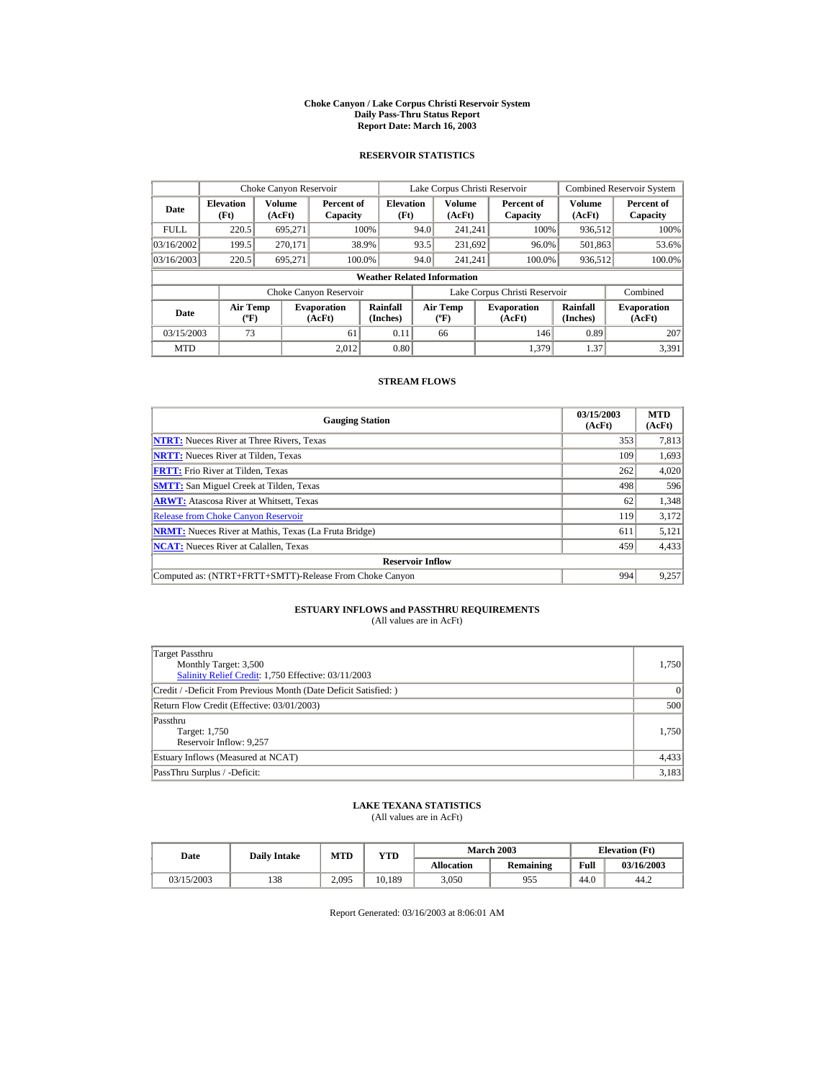#### **Choke Canyon / Lake Corpus Christi Reservoir System Daily Pass-Thru Status Report Report Date: March 16, 2003**

## **RESERVOIR STATISTICS**

|             | Choke Canyon Reservoir                |                  |                              |                          | Lake Corpus Christi Reservoir            |                         |  |                               |                         | <b>Combined Reservoir System</b> |  |  |
|-------------|---------------------------------------|------------------|------------------------------|--------------------------|------------------------------------------|-------------------------|--|-------------------------------|-------------------------|----------------------------------|--|--|
| Date        | <b>Elevation</b><br>(Ft)              | Volume<br>(AcFt) | Percent of<br>Capacity       | <b>Elevation</b><br>(Ft) |                                          | <b>Volume</b><br>(AcFt) |  | Percent of<br>Capacity        | <b>Volume</b><br>(AcFt) | Percent of<br>Capacity           |  |  |
| <b>FULL</b> | 220.5                                 | 695.271          |                              | 100%                     | 94.0                                     | 241.241                 |  | 100%                          | 936,512                 | 100%                             |  |  |
| 03/16/2002  | 199.5                                 | 270.171          |                              | 38.9%                    | 93.5                                     | 231,692                 |  | 96.0%                         | 501,863                 | 53.6%                            |  |  |
| 03/16/2003  | 220.5                                 | 695.271          | 100.0%                       |                          | 94.0                                     | 241.241                 |  | 100.0%                        | 936,512                 | 100.0%                           |  |  |
|             | <b>Weather Related Information</b>    |                  |                              |                          |                                          |                         |  |                               |                         |                                  |  |  |
|             |                                       |                  | Choke Canyon Reservoir       |                          |                                          |                         |  | Lake Corpus Christi Reservoir |                         | Combined                         |  |  |
| <b>Date</b> | <b>Air Temp</b><br>$({}^o\mathrm{F})$ |                  | <b>Evaporation</b><br>(AcFt) | Rainfall<br>(Inches)     | <b>Air Temp</b><br>$({}^{\circ}{\rm F})$ |                         |  | <b>Evaporation</b><br>(AcFt)  | Rainfall<br>(Inches)    | <b>Evaporation</b><br>(AcFt)     |  |  |
| 03/15/2003  | 73                                    |                  | 61                           | 0.11                     |                                          | 66                      |  | 146                           | 0.89                    | 207                              |  |  |
| <b>MTD</b>  |                                       |                  | 2.012                        | 0.80                     |                                          |                         |  | 1.379                         | 1.37                    | 3.391                            |  |  |

## **STREAM FLOWS**

| <b>Gauging Station</b>                                       | 03/15/2003<br>(AcFt) | <b>MTD</b><br>(AcFt) |
|--------------------------------------------------------------|----------------------|----------------------|
| <b>NTRT:</b> Nueces River at Three Rivers, Texas             | 353                  | 7,813                |
| <b>NRTT:</b> Nueces River at Tilden, Texas                   | 109                  | 1,693                |
| <b>FRTT:</b> Frio River at Tilden, Texas                     | 262                  | 4,020                |
| <b>SMTT:</b> San Miguel Creek at Tilden, Texas               | 498                  | 596                  |
| <b>ARWT:</b> Atascosa River at Whitsett, Texas               | 62                   | 1,348                |
| <b>Release from Choke Canyon Reservoir</b>                   | 119                  | 3,172                |
| <b>NRMT:</b> Nueces River at Mathis, Texas (La Fruta Bridge) | 611                  | 5,121                |
| <b>NCAT:</b> Nueces River at Calallen, Texas                 | 459                  | 4,433                |
| <b>Reservoir Inflow</b>                                      |                      |                      |
| Computed as: (NTRT+FRTT+SMTT)-Release From Choke Canyon      | 994                  | 9,257                |

# **ESTUARY INFLOWS and PASSTHRU REQUIREMENTS**<br>(All values are in AcFt)

| Target Passthru<br>Monthly Target: 3,500<br>Salinity Relief Credit: 1,750 Effective: 03/11/2003 | 1,750 |
|-------------------------------------------------------------------------------------------------|-------|
| Credit / -Deficit From Previous Month (Date Deficit Satisfied:)                                 | 0     |
| Return Flow Credit (Effective: 03/01/2003)                                                      | 500   |
| Passthru<br>Target: 1,750<br>Reservoir Inflow: 9,257                                            | 1.750 |
| Estuary Inflows (Measured at NCAT)                                                              | 4,433 |
| PassThru Surplus / -Deficit:                                                                    | 3,183 |

## **LAKE TEXANA STATISTICS**

(All values are in AcFt)

| Date       | <b>Daily Intake</b> | MTD   | $_{\rm VTD}$ |            | <b>March 2003</b> | <b>Elevation</b> (Ft) |            |
|------------|---------------------|-------|--------------|------------|-------------------|-----------------------|------------|
|            |                     |       |              | Allocation | Remaining         | Full                  | 03/16/2003 |
| 03/15/2003 | 138                 | 2.095 | 10.189       | 3.050      | 955               | 44.0                  | 44.2       |

Report Generated: 03/16/2003 at 8:06:01 AM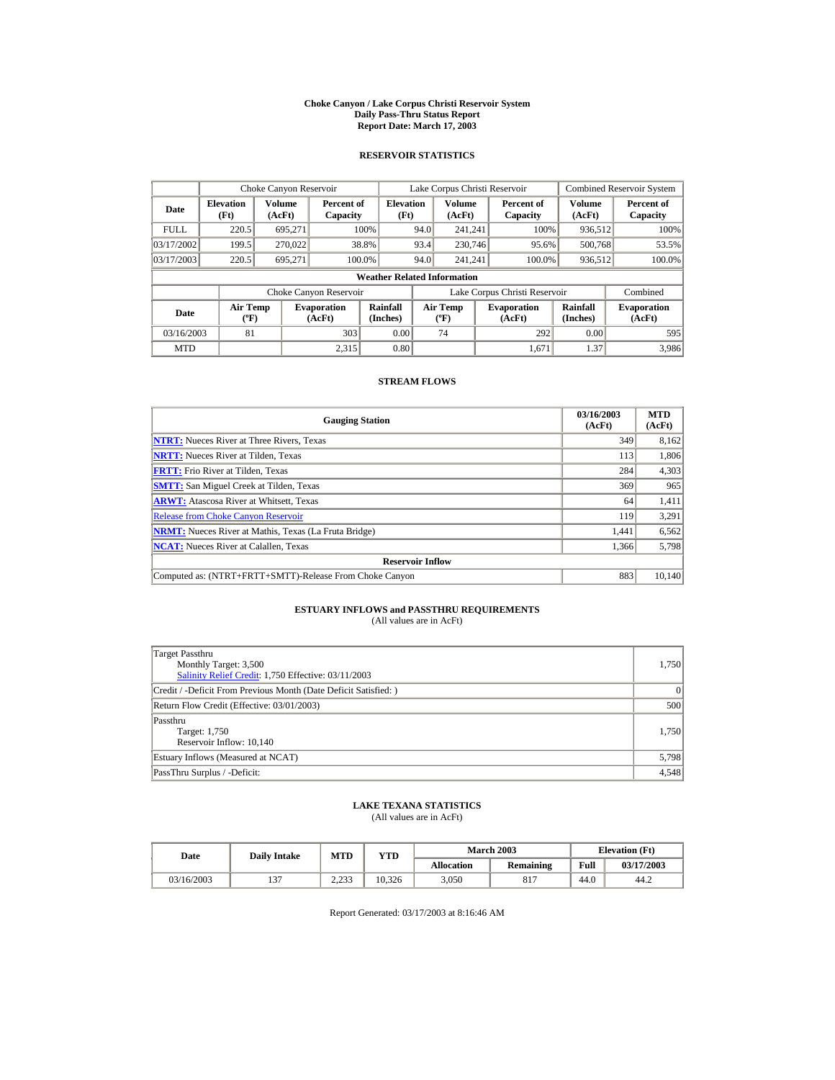#### **Choke Canyon / Lake Corpus Christi Reservoir System Daily Pass-Thru Status Report Report Date: March 17, 2003**

## **RESERVOIR STATISTICS**

|             | Choke Canyon Reservoir                      |                  |                              |                          | Lake Corpus Christi Reservoir |                                  |  |                               |                      | <b>Combined Reservoir System</b> |  |  |
|-------------|---------------------------------------------|------------------|------------------------------|--------------------------|-------------------------------|----------------------------------|--|-------------------------------|----------------------|----------------------------------|--|--|
| Date        | <b>Elevation</b><br>(Ft)                    | Volume<br>(AcFt) | Percent of<br>Capacity       | <b>Elevation</b><br>(Ft) |                               | Volume<br>(AcFt)                 |  | Percent of<br>Capacity        | Volume<br>(AcFt)     | Percent of<br>Capacity           |  |  |
| <b>FULL</b> | 220.5                                       | 695.271          |                              | 100%                     | 94.0                          | 241.241                          |  | 100%                          | 936,512              | 100%                             |  |  |
| 03/17/2002  | 199.5                                       | 270,022          |                              | 38.8%                    | 93.4                          | 230,746                          |  | 95.6%                         | 500,768              | 53.5%                            |  |  |
| 03/17/2003  | 220.5                                       | 695.271          | 100.0%                       |                          | 94.0                          | 241.241                          |  | 100.0%                        | 936,512              | 100.0%                           |  |  |
|             | <b>Weather Related Information</b>          |                  |                              |                          |                               |                                  |  |                               |                      |                                  |  |  |
|             |                                             |                  | Choke Canyon Reservoir       |                          |                               |                                  |  | Lake Corpus Christi Reservoir |                      | Combined                         |  |  |
| Date        | <b>Air Temp</b><br>$({}^{\circ}\mathrm{F})$ |                  | <b>Evaporation</b><br>(AcFt) | Rainfall<br>(Inches)     |                               | <b>Air Temp</b><br>$(^{\circ}F)$ |  | <b>Evaporation</b><br>(AcFt)  | Rainfall<br>(Inches) | <b>Evaporation</b><br>(AcFt)     |  |  |
| 03/16/2003  | 81                                          |                  | 303                          | 0.00                     |                               | 74                               |  | 292                           | 0.00                 | 595                              |  |  |
| <b>MTD</b>  |                                             |                  | 2.315                        | 0.80                     |                               |                                  |  | 1.671                         | 1.37                 | 3,986                            |  |  |

## **STREAM FLOWS**

| <b>Gauging Station</b>                                       | 03/16/2003<br>(AcFt) | <b>MTD</b><br>(AcFt) |
|--------------------------------------------------------------|----------------------|----------------------|
| <b>NTRT:</b> Nueces River at Three Rivers, Texas             | 349                  | 8,162                |
| <b>NRTT:</b> Nueces River at Tilden, Texas                   | 113                  | 1,806                |
| <b>FRTT:</b> Frio River at Tilden, Texas                     | 284                  | 4,303                |
| <b>SMTT:</b> San Miguel Creek at Tilden, Texas               | 369                  | 965                  |
| <b>ARWT:</b> Atascosa River at Whitsett, Texas               | 64                   | 1,411                |
| <b>Release from Choke Canyon Reservoir</b>                   | 119                  | 3,291                |
| <b>NRMT:</b> Nueces River at Mathis, Texas (La Fruta Bridge) | 1.441                | 6,562                |
| <b>NCAT:</b> Nueces River at Calallen, Texas                 | 1,366                | 5,798                |
| <b>Reservoir Inflow</b>                                      |                      |                      |
| Computed as: (NTRT+FRTT+SMTT)-Release From Choke Canyon      | 883                  | 10,140               |

# **ESTUARY INFLOWS and PASSTHRU REQUIREMENTS**<br>(All values are in AcFt)

| Target Passthru<br>Monthly Target: 3,500<br>Salinity Relief Credit: 1,750 Effective: 03/11/2003 | 1,750 |
|-------------------------------------------------------------------------------------------------|-------|
| Credit / -Deficit From Previous Month (Date Deficit Satisfied:)                                 | 0     |
| Return Flow Credit (Effective: 03/01/2003)                                                      | 500   |
| Passthru<br>Target: 1,750<br>Reservoir Inflow: 10,140                                           | 1.750 |
| Estuary Inflows (Measured at NCAT)                                                              | 5,798 |
| PassThru Surplus / -Deficit:                                                                    | 4,548 |

## **LAKE TEXANA STATISTICS**

(All values are in AcFt)

| Date       | <b>Daily Intake</b> | MTD            | VTD    |            | <b>March 2003</b> | <b>Elevation</b> (Ft) |            |
|------------|---------------------|----------------|--------|------------|-------------------|-----------------------|------------|
|            |                     |                |        | Allocation | Remaining         | Full                  | 03/17/2003 |
| 03/16/2003 | $\sim$              | วววว<br>د قامت | 10.326 | 3.050      | Q17<br>οı         | 44.0                  | 44.2       |

Report Generated: 03/17/2003 at 8:16:46 AM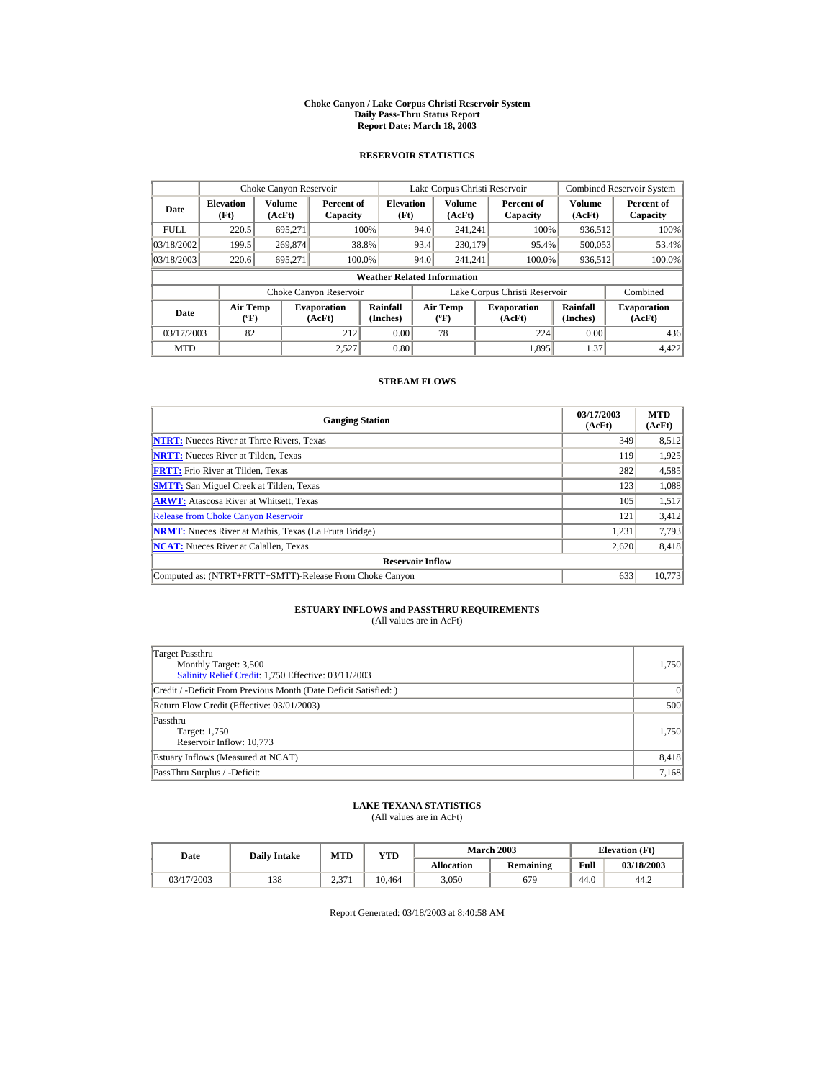#### **Choke Canyon / Lake Corpus Christi Reservoir System Daily Pass-Thru Status Report Report Date: March 18, 2003**

## **RESERVOIR STATISTICS**

|             | Choke Canyon Reservoir                      |                  |                              |                          | Lake Corpus Christi Reservoir |                                           |  |                               |                      | <b>Combined Reservoir System</b> |  |  |
|-------------|---------------------------------------------|------------------|------------------------------|--------------------------|-------------------------------|-------------------------------------------|--|-------------------------------|----------------------|----------------------------------|--|--|
| Date        | <b>Elevation</b><br>(Ft)                    | Volume<br>(AcFt) | Percent of<br>Capacity       | <b>Elevation</b><br>(Ft) |                               | <b>Volume</b><br>(AcFt)                   |  | Percent of<br>Capacity        | Volume<br>(AcFt)     | Percent of<br>Capacity           |  |  |
| <b>FULL</b> | 220.5                                       | 695.271          |                              | 100%                     | 94.0                          | 241.241                                   |  | 100%                          | 936,512              | 100%                             |  |  |
| 03/18/2002  | 199.5                                       | 269,874          |                              | 38.8%                    | 93.4                          | 230,179                                   |  | 95.4%                         | 500,053              | 53.4%                            |  |  |
| 03/18/2003  | 220.6                                       | 695.271          | 100.0%                       |                          | 94.0                          | 241.241                                   |  | 100.0%                        | 936,512              | 100.0%                           |  |  |
|             | <b>Weather Related Information</b>          |                  |                              |                          |                               |                                           |  |                               |                      |                                  |  |  |
|             |                                             |                  | Choke Canyon Reservoir       |                          |                               |                                           |  | Lake Corpus Christi Reservoir |                      | Combined                         |  |  |
| Date        | <b>Air Temp</b><br>$({}^{\circ}\mathrm{F})$ |                  | <b>Evaporation</b><br>(AcFt) | Rainfall<br>(Inches)     |                               | <b>Air Temp</b><br>$({}^{\circ}\text{F})$ |  | <b>Evaporation</b><br>(AcFt)  | Rainfall<br>(Inches) | <b>Evaporation</b><br>(AcFt)     |  |  |
| 03/17/2003  | 82                                          |                  | 212                          | 0.00                     |                               | 78                                        |  | 224                           | 0.00                 | 436                              |  |  |
| <b>MTD</b>  |                                             |                  | 2.527                        | 0.80                     |                               |                                           |  | 1.895                         | 1.37                 | 4,422                            |  |  |

## **STREAM FLOWS**

| <b>Gauging Station</b>                                       | 03/17/2003<br>(AcFt) | <b>MTD</b><br>(AcFt) |
|--------------------------------------------------------------|----------------------|----------------------|
| <b>NTRT:</b> Nueces River at Three Rivers, Texas             | 349                  | 8,512                |
| <b>NRTT:</b> Nueces River at Tilden, Texas                   | 119                  | 1,925                |
| <b>FRTT:</b> Frio River at Tilden, Texas                     | 282                  | 4,585                |
| <b>SMTT:</b> San Miguel Creek at Tilden, Texas               | 123                  | 1,088                |
| <b>ARWT:</b> Atascosa River at Whitsett, Texas               | 105                  | 1,517                |
| <b>Release from Choke Canyon Reservoir</b>                   | 121                  | 3,412                |
| <b>NRMT:</b> Nueces River at Mathis, Texas (La Fruta Bridge) | 1.231                | 7,793                |
| <b>NCAT:</b> Nueces River at Calallen, Texas                 | 2,620                | 8,418                |
| <b>Reservoir Inflow</b>                                      |                      |                      |
| Computed as: (NTRT+FRTT+SMTT)-Release From Choke Canyon      | 633                  | 10,773               |

# **ESTUARY INFLOWS and PASSTHRU REQUIREMENTS**<br>(All values are in AcFt)

| Target Passthru<br>Monthly Target: 3,500<br>Salinity Relief Credit: 1,750 Effective: 03/11/2003 | 1,750 |
|-------------------------------------------------------------------------------------------------|-------|
| Credit / -Deficit From Previous Month (Date Deficit Satisfied:)                                 | 0     |
| Return Flow Credit (Effective: 03/01/2003)                                                      | 500   |
| Passthru<br>Target: 1,750<br>Reservoir Inflow: 10,773                                           | 1.750 |
| Estuary Inflows (Measured at NCAT)                                                              | 8,418 |
| PassThru Surplus / -Deficit:                                                                    | 7,168 |

## **LAKE TEXANA STATISTICS**

(All values are in AcFt)

| Date       | <b>Daily Intake</b> | <b>MTD</b> | YTD    |                   | <b>March 2003</b> | <b>Elevation</b> (Ft) |            |
|------------|---------------------|------------|--------|-------------------|-------------------|-----------------------|------------|
|            |                     |            |        | <b>Allocation</b> | Remaining         | Full                  | 03/18/2003 |
| 03/17/2003 | 138                 | 2.371      | 10.464 | 3.050             | 679               | 44.0                  | 44.2       |

Report Generated: 03/18/2003 at 8:40:58 AM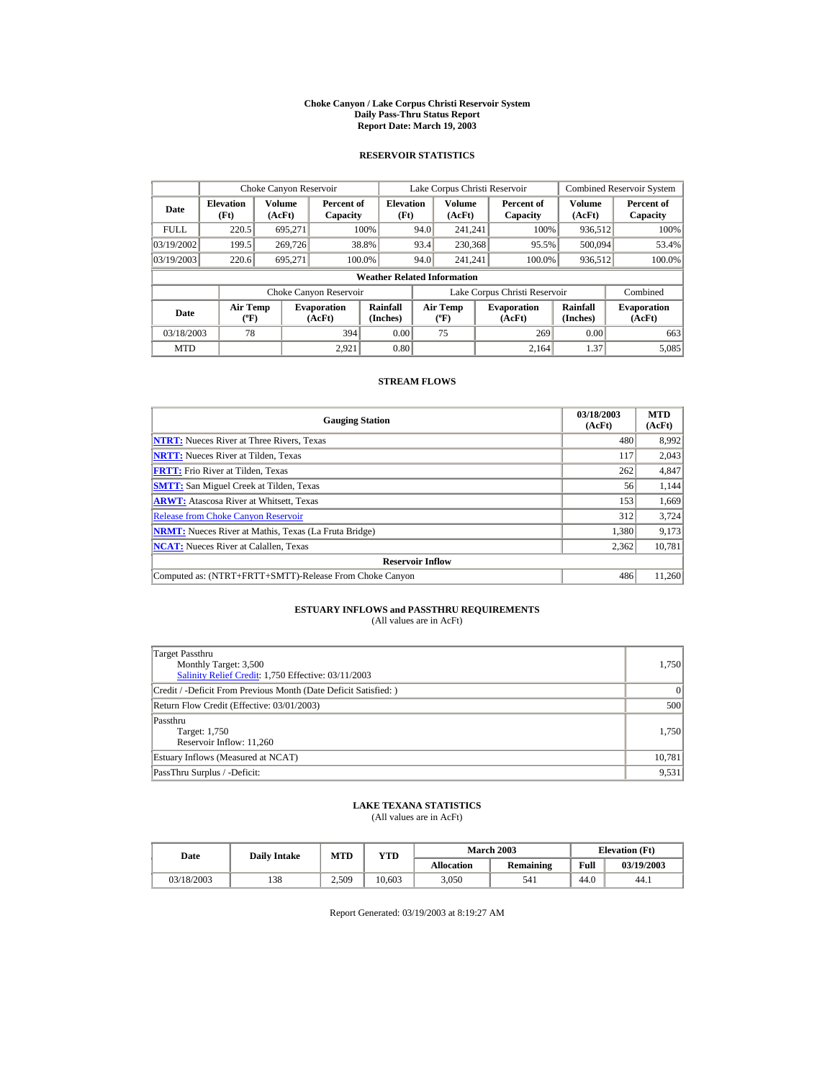#### **Choke Canyon / Lake Corpus Christi Reservoir System Daily Pass-Thru Status Report Report Date: March 19, 2003**

## **RESERVOIR STATISTICS**

|             | Choke Canyon Reservoir             |                  |                              |                          | Lake Corpus Christi Reservoir |                                   |  |                               |                         | <b>Combined Reservoir System</b> |  |  |
|-------------|------------------------------------|------------------|------------------------------|--------------------------|-------------------------------|-----------------------------------|--|-------------------------------|-------------------------|----------------------------------|--|--|
| Date        | <b>Elevation</b><br>(Ft)           | Volume<br>(AcFt) | Percent of<br>Capacity       | <b>Elevation</b><br>(Ft) |                               | <b>Volume</b><br>(AcFt)           |  | Percent of<br>Capacity        | <b>Volume</b><br>(AcFt) | Percent of<br>Capacity           |  |  |
| <b>FULL</b> | 220.5                              | 695.271          |                              | 100%                     | 94.0                          | 241.241                           |  | 100%                          | 936,512                 | 100%                             |  |  |
| 03/19/2002  | 199.5                              | 269,726          |                              | 38.8%                    | 93.4                          | 230,368                           |  | 95.5%                         | 500,094                 | 53.4%                            |  |  |
| 03/19/2003  | 220.6                              | 695.271          |                              | 100.0%                   | 94.0                          | 241.241                           |  | 100.0%                        | 936,512                 | 100.0%                           |  |  |
|             | <b>Weather Related Information</b> |                  |                              |                          |                               |                                   |  |                               |                         |                                  |  |  |
|             |                                    |                  | Choke Canyon Reservoir       |                          |                               |                                   |  | Lake Corpus Christi Reservoir |                         | Combined                         |  |  |
| Date        | Air Temp<br>$({}^o\mathrm{F})$     |                  | <b>Evaporation</b><br>(AcFt) | Rainfall<br>(Inches)     |                               | Air Temp<br>$({}^{\circ}{\rm F})$ |  | <b>Evaporation</b><br>(AcFt)  | Rainfall<br>(Inches)    | <b>Evaporation</b><br>(AcFt)     |  |  |
| 03/18/2003  | 78                                 |                  | 394                          | 0.00                     |                               | 75                                |  | 269                           | 0.00                    | 663                              |  |  |
| <b>MTD</b>  |                                    |                  | 2.921                        | 0.80                     |                               |                                   |  | 2.164                         | 1.37                    | 5,085                            |  |  |

## **STREAM FLOWS**

| <b>Gauging Station</b>                                       | 03/18/2003<br>(AcFt) | <b>MTD</b><br>(AcFt) |
|--------------------------------------------------------------|----------------------|----------------------|
| <b>NTRT:</b> Nueces River at Three Rivers, Texas             | 480                  | 8,992                |
| <b>NRTT:</b> Nueces River at Tilden, Texas                   | 117                  | 2,043                |
| <b>FRTT:</b> Frio River at Tilden, Texas                     | 262                  | 4,847                |
| <b>SMTT:</b> San Miguel Creek at Tilden, Texas               | 56                   | 1,144                |
| <b>ARWT:</b> Atascosa River at Whitsett, Texas               | 153                  | 1,669                |
| <b>Release from Choke Canyon Reservoir</b>                   | 312                  | 3,724                |
| <b>NRMT:</b> Nueces River at Mathis, Texas (La Fruta Bridge) | 1.380                | 9,173                |
| <b>NCAT:</b> Nueces River at Calallen, Texas                 | 2,362                | 10,781               |
| <b>Reservoir Inflow</b>                                      |                      |                      |
| Computed as: (NTRT+FRTT+SMTT)-Release From Choke Canyon      | 486                  | 11,260               |

# **ESTUARY INFLOWS and PASSTHRU REQUIREMENTS**<br>(All values are in AcFt)

| Target Passthru<br>Monthly Target: 3,500<br>Salinity Relief Credit: 1,750 Effective: 03/11/2003 | 1,750  |
|-------------------------------------------------------------------------------------------------|--------|
| Credit / -Deficit From Previous Month (Date Deficit Satisfied:)                                 | 0      |
| Return Flow Credit (Effective: 03/01/2003)                                                      | 500    |
| Passthru<br>Target: 1,750<br>Reservoir Inflow: 11,260                                           | 1.750  |
| Estuary Inflows (Measured at NCAT)                                                              | 10,781 |
| PassThru Surplus / -Deficit:                                                                    | 9,531  |

## **LAKE TEXANA STATISTICS**

(All values are in AcFt)

| Date       | <b>Daily Intake</b> | MTD   | $\mathbf{v}\mathbf{T}\mathbf{D}$ |            | <b>March 2003</b> | <b>Elevation</b> (Ft) |            |
|------------|---------------------|-------|----------------------------------|------------|-------------------|-----------------------|------------|
|            |                     |       |                                  | Allocation | Remaining         | Full                  | 03/19/2003 |
| 03/18/2003 | 138                 | 2.509 | 10.603                           | 3.050      | 541               | 44.0                  | 44.1       |

Report Generated: 03/19/2003 at 8:19:27 AM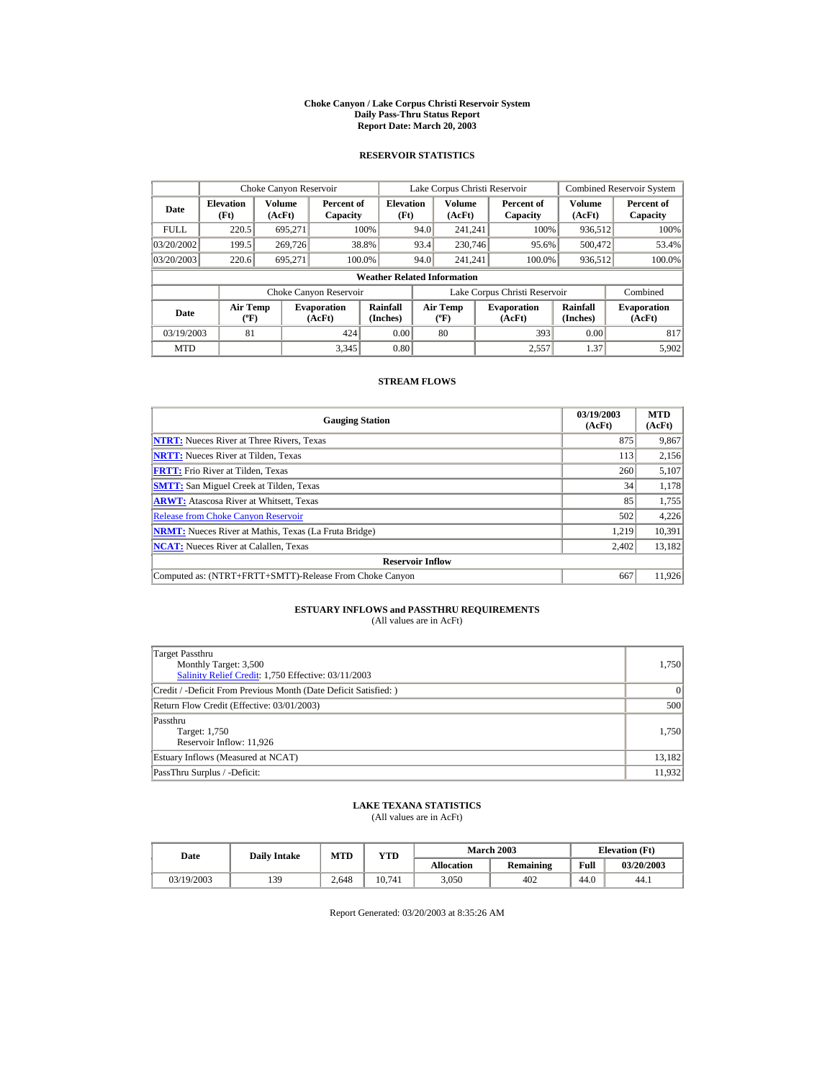#### **Choke Canyon / Lake Corpus Christi Reservoir System Daily Pass-Thru Status Report Report Date: March 20, 2003**

## **RESERVOIR STATISTICS**

|             | Choke Canyon Reservoir                           |                  |                              |                          | Lake Corpus Christi Reservoir |                                   |  |                               |                         | <b>Combined Reservoir System</b> |  |  |
|-------------|--------------------------------------------------|------------------|------------------------------|--------------------------|-------------------------------|-----------------------------------|--|-------------------------------|-------------------------|----------------------------------|--|--|
| Date        | <b>Elevation</b><br>(Ft)                         | Volume<br>(AcFt) | Percent of<br>Capacity       | <b>Elevation</b><br>(Ft) |                               | <b>Volume</b><br>(AcFt)           |  | Percent of<br>Capacity        | <b>Volume</b><br>(AcFt) | Percent of<br>Capacity           |  |  |
| <b>FULL</b> | 220.5                                            | 695.271          |                              | 100%                     | 94.0                          | 241.241                           |  | 100%                          | 936,512                 | 100%                             |  |  |
| 03/20/2002  | 199.5                                            | 269,726          |                              | 38.8%                    | 93.4                          | 230,746                           |  | 95.6%                         | 500,472                 | 53.4%                            |  |  |
| 03/20/2003  | 220.6                                            | 695,271          |                              | 100.0%                   | 94.0                          | 241.241                           |  | 100.0%                        | 936,512                 | 100.0%                           |  |  |
|             | <b>Weather Related Information</b>               |                  |                              |                          |                               |                                   |  |                               |                         |                                  |  |  |
|             |                                                  |                  | Choke Canyon Reservoir       |                          |                               |                                   |  | Lake Corpus Christi Reservoir |                         | Combined                         |  |  |
| <b>Date</b> | <b>Air Temp</b><br>$({}^{\mathrm{o}}\mathrm{F})$ |                  | <b>Evaporation</b><br>(AcFt) | Rainfall<br>(Inches)     |                               | Air Temp<br>$({}^{\circ}{\rm F})$ |  | <b>Evaporation</b><br>(AcFt)  | Rainfall<br>(Inches)    | <b>Evaporation</b><br>(AcFt)     |  |  |
| 03/19/2003  | 81                                               |                  | 424                          | 0.00                     |                               | 80                                |  | 393                           | 0.00                    | 817                              |  |  |
| <b>MTD</b>  |                                                  |                  | 3,345                        | 0.80                     |                               |                                   |  | 2,557                         | 1.37                    | 5,902                            |  |  |

## **STREAM FLOWS**

| <b>Gauging Station</b>                                       | 03/19/2003<br>(AcFt) | <b>MTD</b><br>(AcFt) |
|--------------------------------------------------------------|----------------------|----------------------|
| <b>NTRT:</b> Nueces River at Three Rivers, Texas             | 875                  | 9,867                |
| <b>NRTT:</b> Nueces River at Tilden, Texas                   | 113                  | 2,156                |
| <b>FRTT:</b> Frio River at Tilden, Texas                     | 260                  | 5,107                |
| <b>SMTT:</b> San Miguel Creek at Tilden, Texas               | 34                   | 1,178                |
| <b>ARWT:</b> Atascosa River at Whitsett, Texas               | 85                   | 1,755                |
| <b>Release from Choke Canyon Reservoir</b>                   | 502                  | 4,226                |
| <b>NRMT:</b> Nueces River at Mathis, Texas (La Fruta Bridge) | 1.219                | 10.391               |
| <b>NCAT:</b> Nueces River at Calallen, Texas                 | 2,402                | 13,182               |
| <b>Reservoir Inflow</b>                                      |                      |                      |
| Computed as: (NTRT+FRTT+SMTT)-Release From Choke Canyon      | 667                  | 11,926               |

# **ESTUARY INFLOWS and PASSTHRU REQUIREMENTS**<br>(All values are in AcFt)

| Target Passthru<br>Monthly Target: 3,500<br>Salinity Relief Credit: 1,750 Effective: 03/11/2003 | 1,750  |
|-------------------------------------------------------------------------------------------------|--------|
| Credit / -Deficit From Previous Month (Date Deficit Satisfied:)                                 | 0      |
| Return Flow Credit (Effective: 03/01/2003)                                                      | 500    |
| Passthru<br>Target: 1,750<br>Reservoir Inflow: 11,926                                           | 1.750  |
| Estuary Inflows (Measured at NCAT)                                                              | 13,182 |
| PassThru Surplus / -Deficit:                                                                    | 11.932 |

## **LAKE TEXANA STATISTICS**

(All values are in AcFt)

| Date       | <b>Daily Intake</b> | MTD   | $_{\rm VTD}$ |            | <b>March 2003</b> | <b>Elevation</b> (Ft) |            |
|------------|---------------------|-------|--------------|------------|-------------------|-----------------------|------------|
|            |                     |       |              | Allocation | Remaining         | Full                  | 03/20/2003 |
| 03/19/2003 | 139                 | 2.648 | 10.741       | 3.050      | 402               | 44.0                  | 44.1       |

Report Generated: 03/20/2003 at 8:35:26 AM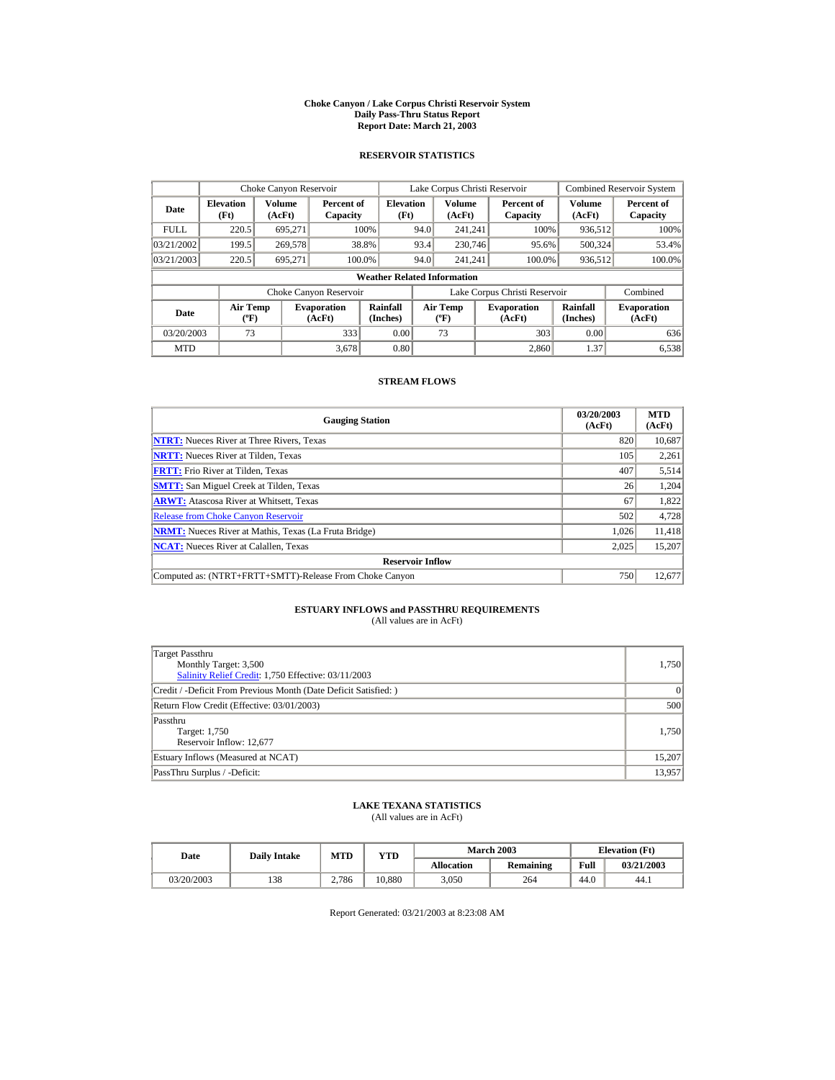#### **Choke Canyon / Lake Corpus Christi Reservoir System Daily Pass-Thru Status Report Report Date: March 21, 2003**

## **RESERVOIR STATISTICS**

|             | Choke Canyon Reservoir                      |                  |                              |                          | Lake Corpus Christi Reservoir |                                  |  |                               |                      | Combined Reservoir System    |  |  |
|-------------|---------------------------------------------|------------------|------------------------------|--------------------------|-------------------------------|----------------------------------|--|-------------------------------|----------------------|------------------------------|--|--|
| Date        | <b>Elevation</b><br>(Ft)                    | Volume<br>(AcFt) | Percent of<br>Capacity       | <b>Elevation</b><br>(Ft) |                               | Volume<br>(AcFt)                 |  | Percent of<br>Capacity        | Volume<br>(AcFt)     | Percent of<br>Capacity       |  |  |
| <b>FULL</b> | 220.5                                       | 695.271          |                              | 100%                     | 94.0                          | 241.241                          |  | 100%                          | 936,512              | 100%                         |  |  |
| 03/21/2002  | 199.5                                       | 269,578          |                              | 38.8%                    | 93.4                          | 230,746                          |  | 95.6%                         | 500,324              | 53.4%                        |  |  |
| 03/21/2003  | 220.5                                       | 695.271          |                              | 100.0%                   | 94.0                          | 241.241                          |  | 100.0%                        | 936,512              | 100.0%                       |  |  |
|             | <b>Weather Related Information</b>          |                  |                              |                          |                               |                                  |  |                               |                      |                              |  |  |
|             |                                             |                  | Choke Canyon Reservoir       |                          |                               |                                  |  | Lake Corpus Christi Reservoir |                      | Combined                     |  |  |
| Date        | <b>Air Temp</b><br>$({}^{\circ}\mathrm{F})$ |                  | <b>Evaporation</b><br>(AcFt) | Rainfall<br>(Inches)     |                               | <b>Air Temp</b><br>$(^{\circ}F)$ |  | <b>Evaporation</b><br>(AcFt)  | Rainfall<br>(Inches) | <b>Evaporation</b><br>(AcFt) |  |  |
| 03/20/2003  | 73                                          |                  | 333                          | 0.00                     |                               | 73                               |  | 303                           | 0.00                 | 636                          |  |  |
| <b>MTD</b>  |                                             |                  | 3.678                        | 0.80                     |                               |                                  |  | 2.860                         | 1.37                 | 6,538                        |  |  |

## **STREAM FLOWS**

| <b>Gauging Station</b>                                       | 03/20/2003<br>(AcFt) | <b>MTD</b><br>(AcFt) |
|--------------------------------------------------------------|----------------------|----------------------|
| <b>NTRT:</b> Nueces River at Three Rivers, Texas             | 820                  | 10,687               |
| <b>NRTT:</b> Nueces River at Tilden, Texas                   | 105                  | 2,261                |
| <b>FRTT:</b> Frio River at Tilden, Texas                     | 407                  | 5,514                |
| <b>SMTT:</b> San Miguel Creek at Tilden, Texas               | 26                   | 1,204                |
| <b>ARWT:</b> Atascosa River at Whitsett, Texas               | 67                   | 1,822                |
| <b>Release from Choke Canyon Reservoir</b>                   | 502                  | 4,728                |
| <b>NRMT:</b> Nueces River at Mathis, Texas (La Fruta Bridge) | 1.026                | 11,418               |
| <b>NCAT:</b> Nueces River at Calallen, Texas                 | 2,025                | 15,207               |
| <b>Reservoir Inflow</b>                                      |                      |                      |
| Computed as: (NTRT+FRTT+SMTT)-Release From Choke Canyon      | 750                  | 12,677               |

# **ESTUARY INFLOWS and PASSTHRU REQUIREMENTS**<br>(All values are in AcFt)

| Target Passthru<br>Monthly Target: 3,500<br>Salinity Relief Credit: 1,750 Effective: 03/11/2003 | 1,750  |
|-------------------------------------------------------------------------------------------------|--------|
| Credit / -Deficit From Previous Month (Date Deficit Satisfied:)                                 | 0      |
| Return Flow Credit (Effective: 03/01/2003)                                                      | 500    |
| Passthru<br>Target: 1,750<br>Reservoir Inflow: 12,677                                           | 1.750  |
| Estuary Inflows (Measured at NCAT)                                                              | 15,207 |
| PassThru Surplus / -Deficit:                                                                    | 13,957 |

## **LAKE TEXANA STATISTICS**

(All values are in AcFt)

| Date       | <b>Daily Intake</b> | MTD   | VTD    |            | <b>March 2003</b> | <b>Elevation</b> (Ft) |            |
|------------|---------------------|-------|--------|------------|-------------------|-----------------------|------------|
|            |                     |       |        | Allocation | Remaining         | Full                  | 03/21/2003 |
| 03/20/2003 | 138                 | 2.786 | 10.880 | 3.050      | 264               | 44.0                  | 44.1       |

Report Generated: 03/21/2003 at 8:23:08 AM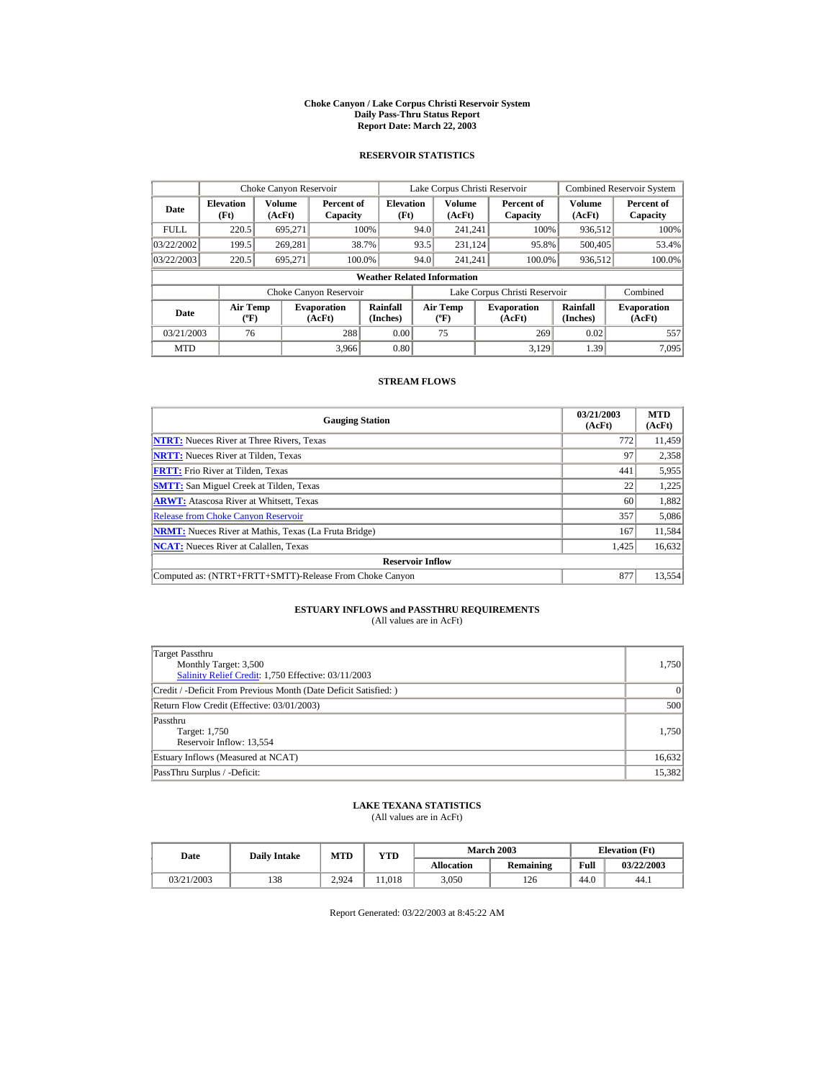#### **Choke Canyon / Lake Corpus Christi Reservoir System Daily Pass-Thru Status Report Report Date: March 22, 2003**

## **RESERVOIR STATISTICS**

|             | Choke Canyon Reservoir             |                  |                              |                          | Lake Corpus Christi Reservoir |                                   |  |                               |                         | <b>Combined Reservoir System</b> |  |  |
|-------------|------------------------------------|------------------|------------------------------|--------------------------|-------------------------------|-----------------------------------|--|-------------------------------|-------------------------|----------------------------------|--|--|
| Date        | <b>Elevation</b><br>(Ft)           | Volume<br>(AcFt) | Percent of<br>Capacity       | <b>Elevation</b><br>(Ft) |                               | <b>Volume</b><br>(AcFt)           |  | Percent of<br>Capacity        | <b>Volume</b><br>(AcFt) | Percent of<br>Capacity           |  |  |
| <b>FULL</b> | 220.5                              | 695,271          |                              | 100%                     | 94.0                          | 241.241                           |  | 100%                          | 936,512                 | 100%                             |  |  |
| 03/22/2002  | 199.5                              | 269.281          |                              | 38.7%                    | 93.5                          | 231.124                           |  | 95.8%                         | 500,405                 | 53.4%                            |  |  |
| 03/22/2003  | 220.5                              | 695.271          |                              | 100.0%                   | 94.0                          | 241.241                           |  | 100.0%                        | 936,512                 | 100.0%                           |  |  |
|             | <b>Weather Related Information</b> |                  |                              |                          |                               |                                   |  |                               |                         |                                  |  |  |
|             |                                    |                  | Choke Canyon Reservoir       |                          |                               |                                   |  | Lake Corpus Christi Reservoir |                         | Combined                         |  |  |
| Date        | Air Temp<br>$({}^o\mathrm{F})$     |                  | <b>Evaporation</b><br>(AcFt) | Rainfall<br>(Inches)     |                               | Air Temp<br>$({}^{\circ}{\rm F})$ |  | <b>Evaporation</b><br>(AcFt)  | Rainfall<br>(Inches)    | <b>Evaporation</b><br>(AcFt)     |  |  |
| 03/21/2003  | 76                                 |                  | 288                          | 0.00                     |                               | 75                                |  | 269                           | 0.02                    | 557                              |  |  |
| <b>MTD</b>  |                                    |                  | 3,966                        | 0.80                     |                               |                                   |  | 3.129                         | 1.39                    | 7.095                            |  |  |

## **STREAM FLOWS**

| <b>Gauging Station</b>                                       | 03/21/2003<br>(AcFt) | <b>MTD</b><br>(AcFt) |
|--------------------------------------------------------------|----------------------|----------------------|
| <b>NTRT:</b> Nueces River at Three Rivers, Texas             | 772                  | 11,459               |
| <b>NRTT:</b> Nueces River at Tilden, Texas                   | 97                   | 2,358                |
| <b>FRTT:</b> Frio River at Tilden, Texas                     | 441                  | 5,955                |
| <b>SMTT:</b> San Miguel Creek at Tilden, Texas               | 22                   | 1,225                |
| <b>ARWT:</b> Atascosa River at Whitsett, Texas               | 60                   | 1,882                |
| <b>Release from Choke Canvon Reservoir</b>                   | 357                  | 5,086                |
| <b>NRMT:</b> Nueces River at Mathis, Texas (La Fruta Bridge) | 167                  | 11,584               |
| <b>NCAT:</b> Nueces River at Calallen, Texas                 | 1,425                | 16,632               |
| <b>Reservoir Inflow</b>                                      |                      |                      |
| Computed as: (NTRT+FRTT+SMTT)-Release From Choke Canyon      | 877                  | 13.554               |

# **ESTUARY INFLOWS and PASSTHRU REQUIREMENTS**<br>(All values are in AcFt)

| Target Passthru<br>Monthly Target: 3,500<br>Salinity Relief Credit: 1,750 Effective: 03/11/2003 | 1,750  |
|-------------------------------------------------------------------------------------------------|--------|
| Credit / -Deficit From Previous Month (Date Deficit Satisfied:)                                 | 0      |
| Return Flow Credit (Effective: 03/01/2003)                                                      | 500    |
| Passthru<br>Target: 1,750<br>Reservoir Inflow: 13,554                                           | 1.750  |
| Estuary Inflows (Measured at NCAT)                                                              | 16,632 |
| PassThru Surplus / -Deficit:                                                                    | 15,382 |

## **LAKE TEXANA STATISTICS**

(All values are in AcFt)

| Date       | <b>Daily Intake</b> | MTD   | VTD   |            | <b>March 2003</b> | <b>Elevation</b> (Ft) |            |
|------------|---------------------|-------|-------|------------|-------------------|-----------------------|------------|
|            |                     |       |       | Allocation | Remaining         | Full                  | 03/22/2003 |
| 03/21/2003 | 138                 | 2.924 | 1.018 | 3.050      | 126               | 44.0                  | 44.1       |

Report Generated: 03/22/2003 at 8:45:22 AM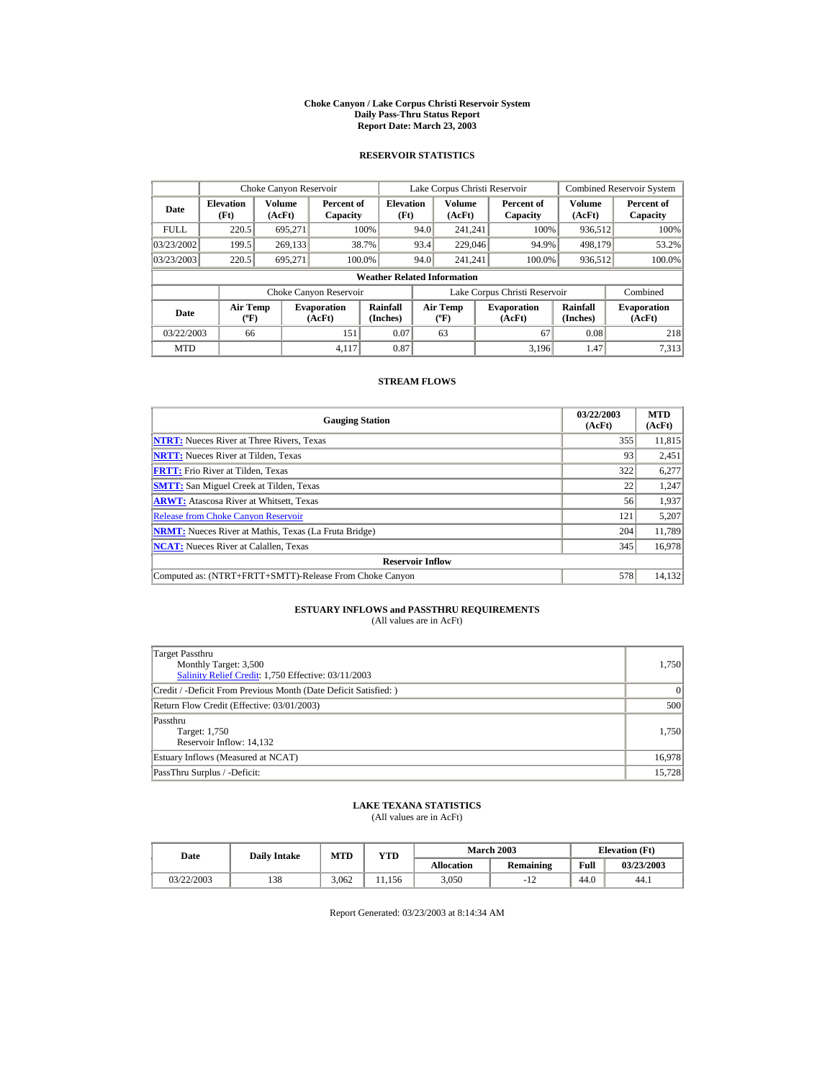#### **Choke Canyon / Lake Corpus Christi Reservoir System Daily Pass-Thru Status Report Report Date: March 23, 2003**

## **RESERVOIR STATISTICS**

|             | Choke Canyon Reservoir                      |                  |                              |                          | Lake Corpus Christi Reservoir    |                  |  |                               |                      | Combined Reservoir System    |  |  |
|-------------|---------------------------------------------|------------------|------------------------------|--------------------------|----------------------------------|------------------|--|-------------------------------|----------------------|------------------------------|--|--|
| Date        | <b>Elevation</b><br>(Ft)                    | Volume<br>(AcFt) | Percent of<br>Capacity       | <b>Elevation</b><br>(Ft) |                                  | Volume<br>(AcFt) |  | Percent of<br>Capacity        | Volume<br>(AcFt)     | Percent of<br>Capacity       |  |  |
| <b>FULL</b> | 220.5                                       | 695.271          |                              | 100%                     | 94.0                             | 241.241          |  | 100%                          | 936,512              | 100%                         |  |  |
| 03/23/2002  | 199.5                                       | 269,133          |                              | 38.7%                    | 93.4                             | 229,046          |  | 94.9%                         | 498.179              | 53.2%                        |  |  |
| 03/23/2003  | 220.5                                       | 695.271          |                              | 100.0%                   | 94.0                             | 241.241          |  | 100.0%                        | 936,512              | 100.0%                       |  |  |
|             | <b>Weather Related Information</b>          |                  |                              |                          |                                  |                  |  |                               |                      |                              |  |  |
|             |                                             |                  | Choke Canyon Reservoir       |                          |                                  |                  |  | Lake Corpus Christi Reservoir |                      | Combined                     |  |  |
| Date        | <b>Air Temp</b><br>$({}^{\circ}\mathrm{F})$ |                  | <b>Evaporation</b><br>(AcFt) | Rainfall<br>(Inches)     | <b>Air Temp</b><br>$(^{\circ}F)$ |                  |  | <b>Evaporation</b><br>(AcFt)  | Rainfall<br>(Inches) | <b>Evaporation</b><br>(AcFt) |  |  |
| 03/22/2003  | 66                                          |                  | 151                          | 0.07                     |                                  | 63               |  | 67                            | 0.08                 | 218                          |  |  |
| <b>MTD</b>  |                                             |                  | 4.117                        | 0.87                     |                                  |                  |  | 3.196                         | 1.47                 | 7,313                        |  |  |

## **STREAM FLOWS**

| <b>Gauging Station</b>                                       | 03/22/2003<br>(AcFt) | <b>MTD</b><br>(AcFt) |
|--------------------------------------------------------------|----------------------|----------------------|
| <b>NTRT:</b> Nueces River at Three Rivers, Texas             | 355                  | 11,815               |
| <b>NRTT:</b> Nueces River at Tilden, Texas                   | 93                   | 2,451                |
| <b>FRTT:</b> Frio River at Tilden, Texas                     | 322                  | 6,277                |
| <b>SMTT:</b> San Miguel Creek at Tilden, Texas               | 22                   | 1,247                |
| <b>ARWT:</b> Atascosa River at Whitsett, Texas               | 56                   | 1,937                |
| <b>Release from Choke Canyon Reservoir</b>                   | 121                  | 5,207                |
| <b>NRMT:</b> Nueces River at Mathis, Texas (La Fruta Bridge) | 204                  | 11,789               |
| <b>NCAT:</b> Nueces River at Calallen, Texas                 | 345                  | 16,978               |
| <b>Reservoir Inflow</b>                                      |                      |                      |
| Computed as: (NTRT+FRTT+SMTT)-Release From Choke Canyon      | 578                  | 14,132               |

# **ESTUARY INFLOWS and PASSTHRU REQUIREMENTS**<br>(All values are in AcFt)

| Target Passthru<br>Monthly Target: 3,500<br>Salinity Relief Credit: 1,750 Effective: 03/11/2003 | 1,750  |
|-------------------------------------------------------------------------------------------------|--------|
| Credit / -Deficit From Previous Month (Date Deficit Satisfied:)                                 | 0      |
| Return Flow Credit (Effective: 03/01/2003)                                                      | 500    |
| Passthru<br>Target: 1,750<br>Reservoir Inflow: 14,132                                           | 1.750  |
| Estuary Inflows (Measured at NCAT)                                                              | 16,978 |
| PassThru Surplus / -Deficit:                                                                    | 15,728 |

## **LAKE TEXANA STATISTICS**

(All values are in AcFt)

| Date       | <b>Daily Intake</b> | MTD   | VTD   |            | <b>March 2003</b> | <b>Elevation</b> (Ft) |            |
|------------|---------------------|-------|-------|------------|-------------------|-----------------------|------------|
|            |                     |       |       | Allocation | Remaining         | Full                  | 03/23/2003 |
| 03/22/2003 | 138                 | 3.062 | 1.156 | 3.050      | າາ                | 44.0                  | 44.1       |

Report Generated: 03/23/2003 at 8:14:34 AM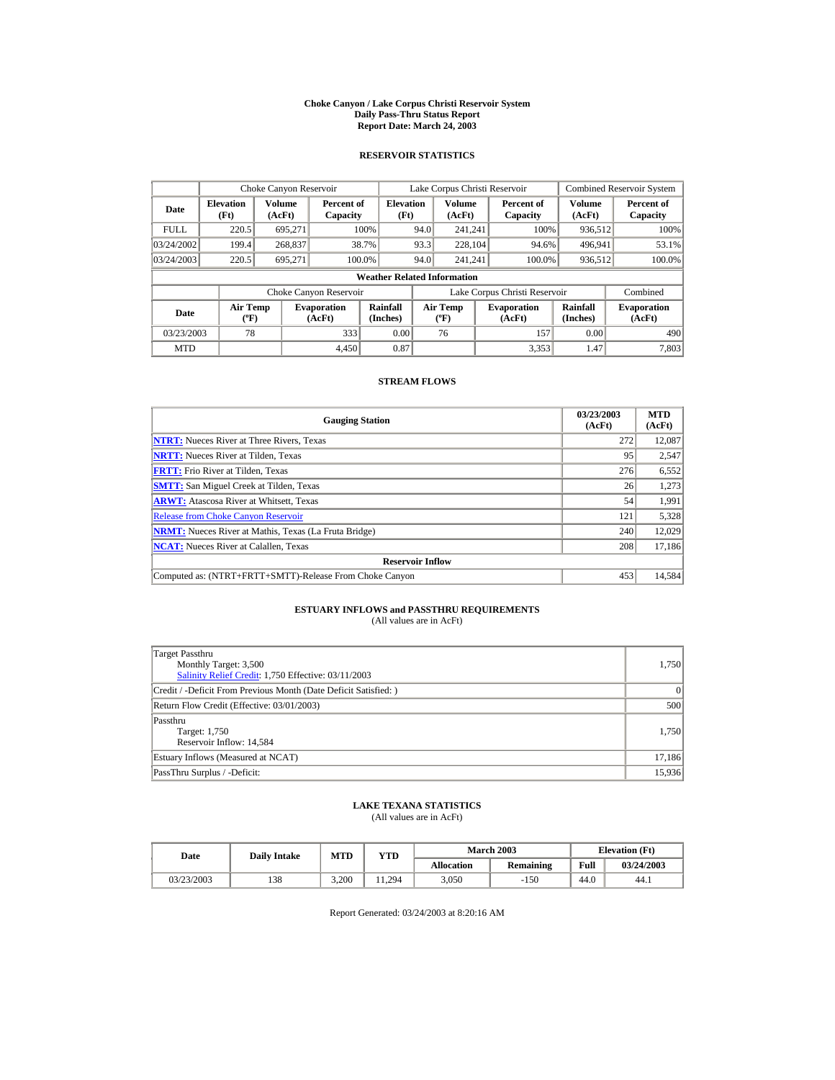#### **Choke Canyon / Lake Corpus Christi Reservoir System Daily Pass-Thru Status Report Report Date: March 24, 2003**

## **RESERVOIR STATISTICS**

|             | Choke Canyon Reservoir                      |                  |                              |                          | Lake Corpus Christi Reservoir |                                  |  |                               |                      | <b>Combined Reservoir System</b> |  |  |
|-------------|---------------------------------------------|------------------|------------------------------|--------------------------|-------------------------------|----------------------------------|--|-------------------------------|----------------------|----------------------------------|--|--|
| Date        | <b>Elevation</b><br>(Ft)                    | Volume<br>(AcFt) | Percent of<br>Capacity       | <b>Elevation</b><br>(Ft) |                               | Volume<br>(AcFt)                 |  | Percent of<br>Capacity        | Volume<br>(AcFt)     | Percent of<br>Capacity           |  |  |
| <b>FULL</b> | 220.5                                       | 695.271          |                              | 100%                     | 94.0                          | 241.241                          |  | 100%                          | 936,512              | 100%                             |  |  |
| 03/24/2002  | 199.4                                       | 268,837          |                              | 38.7%                    | 93.3                          | 228,104                          |  | 94.6%                         | 496,941              | 53.1%                            |  |  |
| 03/24/2003  | 220.5                                       | 695.271          |                              | 100.0%                   | 94.0                          | 241.241                          |  | 100.0%                        | 936,512              | 100.0%                           |  |  |
|             | <b>Weather Related Information</b>          |                  |                              |                          |                               |                                  |  |                               |                      |                                  |  |  |
|             |                                             |                  | Choke Canyon Reservoir       |                          |                               |                                  |  | Lake Corpus Christi Reservoir |                      | Combined                         |  |  |
| Date        | <b>Air Temp</b><br>$({}^{\circ}\mathrm{F})$ |                  | <b>Evaporation</b><br>(AcFt) | Rainfall<br>(Inches)     |                               | <b>Air Temp</b><br>$(^{\circ}F)$ |  | <b>Evaporation</b><br>(AcFt)  | Rainfall<br>(Inches) | <b>Evaporation</b><br>(AcFt)     |  |  |
| 03/23/2003  | 78                                          |                  | 333                          | 0.00                     |                               | 76                               |  | 157                           | 0.00                 | 490                              |  |  |
| <b>MTD</b>  |                                             |                  | 4.450                        | 0.87                     |                               |                                  |  | 3,353                         | 1.47                 | 7,803                            |  |  |

## **STREAM FLOWS**

| <b>Gauging Station</b>                                       | 03/23/2003<br>(AcFt) | <b>MTD</b><br>(AcFt) |
|--------------------------------------------------------------|----------------------|----------------------|
| <b>NTRT:</b> Nueces River at Three Rivers, Texas             | 272                  | 12,087               |
| <b>NRTT:</b> Nueces River at Tilden, Texas                   | 95                   | 2,547                |
| <b>FRTT:</b> Frio River at Tilden, Texas                     | 276                  | 6,552                |
| <b>SMTT:</b> San Miguel Creek at Tilden, Texas               | 26                   | 1,273                |
| <b>ARWT:</b> Atascosa River at Whitsett, Texas               | 54                   | 1,991                |
| <b>Release from Choke Canyon Reservoir</b>                   | 121                  | 5,328                |
| <b>NRMT:</b> Nueces River at Mathis, Texas (La Fruta Bridge) | 240                  | 12,029               |
| <b>NCAT:</b> Nueces River at Calallen, Texas                 | 208                  | 17,186               |
| <b>Reservoir Inflow</b>                                      |                      |                      |
| Computed as: (NTRT+FRTT+SMTT)-Release From Choke Canyon      | 453                  | 14,584               |

# **ESTUARY INFLOWS and PASSTHRU REQUIREMENTS**<br>(All values are in AcFt)

| Target Passthru<br>Monthly Target: 3,500<br>Salinity Relief Credit: 1,750 Effective: 03/11/2003 | 1,750  |
|-------------------------------------------------------------------------------------------------|--------|
| Credit / -Deficit From Previous Month (Date Deficit Satisfied:)                                 | 0      |
| Return Flow Credit (Effective: 03/01/2003)                                                      | 500    |
| Passthru<br>Target: 1,750<br>Reservoir Inflow: 14,584                                           | 1.750  |
| Estuary Inflows (Measured at NCAT)                                                              | 17,186 |
| PassThru Surplus / -Deficit:                                                                    | 15,936 |

## **LAKE TEXANA STATISTICS**

(All values are in AcFt)

| Date       | <b>Daily Intake</b> | <b>MTD</b> | YTD    |                   | <b>March 2003</b> | <b>Elevation</b> (Ft) |            |
|------------|---------------------|------------|--------|-------------------|-------------------|-----------------------|------------|
|            |                     |            |        | <b>Allocation</b> | Remaining         | Full                  | 03/24/2003 |
| 03/23/2003 | 138                 | 3.200      | .1.294 | 3.050             | $-150$            | 44.0                  | 44.1       |

Report Generated: 03/24/2003 at 8:20:16 AM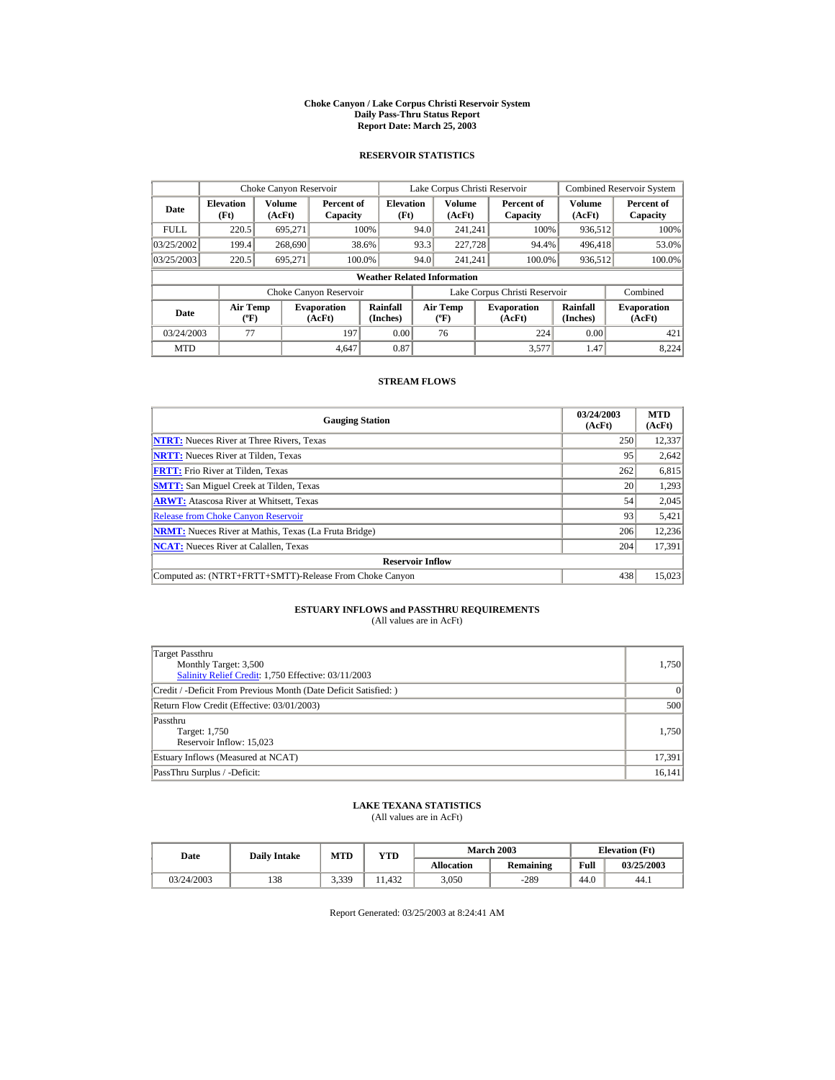#### **Choke Canyon / Lake Corpus Christi Reservoir System Daily Pass-Thru Status Report Report Date: March 25, 2003**

## **RESERVOIR STATISTICS**

|             | Choke Canyon Reservoir                      |                         |                              |                          | Lake Corpus Christi Reservoir                    |                         |  |                               |                         | <b>Combined Reservoir System</b> |  |  |
|-------------|---------------------------------------------|-------------------------|------------------------------|--------------------------|--------------------------------------------------|-------------------------|--|-------------------------------|-------------------------|----------------------------------|--|--|
| Date        | <b>Elevation</b><br>(Ft)                    | <b>Volume</b><br>(AcFt) | Percent of<br>Capacity       | <b>Elevation</b><br>(Ft) |                                                  | <b>Volume</b><br>(AcFt) |  | Percent of<br>Capacity        | <b>Volume</b><br>(AcFt) | Percent of<br>Capacity           |  |  |
| <b>FULL</b> | 220.5                                       | 695.271                 |                              | 100%                     | 94.0                                             | 241.241                 |  | 100%                          | 936,512                 | 100%                             |  |  |
| 03/25/2002  | 199.4                                       | 268,690                 |                              | 38.6%                    | 93.3                                             | 227,728                 |  | 94.4%                         | 496,418                 | 53.0%                            |  |  |
| 03/25/2003  | 220.5                                       | 695.271                 |                              | 100.0%                   | 94.0                                             | 241.241                 |  | 100.0%                        | 936,512                 | 100.0%                           |  |  |
|             | <b>Weather Related Information</b>          |                         |                              |                          |                                                  |                         |  |                               |                         |                                  |  |  |
|             |                                             |                         | Choke Canyon Reservoir       |                          |                                                  |                         |  | Lake Corpus Christi Reservoir |                         | Combined                         |  |  |
| Date        | <b>Air Temp</b><br>$({}^{\circ}\mathrm{F})$ |                         | <b>Evaporation</b><br>(AcFt) | Rainfall<br>(Inches)     | <b>Air Temp</b><br>$({}^{\mathrm{o}}\mathrm{F})$ |                         |  | <b>Evaporation</b><br>(AcFt)  | Rainfall<br>(Inches)    | <b>Evaporation</b><br>(AcFt)     |  |  |
| 03/24/2003  | 77                                          |                         | 197                          | 0.00                     |                                                  | 76                      |  | 224                           | 0.00                    | 421                              |  |  |
| <b>MTD</b>  |                                             |                         | 4.647                        | 0.87                     |                                                  |                         |  | 3.577                         | 1.47                    | 8,224                            |  |  |

## **STREAM FLOWS**

| <b>Gauging Station</b>                                       | 03/24/2003<br>(AcFt) | <b>MTD</b><br>(AcFt) |
|--------------------------------------------------------------|----------------------|----------------------|
| <b>NTRT:</b> Nueces River at Three Rivers, Texas             | 250                  | 12,337               |
| <b>NRTT:</b> Nueces River at Tilden, Texas                   | 95                   | 2,642                |
| <b>FRTT:</b> Frio River at Tilden, Texas                     | 262                  | 6,815                |
| <b>SMTT:</b> San Miguel Creek at Tilden, Texas               | 20                   | 1,293                |
| <b>ARWT:</b> Atascosa River at Whitsett, Texas               | 54                   | 2,045                |
| <b>Release from Choke Canyon Reservoir</b>                   | 93                   | 5,421                |
| <b>NRMT:</b> Nueces River at Mathis, Texas (La Fruta Bridge) | 206                  | 12,236               |
| <b>NCAT:</b> Nueces River at Calallen, Texas                 | 204                  | 17,391               |
| <b>Reservoir Inflow</b>                                      |                      |                      |
| Computed as: (NTRT+FRTT+SMTT)-Release From Choke Canyon      | 438                  | 15,023               |

# **ESTUARY INFLOWS and PASSTHRU REQUIREMENTS**<br>(All values are in AcFt)

| Target Passthru<br>Monthly Target: 3,500<br>Salinity Relief Credit: 1,750 Effective: 03/11/2003 | 1,750  |
|-------------------------------------------------------------------------------------------------|--------|
| Credit / -Deficit From Previous Month (Date Deficit Satisfied:)                                 | 0      |
| Return Flow Credit (Effective: 03/01/2003)                                                      | 500    |
| Passthru<br>Target: 1,750<br>Reservoir Inflow: 15,023                                           | 1.750  |
| Estuary Inflows (Measured at NCAT)                                                              | 17,391 |
| PassThru Surplus / -Deficit:                                                                    | 16,141 |

## **LAKE TEXANA STATISTICS**

(All values are in AcFt)

| Date       | <b>Daily Intake</b> | MTD   | VTD   |            | <b>March 2003</b> | <b>Elevation</b> (Ft) |            |
|------------|---------------------|-------|-------|------------|-------------------|-----------------------|------------|
|            |                     |       |       | Allocation | Remaining         | Full                  | 03/25/2003 |
| 03/24/2003 | 138                 | 3,339 | 1.432 | 3.050      | $-289$            | 44.0                  | 44.1       |

Report Generated: 03/25/2003 at 8:24:41 AM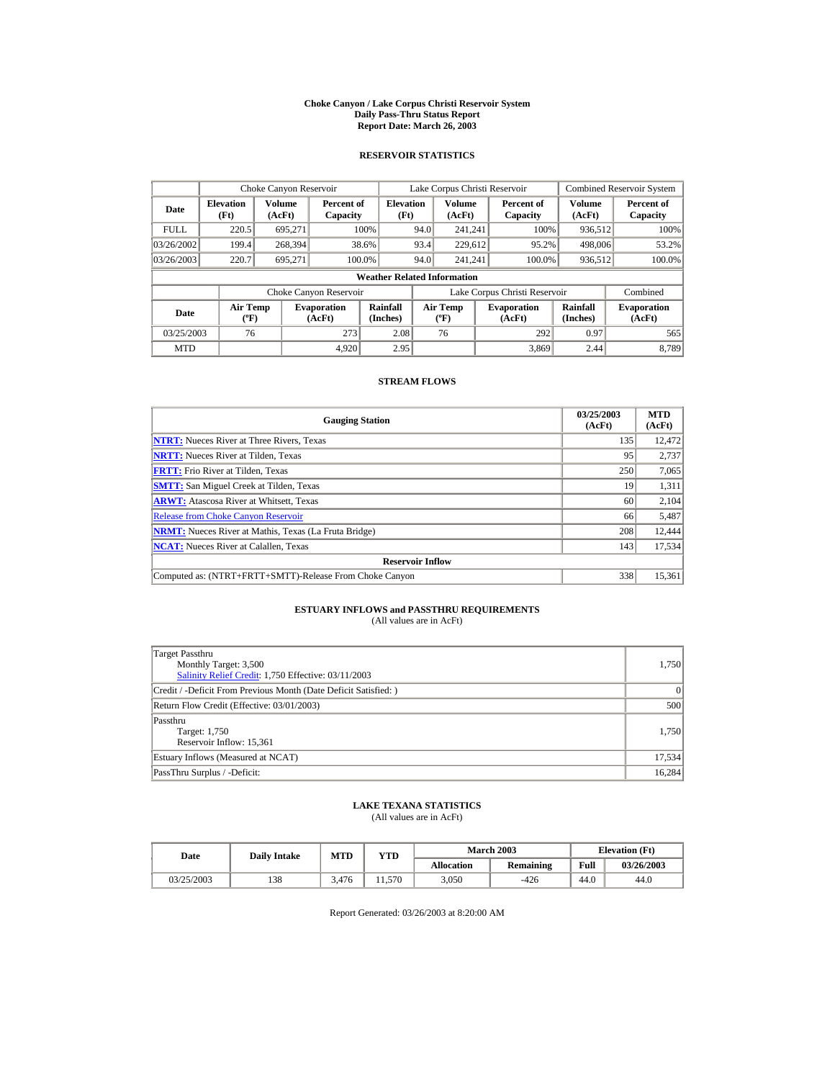#### **Choke Canyon / Lake Corpus Christi Reservoir System Daily Pass-Thru Status Report Report Date: March 26, 2003**

## **RESERVOIR STATISTICS**

|             | Choke Canyon Reservoir                      |                  |                              |                          | Lake Corpus Christi Reservoir    |                  |  |                               |                      | <b>Combined Reservoir System</b> |  |  |
|-------------|---------------------------------------------|------------------|------------------------------|--------------------------|----------------------------------|------------------|--|-------------------------------|----------------------|----------------------------------|--|--|
| Date        | <b>Elevation</b><br>(Ft)                    | Volume<br>(AcFt) | Percent of<br>Capacity       | <b>Elevation</b><br>(Ft) |                                  | Volume<br>(AcFt) |  | Percent of<br>Capacity        | Volume<br>(AcFt)     | Percent of<br>Capacity           |  |  |
| <b>FULL</b> | 220.5                                       | 695.271          |                              | 100%                     | 94.0                             | 241.241          |  | 100%                          | 936,512              | 100%                             |  |  |
| 03/26/2002  | 199.4                                       | 268,394          |                              | 38.6%                    | 93.4                             | 229,612          |  | 95.2%                         | 498,006              | 53.2%                            |  |  |
| 03/26/2003  | 220.7                                       | 695.271          |                              | 100.0%                   | 94.0                             | 241.241          |  | 100.0%                        | 936,512              | 100.0%                           |  |  |
|             | <b>Weather Related Information</b>          |                  |                              |                          |                                  |                  |  |                               |                      |                                  |  |  |
|             |                                             |                  | Choke Canyon Reservoir       |                          |                                  |                  |  | Lake Corpus Christi Reservoir |                      | Combined                         |  |  |
| Date        | <b>Air Temp</b><br>$({}^{\circ}\mathrm{F})$ |                  | <b>Evaporation</b><br>(AcFt) | Rainfall<br>(Inches)     | <b>Air Temp</b><br>$(^{\circ}F)$ |                  |  | <b>Evaporation</b><br>(AcFt)  | Rainfall<br>(Inches) | <b>Evaporation</b><br>(AcFt)     |  |  |
| 03/25/2003  | 76                                          |                  | 273                          | 2.08                     |                                  | 76               |  | 292                           | 0.97                 | 565                              |  |  |
| <b>MTD</b>  |                                             |                  | 4.920                        | 2.95                     |                                  |                  |  | 3.869                         | 2.44                 | 8.789                            |  |  |

## **STREAM FLOWS**

| <b>Gauging Station</b>                                       | 03/25/2003<br>(AcFt) | <b>MTD</b><br>(AcFt) |
|--------------------------------------------------------------|----------------------|----------------------|
| <b>NTRT:</b> Nueces River at Three Rivers, Texas             | 135                  | 12.472               |
| <b>NRTT:</b> Nueces River at Tilden, Texas                   | 95                   | 2,737                |
| <b>FRTT:</b> Frio River at Tilden, Texas                     | 250                  | 7,065                |
| <b>SMTT:</b> San Miguel Creek at Tilden, Texas               | 19                   | 1,311                |
| <b>ARWT:</b> Atascosa River at Whitsett, Texas               | 60                   | 2,104                |
| <b>Release from Choke Canyon Reservoir</b>                   | 66                   | 5,487                |
| <b>NRMT:</b> Nueces River at Mathis, Texas (La Fruta Bridge) | 208                  | 12,444               |
| <b>NCAT:</b> Nueces River at Calallen, Texas                 | 143                  | 17,534               |
| <b>Reservoir Inflow</b>                                      |                      |                      |
| Computed as: (NTRT+FRTT+SMTT)-Release From Choke Canyon      | 338                  | 15,361               |

# **ESTUARY INFLOWS and PASSTHRU REQUIREMENTS**<br>(All values are in AcFt)

| Target Passthru<br>Monthly Target: 3,500<br>Salinity Relief Credit: 1,750 Effective: 03/11/2003 | 1,750  |
|-------------------------------------------------------------------------------------------------|--------|
| Credit / -Deficit From Previous Month (Date Deficit Satisfied:)                                 | 0      |
| Return Flow Credit (Effective: 03/01/2003)                                                      | 500    |
| Passthru<br>Target: 1,750<br>Reservoir Inflow: 15,361                                           | 1.750  |
| Estuary Inflows (Measured at NCAT)                                                              | 17,534 |
| PassThru Surplus / -Deficit:                                                                    | 16,284 |

## **LAKE TEXANA STATISTICS**

(All values are in AcFt)

| Date       | <b>Daily Intake</b> | <b>MTD</b> | YTD   |                   | <b>March 2003</b> | <b>Elevation</b> (Ft) |            |
|------------|---------------------|------------|-------|-------------------|-------------------|-----------------------|------------|
|            |                     |            |       | <b>Allocation</b> | Remaining         | Full                  | 03/26/2003 |
| 03/25/2003 | 138                 | 3.476      | 1.570 | 3.050             | $-426$            | 44.0                  | 44.0       |

Report Generated: 03/26/2003 at 8:20:00 AM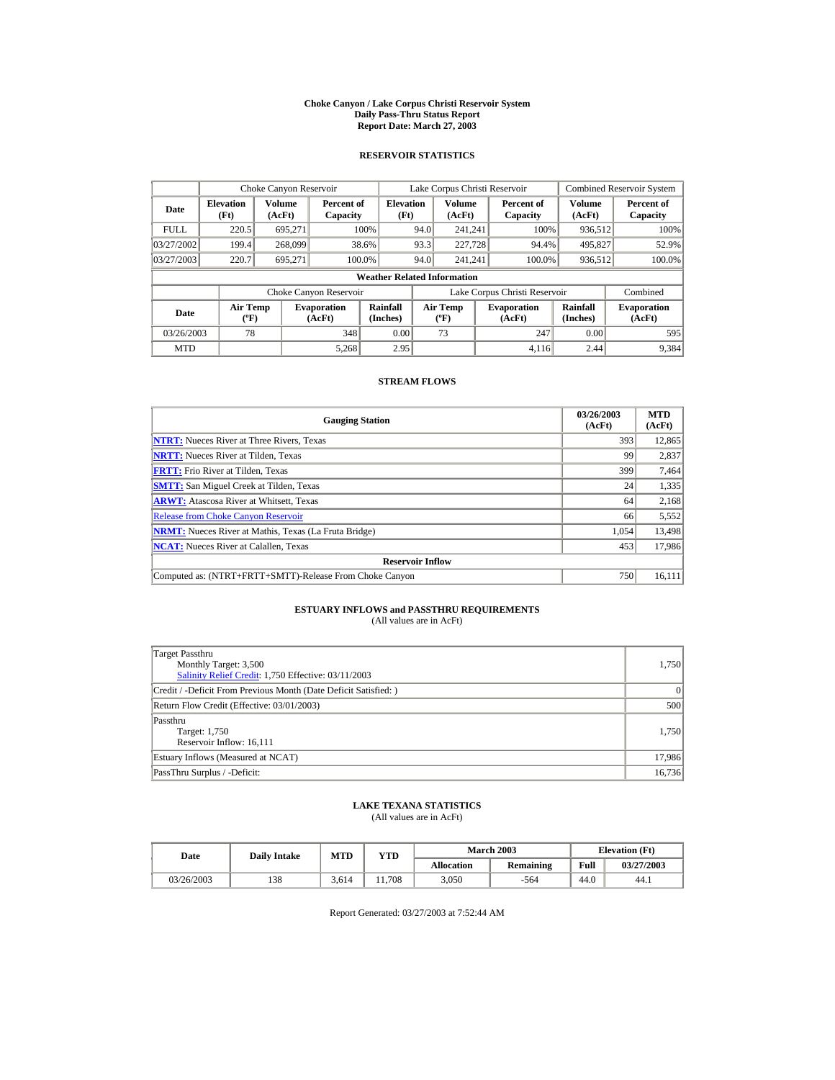#### **Choke Canyon / Lake Corpus Christi Reservoir System Daily Pass-Thru Status Report Report Date: March 27, 2003**

## **RESERVOIR STATISTICS**

|             | Choke Canyon Reservoir                      |                  |                              |                          | Lake Corpus Christi Reservoir |                                           |  |                               |                      | Combined Reservoir System    |  |  |
|-------------|---------------------------------------------|------------------|------------------------------|--------------------------|-------------------------------|-------------------------------------------|--|-------------------------------|----------------------|------------------------------|--|--|
| Date        | <b>Elevation</b><br>(Ft)                    | Volume<br>(AcFt) | Percent of<br>Capacity       | <b>Elevation</b><br>(Ft) |                               | Volume<br>(AcFt)                          |  | Percent of<br>Capacity        | Volume<br>(AcFt)     | Percent of<br>Capacity       |  |  |
| <b>FULL</b> | 220.5                                       | 695.271          |                              | 100%                     | 94.0                          | 241.241                                   |  | 100%                          | 936,512              | 100%                         |  |  |
| 03/27/2002  | 199.4                                       | 268,099          |                              | 38.6%                    | 93.3                          | 227,728                                   |  | 94.4%                         | 495,827              | 52.9%                        |  |  |
| 03/27/2003  | 220.7                                       | 695.271          |                              | 100.0%                   | 94.0                          | 241.241                                   |  | 100.0%                        | 936,512              | 100.0%                       |  |  |
|             | <b>Weather Related Information</b>          |                  |                              |                          |                               |                                           |  |                               |                      |                              |  |  |
|             |                                             |                  | Choke Canyon Reservoir       |                          |                               |                                           |  | Lake Corpus Christi Reservoir |                      | Combined                     |  |  |
| Date        | <b>Air Temp</b><br>$({}^{\circ}\mathrm{F})$ |                  | <b>Evaporation</b><br>(AcFt) | Rainfall<br>(Inches)     |                               | <b>Air Temp</b><br>$({}^{\circ}\text{F})$ |  | <b>Evaporation</b><br>(AcFt)  | Rainfall<br>(Inches) | <b>Evaporation</b><br>(AcFt) |  |  |
| 03/26/2003  | 78                                          |                  | 348                          | 0.00                     |                               | 73                                        |  | 247                           | 0.00                 | 595                          |  |  |
| <b>MTD</b>  |                                             |                  | 5.268                        | 2.95                     |                               |                                           |  | 4.116                         | 2.44                 | 9,384                        |  |  |

## **STREAM FLOWS**

| <b>Gauging Station</b>                                       | 03/26/2003<br>(AcFt) | <b>MTD</b><br>(AcFt) |
|--------------------------------------------------------------|----------------------|----------------------|
| <b>NTRT:</b> Nueces River at Three Rivers, Texas             | 393                  | 12,865               |
| <b>NRTT:</b> Nueces River at Tilden, Texas                   | 99                   | 2,837                |
| <b>FRTT:</b> Frio River at Tilden, Texas                     | 399                  | 7,464                |
| <b>SMTT:</b> San Miguel Creek at Tilden, Texas               | 24                   | 1,335                |
| <b>ARWT:</b> Atascosa River at Whitsett, Texas               | 64                   | 2,168                |
| <b>Release from Choke Canyon Reservoir</b>                   | 66                   | 5,552                |
| <b>NRMT:</b> Nueces River at Mathis, Texas (La Fruta Bridge) | 1.054                | 13,498               |
| <b>NCAT:</b> Nueces River at Calallen, Texas                 | 453                  | 17,986               |
| <b>Reservoir Inflow</b>                                      |                      |                      |
| Computed as: (NTRT+FRTT+SMTT)-Release From Choke Canyon      | 750                  | 16,111               |

# **ESTUARY INFLOWS and PASSTHRU REQUIREMENTS**<br>(All values are in AcFt)

| Target Passthru<br>Monthly Target: 3,500<br>Salinity Relief Credit: 1,750 Effective: 03/11/2003 | 1,750  |
|-------------------------------------------------------------------------------------------------|--------|
| Credit / -Deficit From Previous Month (Date Deficit Satisfied:)                                 | 0      |
| Return Flow Credit (Effective: 03/01/2003)                                                      | 500    |
| Passthru<br>Target: 1,750<br>Reservoir Inflow: 16,111                                           | 1.750  |
| Estuary Inflows (Measured at NCAT)                                                              | 17,986 |
| PassThru Surplus / -Deficit:                                                                    | 16,736 |

## **LAKE TEXANA STATISTICS**

(All values are in AcFt)

| Date       | <b>Daily Intake</b> | MTD   | VTD  |            | <b>March 2003</b> | <b>Elevation</b> (Ft) |            |
|------------|---------------------|-------|------|------------|-------------------|-----------------------|------------|
|            |                     |       |      | Allocation | Remaining         | Full                  | 03/27/2003 |
| 03/26/2003 | 138                 | 3.614 | .708 | 3.050      | $-564$            | 44.0                  | 44.1       |

Report Generated: 03/27/2003 at 7:52:44 AM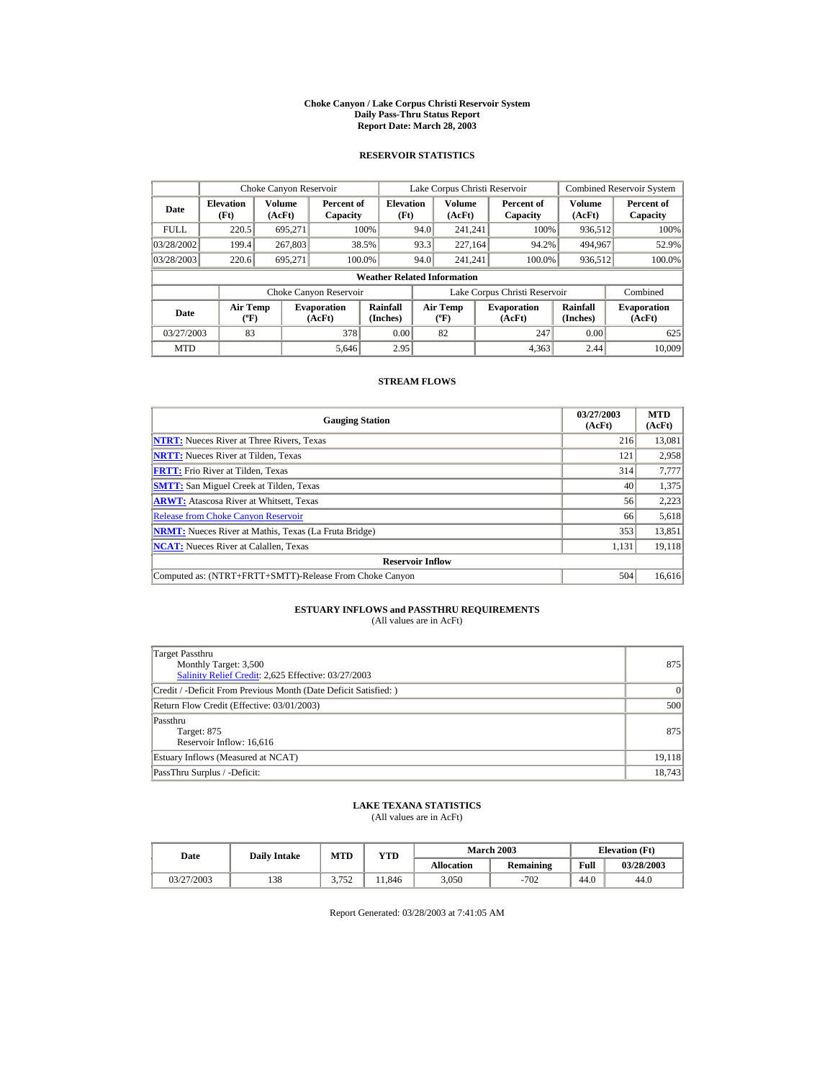#### **Choke Canyon / Lake Corpus Christi Reservoir System Daily Pass-Thru Status Report Report Date: March 28, 2003**

## **RESERVOIR STATISTICS**

|             | Choke Canyon Reservoir                |                  |                              |                          | Lake Corpus Christi Reservoir |                                          |  |                               |                      | <b>Combined Reservoir System</b> |  |  |
|-------------|---------------------------------------|------------------|------------------------------|--------------------------|-------------------------------|------------------------------------------|--|-------------------------------|----------------------|----------------------------------|--|--|
| Date        | <b>Elevation</b><br>(Ft)              | Volume<br>(AcFt) | Percent of<br>Capacity       | <b>Elevation</b><br>(Ft) |                               | <b>Volume</b><br>(AcFt)                  |  | Percent of<br>Capacity        | Volume<br>(AcFt)     | Percent of<br>Capacity           |  |  |
| <b>FULL</b> | 220.5                                 | 695.271          |                              | 100%                     | 94.0                          | 241.241                                  |  | 100%                          | 936,512              | 100%                             |  |  |
| 03/28/2002  | 199.4                                 | 267,803          |                              | 38.5%                    | 93.3                          | 227.164                                  |  | 94.2%                         | 494,967              | 52.9%                            |  |  |
| 03/28/2003  | 220.6                                 | 695.271          |                              | 100.0%                   | 94.0                          | 241.241                                  |  | 100.0%                        | 936,512              | 100.0%                           |  |  |
|             | <b>Weather Related Information</b>    |                  |                              |                          |                               |                                          |  |                               |                      |                                  |  |  |
|             |                                       |                  | Choke Canyon Reservoir       |                          |                               |                                          |  | Lake Corpus Christi Reservoir |                      | Combined                         |  |  |
| Date        | <b>Air Temp</b><br>$({}^o\mathrm{F})$ |                  | <b>Evaporation</b><br>(AcFt) | Rainfall<br>(Inches)     |                               | <b>Air Temp</b><br>$({}^{\circ}{\rm F})$ |  | <b>Evaporation</b><br>(AcFt)  | Rainfall<br>(Inches) | <b>Evaporation</b><br>(AcFt)     |  |  |
| 03/27/2003  | 83                                    |                  | 378                          | 0.00                     |                               | 82                                       |  | 247                           | 0.00                 | 625                              |  |  |
| <b>MTD</b>  |                                       |                  | 5.646                        | 2.95                     |                               |                                          |  | 4.363                         | 2.44                 | 10.009                           |  |  |

## **STREAM FLOWS**

| <b>Gauging Station</b>                                       | 03/27/2003<br>(AcFt) | <b>MTD</b><br>(AcFt) |
|--------------------------------------------------------------|----------------------|----------------------|
| <b>NTRT:</b> Nueces River at Three Rivers, Texas             | 216                  | 13,081               |
| <b>NRTT:</b> Nueces River at Tilden, Texas                   | 121                  | 2,958                |
| <b>FRTT:</b> Frio River at Tilden, Texas                     | 314                  | 7,777                |
| <b>SMTT:</b> San Miguel Creek at Tilden, Texas               | 40                   | 1,375                |
| <b>ARWT:</b> Atascosa River at Whitsett, Texas               | 56                   | 2,223                |
| <b>Release from Choke Canyon Reservoir</b>                   | 66                   | 5,618                |
| <b>NRMT:</b> Nueces River at Mathis, Texas (La Fruta Bridge) | 353                  | 13,851               |
| <b>NCAT:</b> Nueces River at Calallen, Texas                 | 1,131                | 19,118               |
| <b>Reservoir Inflow</b>                                      |                      |                      |
| Computed as: (NTRT+FRTT+SMTT)-Release From Choke Canyon      | 504                  | 16,616               |

# **ESTUARY INFLOWS and PASSTHRU REQUIREMENTS**<br>(All values are in AcFt)

| Target Passthru<br>Monthly Target: 3,500<br>Salinity Relief Credit: 2,625 Effective: 03/27/2003 | 875    |
|-------------------------------------------------------------------------------------------------|--------|
| Credit / -Deficit From Previous Month (Date Deficit Satisfied:)                                 | 0      |
| Return Flow Credit (Effective: 03/01/2003)                                                      | 500    |
| Passthru<br>Target: 875<br>Reservoir Inflow: 16,616                                             | 875    |
| Estuary Inflows (Measured at NCAT)                                                              | 19,118 |
| PassThru Surplus / -Deficit:                                                                    | 18,743 |

## **LAKE TEXANA STATISTICS**

(All values are in AcFt)

| Date       | <b>Daily Intake</b> | <b>MTD</b> | YTD   |                   | <b>March 2003</b> | <b>Elevation</b> (Ft) |            |
|------------|---------------------|------------|-------|-------------------|-------------------|-----------------------|------------|
|            |                     |            |       | <b>Allocation</b> | Remaining         | Full                  | 03/28/2003 |
| 03/27/2003 | 138                 | 2752       | 1.846 | 3.050             | $-702$            | 44.0                  | 44.0       |

Report Generated: 03/28/2003 at 7:41:05 AM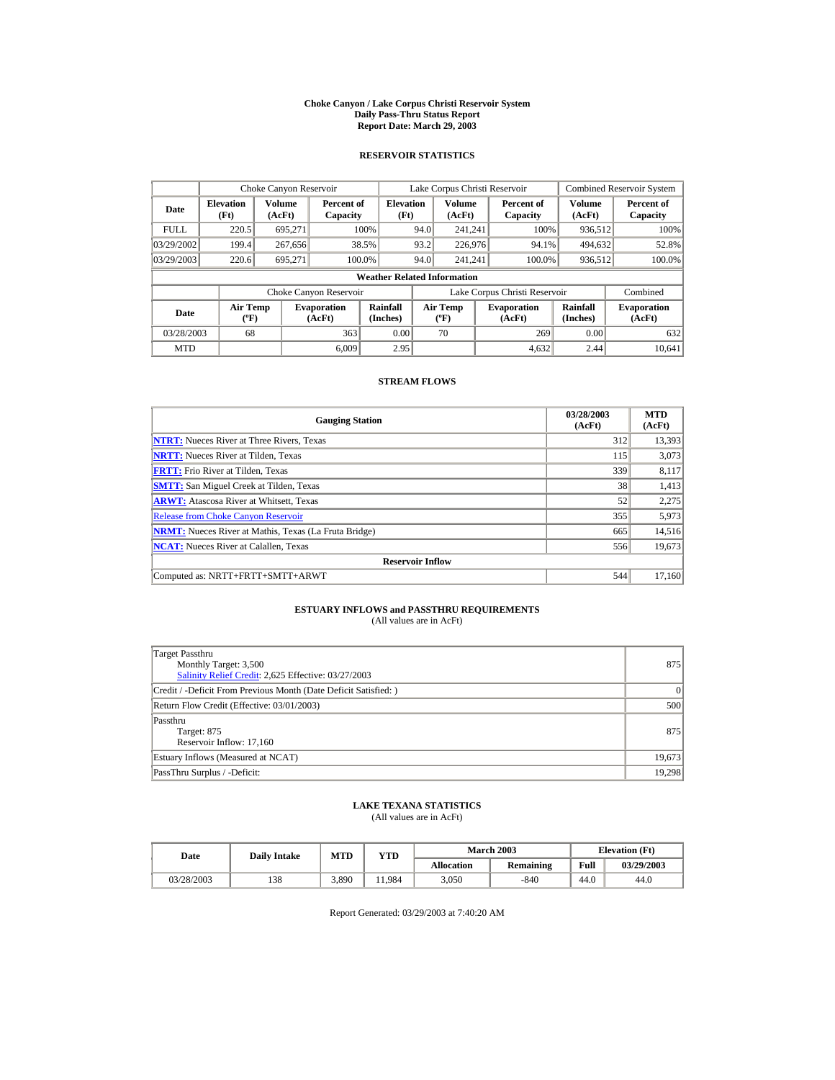#### **Choke Canyon / Lake Corpus Christi Reservoir System Daily Pass-Thru Status Report Report Date: March 29, 2003**

## **RESERVOIR STATISTICS**

|             | Choke Canyon Reservoir                      |                  |                              |                          | Lake Corpus Christi Reservoir |                                           |  |                               |                      | Combined Reservoir System    |  |  |
|-------------|---------------------------------------------|------------------|------------------------------|--------------------------|-------------------------------|-------------------------------------------|--|-------------------------------|----------------------|------------------------------|--|--|
| Date        | <b>Elevation</b><br>(Ft)                    | Volume<br>(AcFt) | Percent of<br>Capacity       | <b>Elevation</b><br>(Ft) |                               | Volume<br>(AcFt)                          |  | Percent of<br>Capacity        | Volume<br>(AcFt)     | Percent of<br>Capacity       |  |  |
| <b>FULL</b> | 220.5                                       | 695.271          |                              | 100%                     | 94.0                          | 241.241                                   |  | 100%                          | 936,512              | 100%                         |  |  |
| 03/29/2002  | 199.4                                       | 267,656          |                              | 38.5%                    | 93.2                          | 226,976                                   |  | 94.1%                         | 494,632              | 52.8%                        |  |  |
| 03/29/2003  | 220.6                                       | 695.271          |                              | 100.0%                   | 94.0                          | 241.241                                   |  | 100.0%                        | 936,512              | 100.0%                       |  |  |
|             | <b>Weather Related Information</b>          |                  |                              |                          |                               |                                           |  |                               |                      |                              |  |  |
|             |                                             |                  | Choke Canyon Reservoir       |                          |                               |                                           |  | Lake Corpus Christi Reservoir |                      | Combined                     |  |  |
| Date        | <b>Air Temp</b><br>$({}^{\circ}\mathrm{F})$ |                  | <b>Evaporation</b><br>(AcFt) | Rainfall<br>(Inches)     |                               | <b>Air Temp</b><br>$({}^{\circ}\text{F})$ |  | <b>Evaporation</b><br>(AcFt)  | Rainfall<br>(Inches) | <b>Evaporation</b><br>(AcFt) |  |  |
| 03/28/2003  | 68                                          |                  | 363                          | 0.00                     |                               | 70                                        |  | 269                           | 0.00                 | 632                          |  |  |
| <b>MTD</b>  |                                             |                  | 6.009                        | 2.95                     |                               |                                           |  | 4.632                         | 2.44                 | 10.641                       |  |  |

## **STREAM FLOWS**

| <b>Gauging Station</b>                                       | 03/28/2003<br>(AcFt) | <b>MTD</b><br>(AcFt) |
|--------------------------------------------------------------|----------------------|----------------------|
| <b>NTRT:</b> Nueces River at Three Rivers, Texas             | 312                  | 13,393               |
| <b>NRTT:</b> Nueces River at Tilden, Texas                   | 115                  | 3,073                |
| <b>FRTT:</b> Frio River at Tilden, Texas                     | 339                  | 8,117                |
| <b>SMTT:</b> San Miguel Creek at Tilden, Texas               | 38                   | 1,413                |
| <b>ARWT:</b> Atascosa River at Whitsett, Texas               | 52                   | 2,275                |
| <b>Release from Choke Canvon Reservoir</b>                   | 355                  | 5,973                |
| <b>NRMT:</b> Nueces River at Mathis, Texas (La Fruta Bridge) | 665                  | 14,516               |
| <b>NCAT:</b> Nueces River at Calallen, Texas                 | 556                  | 19,673               |
| <b>Reservoir Inflow</b>                                      |                      |                      |
| Computed as: NRTT+FRTT+SMTT+ARWT                             | 544                  | 17,160               |

# **ESTUARY INFLOWS and PASSTHRU REQUIREMENTS**<br>(All values are in AcFt)

| Target Passthru<br>Monthly Target: 3,500<br>Salinity Relief Credit: 2,625 Effective: 03/27/2003 | 875      |
|-------------------------------------------------------------------------------------------------|----------|
| Credit / -Deficit From Previous Month (Date Deficit Satisfied: )                                | $\Omega$ |
| Return Flow Credit (Effective: 03/01/2003)                                                      | 500      |
| Passthru<br>Target: 875<br>Reservoir Inflow: 17,160                                             | 875      |
| Estuary Inflows (Measured at NCAT)                                                              | 19,673   |
| PassThru Surplus / -Deficit:                                                                    | 19.298   |

## **LAKE TEXANA STATISTICS**

(All values are in AcFt)

| Date       | <b>Daily Intake</b> | <b>MTD</b> | YTD   |                   | <b>March 2003</b> | <b>Elevation</b> (Ft) |            |
|------------|---------------------|------------|-------|-------------------|-------------------|-----------------------|------------|
|            |                     |            |       | <b>Allocation</b> | Remaining         | Full                  | 03/29/2003 |
| 03/28/2003 | 138                 | 3.890      | 1.984 | 3.050             | $-840$            | 44.0                  | 44.0       |

Report Generated: 03/29/2003 at 7:40:20 AM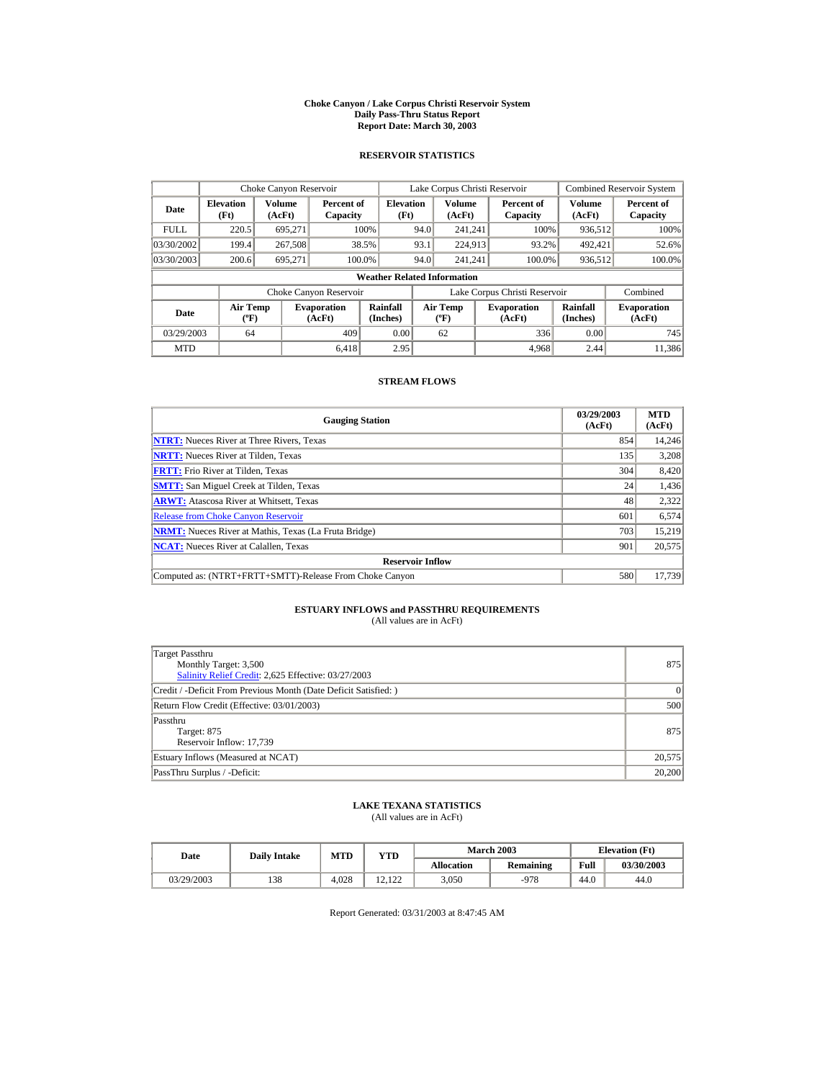#### **Choke Canyon / Lake Corpus Christi Reservoir System Daily Pass-Thru Status Report Report Date: March 30, 2003**

## **RESERVOIR STATISTICS**

|             | Choke Canyon Reservoir                      |                  |                              |                          | Lake Corpus Christi Reservoir |                                          |  |                               |                      | <b>Combined Reservoir System</b> |  |  |
|-------------|---------------------------------------------|------------------|------------------------------|--------------------------|-------------------------------|------------------------------------------|--|-------------------------------|----------------------|----------------------------------|--|--|
| Date        | <b>Elevation</b><br>(Ft)                    | Volume<br>(AcFt) | Percent of<br>Capacity       | <b>Elevation</b><br>(Ft) |                               | <b>Volume</b><br>(AcFt)                  |  | Percent of<br>Capacity        | Volume<br>(AcFt)     | Percent of<br>Capacity           |  |  |
| <b>FULL</b> | 220.5                                       | 695.271          |                              | 100%                     | 94.0                          | 241.241                                  |  | 100%                          | 936,512              | 100%                             |  |  |
| 03/30/2002  | 199.4                                       | 267,508          |                              | 38.5%                    | 93.1                          | 224,913                                  |  | 93.2%                         | 492,421              | 52.6%                            |  |  |
| 03/30/2003  | 200.6                                       | 695,271          | 100.0%                       |                          | 94.0                          | 241.241                                  |  | 100.0%                        | 936,512              | 100.0%                           |  |  |
|             | <b>Weather Related Information</b>          |                  |                              |                          |                               |                                          |  |                               |                      |                                  |  |  |
|             |                                             |                  | Choke Canyon Reservoir       |                          |                               |                                          |  | Lake Corpus Christi Reservoir |                      | Combined                         |  |  |
| Date        | <b>Air Temp</b><br>$({}^{\circ}\mathrm{F})$ |                  | <b>Evaporation</b><br>(AcFt) | Rainfall<br>(Inches)     |                               | <b>Air Temp</b><br>$({}^{\circ}{\rm F})$ |  | <b>Evaporation</b><br>(AcFt)  | Rainfall<br>(Inches) | <b>Evaporation</b><br>(AcFt)     |  |  |
| 03/29/2003  | 64                                          |                  | 409                          | 0.00                     |                               | 62                                       |  | 336                           | 0.00                 | 745                              |  |  |
| <b>MTD</b>  |                                             |                  | 6.418                        | 2.95                     |                               |                                          |  | 4.968                         | 2.44                 | 11.386                           |  |  |

## **STREAM FLOWS**

| <b>Gauging Station</b>                                       | 03/29/2003<br>(AcFt) | <b>MTD</b><br>(AcFt) |
|--------------------------------------------------------------|----------------------|----------------------|
| <b>NTRT:</b> Nueces River at Three Rivers, Texas             | 854                  | 14,246               |
| <b>NRTT:</b> Nueces River at Tilden, Texas                   | 135                  | 3,208                |
| <b>FRTT:</b> Frio River at Tilden, Texas                     | 304                  | 8,420                |
| <b>SMTT:</b> San Miguel Creek at Tilden, Texas               | 24                   | 1,436                |
| <b>ARWT:</b> Atascosa River at Whitsett, Texas               | 48                   | 2,322                |
| <b>Release from Choke Canyon Reservoir</b>                   | 601                  | 6,574                |
| <b>NRMT:</b> Nueces River at Mathis, Texas (La Fruta Bridge) | 703                  | 15.219               |
| <b>NCAT:</b> Nueces River at Calallen, Texas                 | 901                  | 20,575               |
| <b>Reservoir Inflow</b>                                      |                      |                      |
| Computed as: (NTRT+FRTT+SMTT)-Release From Choke Canyon      | 580                  | 17,739               |

# **ESTUARY INFLOWS and PASSTHRU REQUIREMENTS**<br>(All values are in AcFt)

| Target Passthru<br>Monthly Target: 3,500<br>Salinity Relief Credit: 2,625 Effective: 03/27/2003 | 875    |
|-------------------------------------------------------------------------------------------------|--------|
| Credit / -Deficit From Previous Month (Date Deficit Satisfied: )                                | 0      |
| Return Flow Credit (Effective: 03/01/2003)                                                      | 500    |
| Passthru<br>Target: 875<br>Reservoir Inflow: 17,739                                             | 875    |
| Estuary Inflows (Measured at NCAT)                                                              | 20,575 |
| PassThru Surplus / -Deficit:                                                                    | 20,200 |

## **LAKE TEXANA STATISTICS**

(All values are in AcFt)

| Date       | <b>Daily Intake</b> | MTD   | <b>VTD</b>              |            | <b>March 2003</b> | <b>Elevation</b> (Ft) |            |
|------------|---------------------|-------|-------------------------|------------|-------------------|-----------------------|------------|
|            |                     |       |                         | Allocation | Remaining         | Full                  | 03/30/2003 |
| 03/29/2003 | 138                 | 4.028 | 122<br>$\sim$<br>14.144 | 3.050      | $-978$            | 44.0                  | 44.0       |

Report Generated: 03/31/2003 at 8:47:45 AM